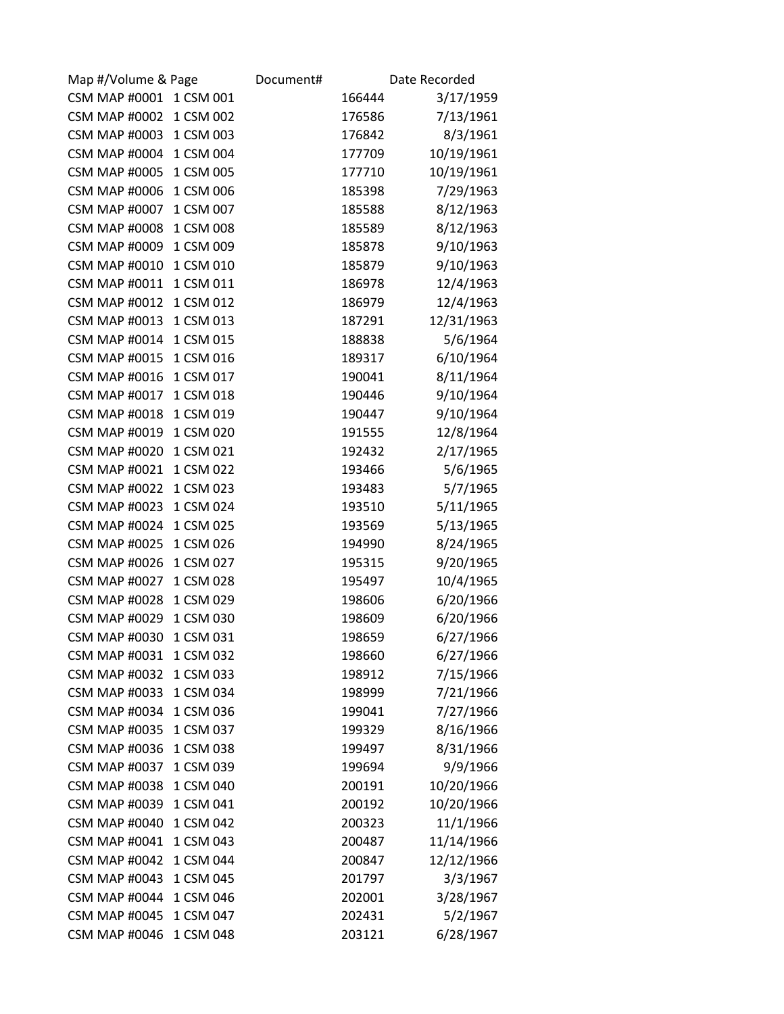| Map #/Volume & Page  |           | Document# |        | Date Recorded |
|----------------------|-----------|-----------|--------|---------------|
| <b>CSM MAP #0001</b> | 1 CSM 001 |           | 166444 | 3/17/1959     |
| <b>CSM MAP #0002</b> | 1 CSM 002 |           | 176586 | 7/13/1961     |
| <b>CSM MAP #0003</b> | 1 CSM 003 |           | 176842 | 8/3/1961      |
| <b>CSM MAP #0004</b> | 1 CSM 004 |           | 177709 | 10/19/1961    |
| <b>CSM MAP #0005</b> | 1 CSM 005 |           | 177710 | 10/19/1961    |
| <b>CSM MAP #0006</b> | 1 CSM 006 |           | 185398 | 7/29/1963     |
| <b>CSM MAP #0007</b> | 1 CSM 007 |           | 185588 | 8/12/1963     |
| <b>CSM MAP #0008</b> | 1 CSM 008 |           | 185589 | 8/12/1963     |
| <b>CSM MAP #0009</b> | 1 CSM 009 |           | 185878 | 9/10/1963     |
| <b>CSM MAP #0010</b> | 1 CSM 010 |           | 185879 | 9/10/1963     |
| <b>CSM MAP #0011</b> | 1 CSM 011 |           | 186978 | 12/4/1963     |
| <b>CSM MAP #0012</b> | 1 CSM 012 |           | 186979 | 12/4/1963     |
| <b>CSM MAP #0013</b> | 1 CSM 013 |           | 187291 | 12/31/1963    |
| <b>CSM MAP #0014</b> | 1 CSM 015 |           | 188838 | 5/6/1964      |
| <b>CSM MAP #0015</b> | 1 CSM 016 |           | 189317 | 6/10/1964     |
| <b>CSM MAP #0016</b> | 1 CSM 017 |           | 190041 | 8/11/1964     |
| <b>CSM MAP #0017</b> | 1 CSM 018 |           | 190446 | 9/10/1964     |
| <b>CSM MAP #0018</b> | 1 CSM 019 |           | 190447 | 9/10/1964     |
| <b>CSM MAP #0019</b> | 1 CSM 020 |           | 191555 | 12/8/1964     |
| <b>CSM MAP #0020</b> | 1 CSM 021 |           | 192432 | 2/17/1965     |
| <b>CSM MAP #0021</b> | 1 CSM 022 |           | 193466 | 5/6/1965      |
| <b>CSM MAP #0022</b> | 1 CSM 023 |           | 193483 | 5/7/1965      |
| <b>CSM MAP #0023</b> | 1 CSM 024 |           | 193510 | 5/11/1965     |
| <b>CSM MAP #0024</b> | 1 CSM 025 |           | 193569 | 5/13/1965     |
| <b>CSM MAP #0025</b> | 1 CSM 026 |           | 194990 | 8/24/1965     |
| <b>CSM MAP #0026</b> | 1 CSM 027 |           | 195315 | 9/20/1965     |
| <b>CSM MAP #0027</b> | 1 CSM 028 |           | 195497 | 10/4/1965     |
| <b>CSM MAP #0028</b> | 1 CSM 029 |           | 198606 | 6/20/1966     |
| <b>CSM MAP #0029</b> | 1 CSM 030 |           | 198609 | 6/20/1966     |
| <b>CSM MAP #0030</b> | 1 CSM 031 |           | 198659 | 6/27/1966     |
| <b>CSM MAP #0031</b> | 1 CSM 032 |           | 198660 | 6/27/1966     |
| <b>CSM MAP #0032</b> | 1 CSM 033 |           | 198912 | 7/15/1966     |
| <b>CSM MAP #0033</b> | 1 CSM 034 |           | 198999 | 7/21/1966     |
| <b>CSM MAP #0034</b> | 1 CSM 036 |           | 199041 | 7/27/1966     |
| <b>CSM MAP #0035</b> | 1 CSM 037 |           | 199329 | 8/16/1966     |
| <b>CSM MAP #0036</b> | 1 CSM 038 |           | 199497 | 8/31/1966     |
| <b>CSM MAP #0037</b> | 1 CSM 039 |           | 199694 | 9/9/1966      |
| <b>CSM MAP #0038</b> | 1 CSM 040 |           | 200191 | 10/20/1966    |
| <b>CSM MAP #0039</b> | 1 CSM 041 |           | 200192 | 10/20/1966    |
| <b>CSM MAP #0040</b> | 1 CSM 042 |           | 200323 | 11/1/1966     |
| <b>CSM MAP #0041</b> | 1 CSM 043 |           | 200487 | 11/14/1966    |
| <b>CSM MAP #0042</b> | 1 CSM 044 |           | 200847 | 12/12/1966    |
| <b>CSM MAP #0043</b> | 1 CSM 045 |           | 201797 | 3/3/1967      |
| <b>CSM MAP #0044</b> | 1 CSM 046 |           | 202001 | 3/28/1967     |
| <b>CSM MAP #0045</b> | 1 CSM 047 |           | 202431 | 5/2/1967      |
| <b>CSM MAP #0046</b> | 1 CSM 048 |           | 203121 | 6/28/1967     |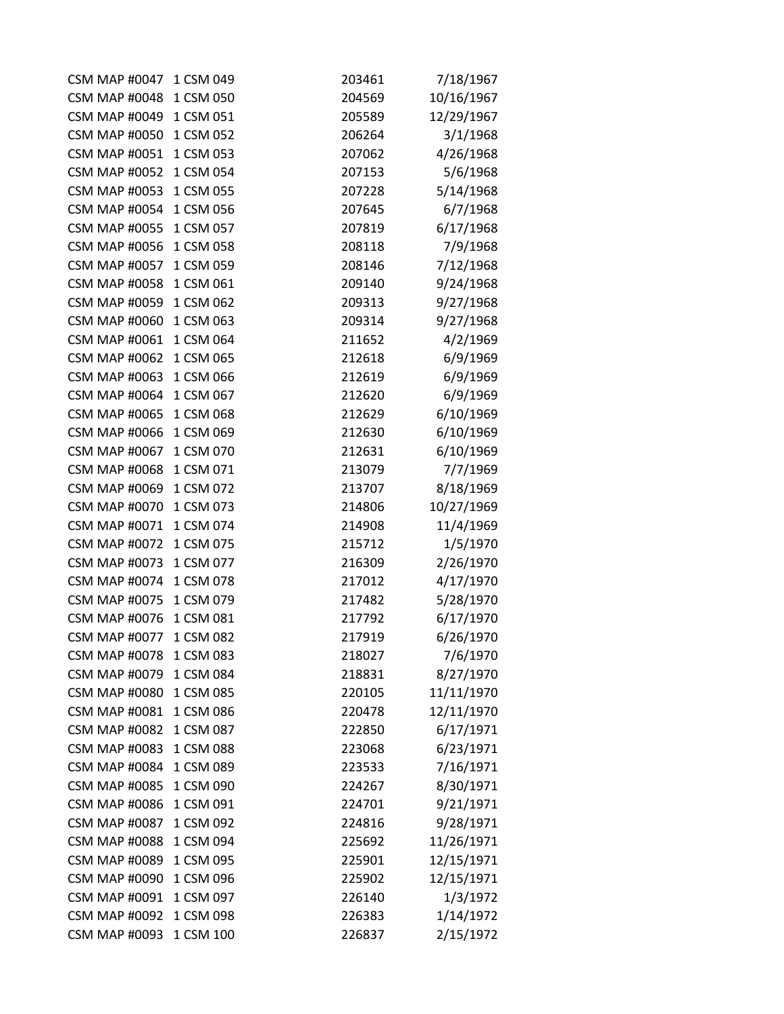| <b>CSM MAP #0047</b> | 1 CSM 049 | 203461 | 7/18/1967  |
|----------------------|-----------|--------|------------|
| <b>CSM MAP #0048</b> | 1 CSM 050 | 204569 | 10/16/1967 |
| <b>CSM MAP #0049</b> | 1 CSM 051 | 205589 | 12/29/1967 |
| <b>CSM MAP #0050</b> | 1 CSM 052 | 206264 | 3/1/1968   |
| <b>CSM MAP #0051</b> | 1 CSM 053 | 207062 | 4/26/1968  |
| <b>CSM MAP #0052</b> | 1 CSM 054 | 207153 | 5/6/1968   |
| <b>CSM MAP #0053</b> | 1 CSM 055 | 207228 | 5/14/1968  |
| <b>CSM MAP #0054</b> | 1 CSM 056 | 207645 | 6/7/1968   |
| <b>CSM MAP #0055</b> | 1 CSM 057 | 207819 | 6/17/1968  |
| <b>CSM MAP #0056</b> | 1 CSM 058 | 208118 | 7/9/1968   |
| <b>CSM MAP #0057</b> | 1 CSM 059 | 208146 | 7/12/1968  |
| <b>CSM MAP #0058</b> | 1 CSM 061 | 209140 | 9/24/1968  |
| <b>CSM MAP #0059</b> | 1 CSM 062 | 209313 | 9/27/1968  |
| <b>CSM MAP #0060</b> | 1 CSM 063 | 209314 | 9/27/1968  |
| <b>CSM MAP #0061</b> | 1 CSM 064 | 211652 | 4/2/1969   |
| <b>CSM MAP #0062</b> | 1 CSM 065 | 212618 | 6/9/1969   |
| <b>CSM MAP #0063</b> | 1 CSM 066 | 212619 | 6/9/1969   |
| <b>CSM MAP #0064</b> | 1 CSM 067 | 212620 | 6/9/1969   |
| <b>CSM MAP #0065</b> | 1 CSM 068 | 212629 | 6/10/1969  |
| <b>CSM MAP #0066</b> | 1 CSM 069 | 212630 | 6/10/1969  |
| <b>CSM MAP #0067</b> | 1 CSM 070 | 212631 | 6/10/1969  |
| <b>CSM MAP #0068</b> | 1 CSM 071 | 213079 | 7/7/1969   |
| <b>CSM MAP #0069</b> | 1 CSM 072 | 213707 | 8/18/1969  |
| <b>CSM MAP #0070</b> | 1 CSM 073 | 214806 | 10/27/1969 |
| <b>CSM MAP #0071</b> | 1 CSM 074 | 214908 | 11/4/1969  |
| <b>CSM MAP #0072</b> | 1 CSM 075 | 215712 | 1/5/1970   |
| <b>CSM MAP #0073</b> | 1 CSM 077 | 216309 | 2/26/1970  |
| <b>CSM MAP #0074</b> | 1 CSM 078 | 217012 | 4/17/1970  |
| <b>CSM MAP #0075</b> | 1 CSM 079 | 217482 | 5/28/1970  |
| <b>CSM MAP #0076</b> | 1 CSM 081 | 217792 | 6/17/1970  |
| <b>CSM MAP #0077</b> | 1 CSM 082 | 217919 | 6/26/1970  |
| <b>CSM MAP #0078</b> | 1 CSM 083 | 218027 | 7/6/1970   |
| <b>CSM MAP #0079</b> | 1 CSM 084 | 218831 | 8/27/1970  |
| <b>CSM MAP #0080</b> | 1 CSM 085 | 220105 | 11/11/1970 |
| <b>CSM MAP #0081</b> | 1 CSM 086 | 220478 | 12/11/1970 |
| <b>CSM MAP #0082</b> | 1 CSM 087 | 222850 | 6/17/1971  |
| <b>CSM MAP #0083</b> | 1 CSM 088 | 223068 | 6/23/1971  |
| <b>CSM MAP #0084</b> | 1 CSM 089 | 223533 | 7/16/1971  |
| <b>CSM MAP #0085</b> | 1 CSM 090 | 224267 | 8/30/1971  |
| <b>CSM MAP #0086</b> | 1 CSM 091 | 224701 | 9/21/1971  |
| <b>CSM MAP #0087</b> | 1 CSM 092 | 224816 | 9/28/1971  |
| <b>CSM MAP #0088</b> | 1 CSM 094 | 225692 | 11/26/1971 |
| <b>CSM MAP #0089</b> | 1 CSM 095 | 225901 | 12/15/1971 |
| <b>CSM MAP #0090</b> | 1 CSM 096 | 225902 | 12/15/1971 |
| <b>CSM MAP #0091</b> | 1 CSM 097 | 226140 | 1/3/1972   |
| <b>CSM MAP #0092</b> | 1 CSM 098 | 226383 | 1/14/1972  |
| <b>CSM MAP #0093</b> | 1 CSM 100 | 226837 | 2/15/1972  |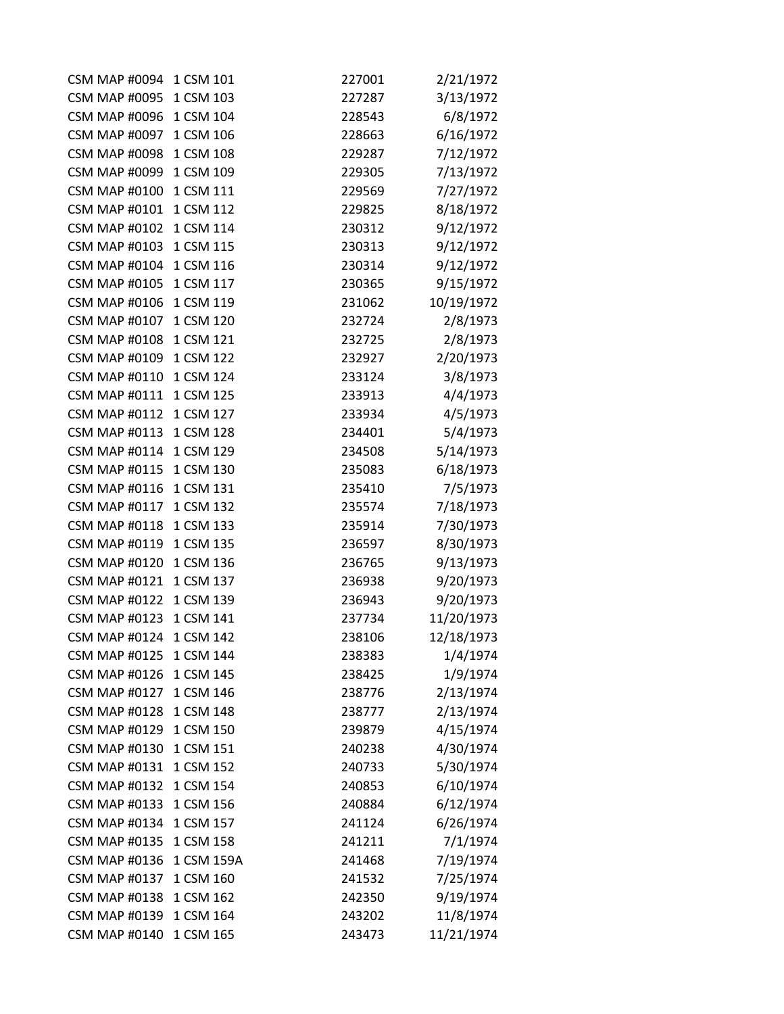| <b>CSM MAP #0094</b> | 1 CSM 101  | 227001 | 2/21/1972  |
|----------------------|------------|--------|------------|
| <b>CSM MAP #0095</b> | 1 CSM 103  | 227287 | 3/13/1972  |
| <b>CSM MAP #0096</b> | 1 CSM 104  | 228543 | 6/8/1972   |
| <b>CSM MAP #0097</b> | 1 CSM 106  | 228663 | 6/16/1972  |
| <b>CSM MAP #0098</b> | 1 CSM 108  | 229287 | 7/12/1972  |
| <b>CSM MAP #0099</b> | 1 CSM 109  | 229305 | 7/13/1972  |
| <b>CSM MAP #0100</b> | 1 CSM 111  | 229569 | 7/27/1972  |
| <b>CSM MAP #0101</b> | 1 CSM 112  | 229825 | 8/18/1972  |
| <b>CSM MAP #0102</b> | 1 CSM 114  | 230312 | 9/12/1972  |
| <b>CSM MAP #0103</b> | 1 CSM 115  | 230313 | 9/12/1972  |
| <b>CSM MAP #0104</b> | 1 CSM 116  | 230314 | 9/12/1972  |
| <b>CSM MAP #0105</b> | 1 CSM 117  | 230365 | 9/15/1972  |
| <b>CSM MAP #0106</b> | 1 CSM 119  | 231062 | 10/19/1972 |
| <b>CSM MAP #0107</b> | 1 CSM 120  | 232724 | 2/8/1973   |
| <b>CSM MAP #0108</b> | 1 CSM 121  | 232725 | 2/8/1973   |
| <b>CSM MAP #0109</b> | 1 CSM 122  | 232927 | 2/20/1973  |
| <b>CSM MAP #0110</b> | 1 CSM 124  | 233124 | 3/8/1973   |
| <b>CSM MAP #0111</b> | 1 CSM 125  | 233913 | 4/4/1973   |
| <b>CSM MAP #0112</b> | 1 CSM 127  | 233934 | 4/5/1973   |
| <b>CSM MAP #0113</b> | 1 CSM 128  | 234401 | 5/4/1973   |
| <b>CSM MAP #0114</b> | 1 CSM 129  | 234508 | 5/14/1973  |
| <b>CSM MAP #0115</b> | 1 CSM 130  | 235083 | 6/18/1973  |
| <b>CSM MAP #0116</b> | 1 CSM 131  | 235410 | 7/5/1973   |
| <b>CSM MAP #0117</b> | 1 CSM 132  | 235574 | 7/18/1973  |
| <b>CSM MAP #0118</b> | 1 CSM 133  | 235914 | 7/30/1973  |
| <b>CSM MAP #0119</b> | 1 CSM 135  | 236597 | 8/30/1973  |
| <b>CSM MAP #0120</b> | 1 CSM 136  | 236765 | 9/13/1973  |
| <b>CSM MAP #0121</b> | 1 CSM 137  | 236938 | 9/20/1973  |
| <b>CSM MAP #0122</b> | 1 CSM 139  | 236943 | 9/20/1973  |
| <b>CSM MAP #0123</b> | 1 CSM 141  | 237734 | 11/20/1973 |
| <b>CSM MAP #0124</b> | 1 CSM 142  | 238106 | 12/18/1973 |
| <b>CSM MAP #0125</b> | 1 CSM 144  | 238383 | 1/4/1974   |
| <b>CSM MAP #0126</b> | 1 CSM 145  | 238425 | 1/9/1974   |
| <b>CSM MAP #0127</b> | 1 CSM 146  | 238776 | 2/13/1974  |
| <b>CSM MAP #0128</b> | 1 CSM 148  | 238777 | 2/13/1974  |
| <b>CSM MAP #0129</b> | 1 CSM 150  | 239879 | 4/15/1974  |
| <b>CSM MAP #0130</b> | 1 CSM 151  | 240238 | 4/30/1974  |
| <b>CSM MAP #0131</b> | 1 CSM 152  | 240733 | 5/30/1974  |
| <b>CSM MAP #0132</b> | 1 CSM 154  | 240853 | 6/10/1974  |
| <b>CSM MAP #0133</b> | 1 CSM 156  | 240884 | 6/12/1974  |
| <b>CSM MAP #0134</b> | 1 CSM 157  | 241124 | 6/26/1974  |
| <b>CSM MAP #0135</b> | 1 CSM 158  | 241211 | 7/1/1974   |
| <b>CSM MAP #0136</b> | 1 CSM 159A | 241468 | 7/19/1974  |
| <b>CSM MAP #0137</b> | 1 CSM 160  | 241532 | 7/25/1974  |
| <b>CSM MAP #0138</b> | 1 CSM 162  | 242350 | 9/19/1974  |
| <b>CSM MAP #0139</b> | 1 CSM 164  | 243202 | 11/8/1974  |
| <b>CSM MAP #0140</b> | 1 CSM 165  | 243473 | 11/21/1974 |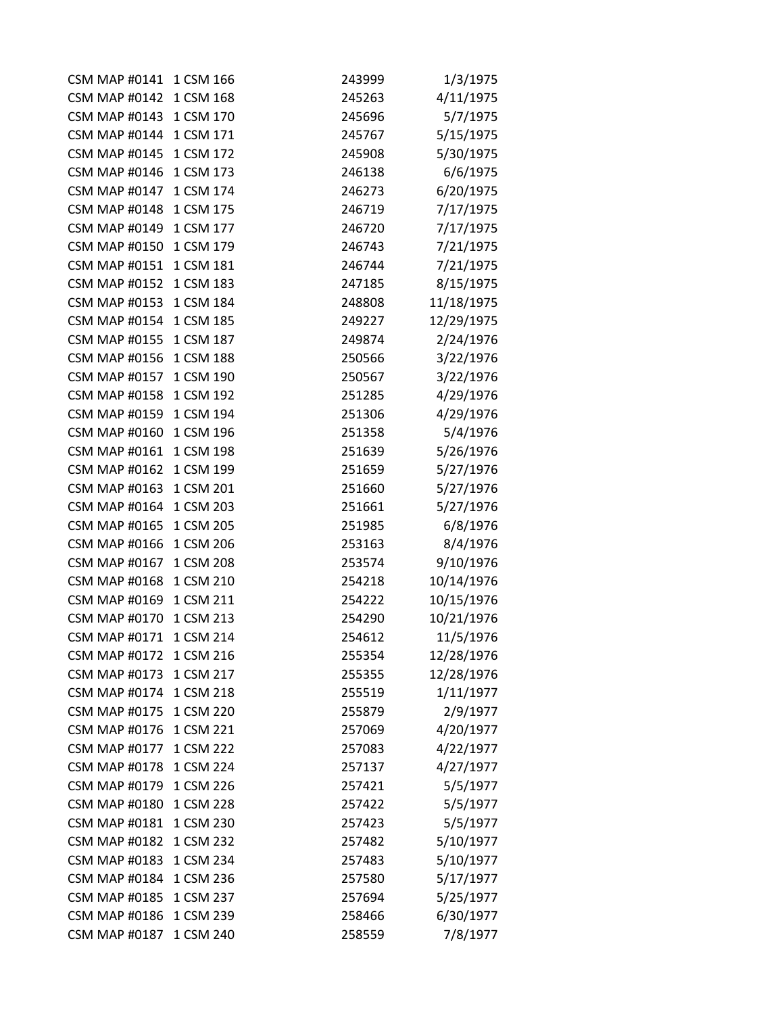| <b>CSM MAP #0141</b> | 1 CSM 166 | 243999 | 1/3/1975   |
|----------------------|-----------|--------|------------|
| <b>CSM MAP #0142</b> | 1 CSM 168 | 245263 | 4/11/1975  |
| <b>CSM MAP #0143</b> | 1 CSM 170 | 245696 | 5/7/1975   |
| <b>CSM MAP #0144</b> | 1 CSM 171 | 245767 | 5/15/1975  |
| <b>CSM MAP #0145</b> | 1 CSM 172 | 245908 | 5/30/1975  |
| <b>CSM MAP #0146</b> | 1 CSM 173 | 246138 | 6/6/1975   |
| <b>CSM MAP #0147</b> | 1 CSM 174 | 246273 | 6/20/1975  |
| <b>CSM MAP #0148</b> | 1 CSM 175 | 246719 | 7/17/1975  |
| <b>CSM MAP #0149</b> | 1 CSM 177 | 246720 | 7/17/1975  |
| <b>CSM MAP #0150</b> | 1 CSM 179 | 246743 | 7/21/1975  |
| <b>CSM MAP #0151</b> | 1 CSM 181 | 246744 | 7/21/1975  |
| <b>CSM MAP #0152</b> | 1 CSM 183 | 247185 | 8/15/1975  |
| <b>CSM MAP #0153</b> | 1 CSM 184 | 248808 | 11/18/1975 |
| <b>CSM MAP #0154</b> | 1 CSM 185 | 249227 | 12/29/1975 |
| <b>CSM MAP #0155</b> | 1 CSM 187 | 249874 | 2/24/1976  |
| <b>CSM MAP #0156</b> | 1 CSM 188 | 250566 | 3/22/1976  |
| <b>CSM MAP #0157</b> | 1 CSM 190 | 250567 | 3/22/1976  |
| <b>CSM MAP #0158</b> | 1 CSM 192 | 251285 | 4/29/1976  |
| <b>CSM MAP #0159</b> | 1 CSM 194 | 251306 | 4/29/1976  |
| <b>CSM MAP #0160</b> | 1 CSM 196 | 251358 | 5/4/1976   |
| <b>CSM MAP #0161</b> | 1 CSM 198 | 251639 | 5/26/1976  |
| <b>CSM MAP #0162</b> | 1 CSM 199 | 251659 | 5/27/1976  |
| <b>CSM MAP #0163</b> | 1 CSM 201 | 251660 | 5/27/1976  |
| <b>CSM MAP #0164</b> | 1 CSM 203 | 251661 | 5/27/1976  |
| <b>CSM MAP #0165</b> | 1 CSM 205 | 251985 | 6/8/1976   |
| <b>CSM MAP #0166</b> | 1 CSM 206 | 253163 | 8/4/1976   |
| <b>CSM MAP #0167</b> | 1 CSM 208 | 253574 | 9/10/1976  |
| <b>CSM MAP #0168</b> | 1 CSM 210 | 254218 | 10/14/1976 |
| <b>CSM MAP #0169</b> | 1 CSM 211 | 254222 | 10/15/1976 |
| <b>CSM MAP #0170</b> | 1 CSM 213 | 254290 | 10/21/1976 |
| <b>CSM MAP #0171</b> | 1 CSM 214 | 254612 | 11/5/1976  |
| <b>CSM MAP #0172</b> | 1 CSM 216 | 255354 | 12/28/1976 |
| <b>CSM MAP #0173</b> | 1 CSM 217 | 255355 | 12/28/1976 |
| <b>CSM MAP #0174</b> | 1 CSM 218 | 255519 | 1/11/1977  |
| <b>CSM MAP #0175</b> | 1 CSM 220 | 255879 | 2/9/1977   |
| <b>CSM MAP #0176</b> | 1 CSM 221 | 257069 | 4/20/1977  |
| <b>CSM MAP #0177</b> | 1 CSM 222 | 257083 | 4/22/1977  |
| <b>CSM MAP #0178</b> | 1 CSM 224 | 257137 | 4/27/1977  |
| <b>CSM MAP #0179</b> | 1 CSM 226 | 257421 | 5/5/1977   |
| <b>CSM MAP #0180</b> | 1 CSM 228 | 257422 | 5/5/1977   |
| <b>CSM MAP #0181</b> | 1 CSM 230 | 257423 | 5/5/1977   |
| <b>CSM MAP #0182</b> | 1 CSM 232 | 257482 | 5/10/1977  |
| <b>CSM MAP #0183</b> | 1 CSM 234 | 257483 | 5/10/1977  |
| <b>CSM MAP #0184</b> | 1 CSM 236 | 257580 | 5/17/1977  |
| <b>CSM MAP #0185</b> | 1 CSM 237 | 257694 | 5/25/1977  |
| <b>CSM MAP #0186</b> | 1 CSM 239 | 258466 | 6/30/1977  |
| <b>CSM MAP #0187</b> | 1 CSM 240 | 258559 | 7/8/1977   |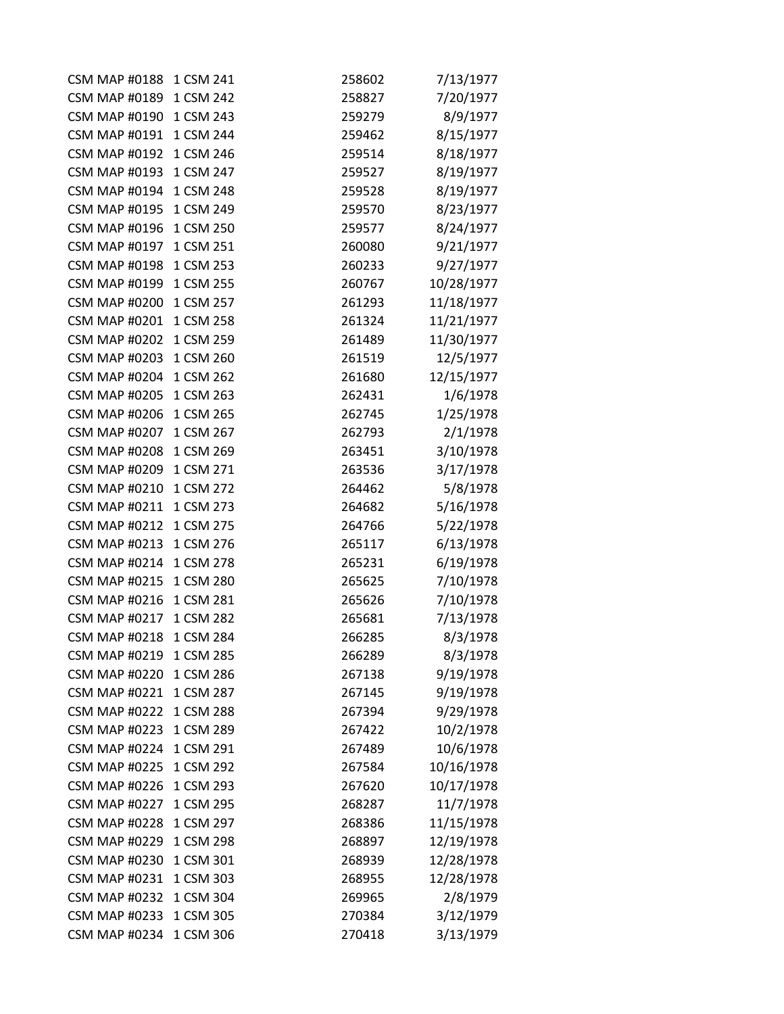| <b>CSM MAP #0188</b> | 1 CSM 241 | 258602 | 7/13/1977  |
|----------------------|-----------|--------|------------|
| <b>CSM MAP #0189</b> | 1 CSM 242 | 258827 | 7/20/1977  |
| <b>CSM MAP #0190</b> | 1 CSM 243 | 259279 | 8/9/1977   |
| <b>CSM MAP #0191</b> | 1 CSM 244 | 259462 | 8/15/1977  |
| <b>CSM MAP #0192</b> | 1 CSM 246 | 259514 | 8/18/1977  |
| <b>CSM MAP #0193</b> | 1 CSM 247 | 259527 | 8/19/1977  |
| <b>CSM MAP #0194</b> | 1 CSM 248 | 259528 | 8/19/1977  |
| <b>CSM MAP #0195</b> | 1 CSM 249 | 259570 | 8/23/1977  |
| <b>CSM MAP #0196</b> | 1 CSM 250 | 259577 | 8/24/1977  |
| <b>CSM MAP #0197</b> | 1 CSM 251 | 260080 | 9/21/1977  |
| <b>CSM MAP #0198</b> | 1 CSM 253 | 260233 | 9/27/1977  |
| <b>CSM MAP #0199</b> | 1 CSM 255 | 260767 | 10/28/1977 |
| <b>CSM MAP #0200</b> | 1 CSM 257 | 261293 | 11/18/1977 |
| <b>CSM MAP #0201</b> | 1 CSM 258 | 261324 | 11/21/1977 |
| <b>CSM MAP #0202</b> | 1 CSM 259 | 261489 | 11/30/1977 |
| <b>CSM MAP #0203</b> | 1 CSM 260 | 261519 | 12/5/1977  |
| <b>CSM MAP #0204</b> | 1 CSM 262 | 261680 | 12/15/1977 |
| <b>CSM MAP #0205</b> | 1 CSM 263 | 262431 | 1/6/1978   |
| <b>CSM MAP #0206</b> | 1 CSM 265 | 262745 | 1/25/1978  |
| <b>CSM MAP #0207</b> | 1 CSM 267 | 262793 | 2/1/1978   |
| <b>CSM MAP #0208</b> | 1 CSM 269 | 263451 | 3/10/1978  |
| <b>CSM MAP #0209</b> | 1 CSM 271 | 263536 | 3/17/1978  |
| <b>CSM MAP #0210</b> | 1 CSM 272 | 264462 | 5/8/1978   |
| <b>CSM MAP #0211</b> | 1 CSM 273 | 264682 | 5/16/1978  |
| <b>CSM MAP #0212</b> | 1 CSM 275 | 264766 | 5/22/1978  |
| <b>CSM MAP #0213</b> | 1 CSM 276 | 265117 | 6/13/1978  |
| <b>CSM MAP #0214</b> | 1 CSM 278 | 265231 | 6/19/1978  |
| <b>CSM MAP #0215</b> | 1 CSM 280 | 265625 | 7/10/1978  |
| <b>CSM MAP #0216</b> | 1 CSM 281 | 265626 | 7/10/1978  |
| <b>CSM MAP #0217</b> | 1 CSM 282 | 265681 | 7/13/1978  |
| <b>CSM MAP #0218</b> | 1 CSM 284 | 266285 | 8/3/1978   |
| <b>CSM MAP #0219</b> | 1 CSM 285 | 266289 | 8/3/1978   |
| <b>CSM MAP #0220</b> | 1 CSM 286 | 267138 | 9/19/1978  |
| <b>CSM MAP #0221</b> | 1 CSM 287 | 267145 | 9/19/1978  |
| <b>CSM MAP #0222</b> | 1 CSM 288 | 267394 | 9/29/1978  |
| <b>CSM MAP #0223</b> | 1 CSM 289 | 267422 | 10/2/1978  |
| <b>CSM MAP #0224</b> | 1 CSM 291 | 267489 | 10/6/1978  |
| <b>CSM MAP #0225</b> | 1 CSM 292 | 267584 | 10/16/1978 |
| <b>CSM MAP #0226</b> | 1 CSM 293 | 267620 | 10/17/1978 |
| <b>CSM MAP #0227</b> | 1 CSM 295 | 268287 | 11/7/1978  |
| <b>CSM MAP #0228</b> | 1 CSM 297 | 268386 | 11/15/1978 |
| <b>CSM MAP #0229</b> | 1 CSM 298 | 268897 | 12/19/1978 |
| <b>CSM MAP #0230</b> | 1 CSM 301 | 268939 | 12/28/1978 |
| <b>CSM MAP #0231</b> | 1 CSM 303 | 268955 | 12/28/1978 |
| <b>CSM MAP #0232</b> | 1 CSM 304 | 269965 | 2/8/1979   |
| <b>CSM MAP #0233</b> | 1 CSM 305 | 270384 | 3/12/1979  |
| <b>CSM MAP #0234</b> | 1 CSM 306 | 270418 | 3/13/1979  |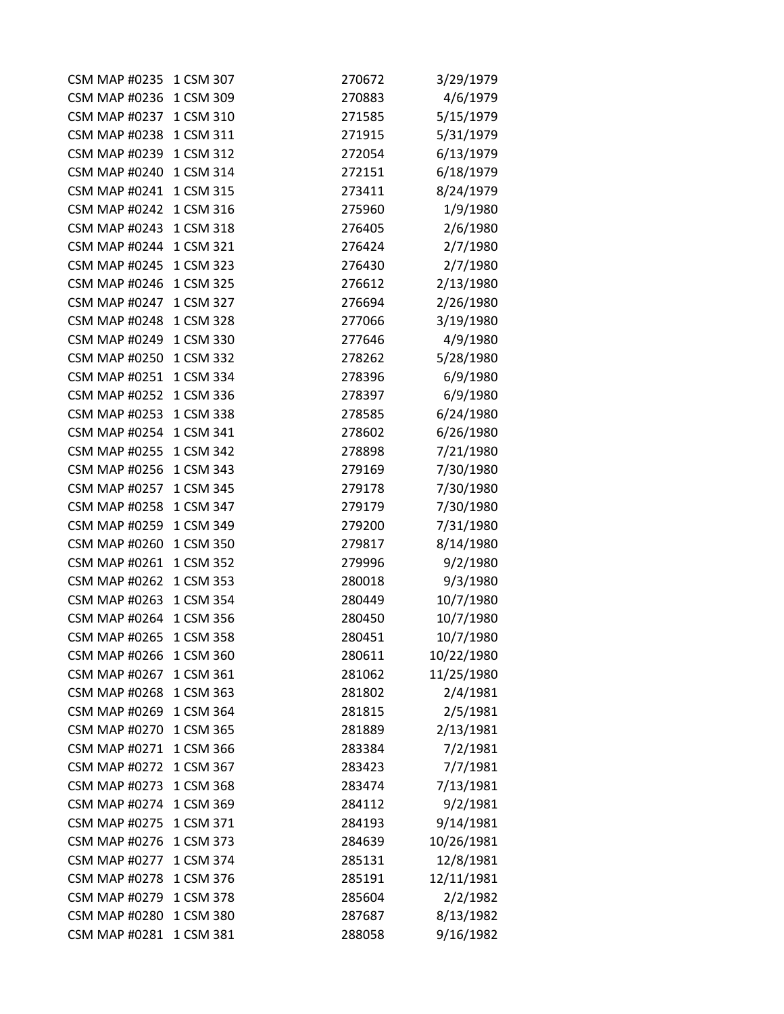| <b>CSM MAP #0235</b> | 1 CSM 307 | 270672 | 3/29/1979  |
|----------------------|-----------|--------|------------|
| <b>CSM MAP #0236</b> | 1 CSM 309 | 270883 | 4/6/1979   |
| <b>CSM MAP #0237</b> | 1 CSM 310 | 271585 | 5/15/1979  |
| <b>CSM MAP #0238</b> | 1 CSM 311 | 271915 | 5/31/1979  |
| <b>CSM MAP #0239</b> | 1 CSM 312 | 272054 | 6/13/1979  |
| <b>CSM MAP #0240</b> | 1 CSM 314 | 272151 | 6/18/1979  |
| <b>CSM MAP #0241</b> | 1 CSM 315 | 273411 | 8/24/1979  |
| <b>CSM MAP #0242</b> | 1 CSM 316 | 275960 | 1/9/1980   |
| <b>CSM MAP #0243</b> | 1 CSM 318 | 276405 | 2/6/1980   |
| <b>CSM MAP #0244</b> | 1 CSM 321 | 276424 | 2/7/1980   |
| <b>CSM MAP #0245</b> | 1 CSM 323 | 276430 | 2/7/1980   |
| <b>CSM MAP #0246</b> | 1 CSM 325 | 276612 | 2/13/1980  |
| <b>CSM MAP #0247</b> | 1 CSM 327 | 276694 | 2/26/1980  |
| <b>CSM MAP #0248</b> | 1 CSM 328 | 277066 | 3/19/1980  |
| <b>CSM MAP #0249</b> | 1 CSM 330 | 277646 | 4/9/1980   |
| <b>CSM MAP #0250</b> | 1 CSM 332 | 278262 | 5/28/1980  |
| <b>CSM MAP #0251</b> | 1 CSM 334 | 278396 | 6/9/1980   |
| <b>CSM MAP #0252</b> | 1 CSM 336 | 278397 | 6/9/1980   |
| <b>CSM MAP #0253</b> | 1 CSM 338 | 278585 | 6/24/1980  |
| <b>CSM MAP #0254</b> | 1 CSM 341 | 278602 | 6/26/1980  |
| <b>CSM MAP #0255</b> | 1 CSM 342 | 278898 | 7/21/1980  |
| <b>CSM MAP #0256</b> | 1 CSM 343 | 279169 | 7/30/1980  |
| <b>CSM MAP #0257</b> | 1 CSM 345 | 279178 | 7/30/1980  |
| <b>CSM MAP #0258</b> | 1 CSM 347 | 279179 | 7/30/1980  |
| <b>CSM MAP #0259</b> | 1 CSM 349 | 279200 | 7/31/1980  |
| <b>CSM MAP #0260</b> | 1 CSM 350 | 279817 | 8/14/1980  |
| <b>CSM MAP #0261</b> | 1 CSM 352 | 279996 | 9/2/1980   |
| <b>CSM MAP #0262</b> | 1 CSM 353 | 280018 | 9/3/1980   |
| <b>CSM MAP #0263</b> | 1 CSM 354 | 280449 | 10/7/1980  |
| <b>CSM MAP #0264</b> | 1 CSM 356 | 280450 | 10/7/1980  |
| <b>CSM MAP #0265</b> | 1 CSM 358 | 280451 | 10/7/1980  |
| <b>CSM MAP #0266</b> | 1 CSM 360 | 280611 | 10/22/1980 |
| <b>CSM MAP #0267</b> | 1 CSM 361 | 281062 | 11/25/1980 |
| <b>CSM MAP #0268</b> | 1 CSM 363 | 281802 | 2/4/1981   |
| <b>CSM MAP #0269</b> | 1 CSM 364 | 281815 | 2/5/1981   |
| <b>CSM MAP #0270</b> | 1 CSM 365 | 281889 | 2/13/1981  |
| <b>CSM MAP #0271</b> | 1 CSM 366 | 283384 | 7/2/1981   |
| <b>CSM MAP #0272</b> | 1 CSM 367 | 283423 | 7/7/1981   |
| <b>CSM MAP #0273</b> | 1 CSM 368 | 283474 | 7/13/1981  |
| <b>CSM MAP #0274</b> | 1 CSM 369 | 284112 | 9/2/1981   |
| <b>CSM MAP #0275</b> | 1 CSM 371 | 284193 | 9/14/1981  |
| <b>CSM MAP #0276</b> | 1 CSM 373 | 284639 | 10/26/1981 |
| <b>CSM MAP #0277</b> | 1 CSM 374 | 285131 | 12/8/1981  |
| <b>CSM MAP #0278</b> | 1 CSM 376 | 285191 | 12/11/1981 |
| <b>CSM MAP #0279</b> | 1 CSM 378 | 285604 | 2/2/1982   |
| <b>CSM MAP #0280</b> | 1 CSM 380 | 287687 | 8/13/1982  |
| <b>CSM MAP #0281</b> | 1 CSM 381 | 288058 | 9/16/1982  |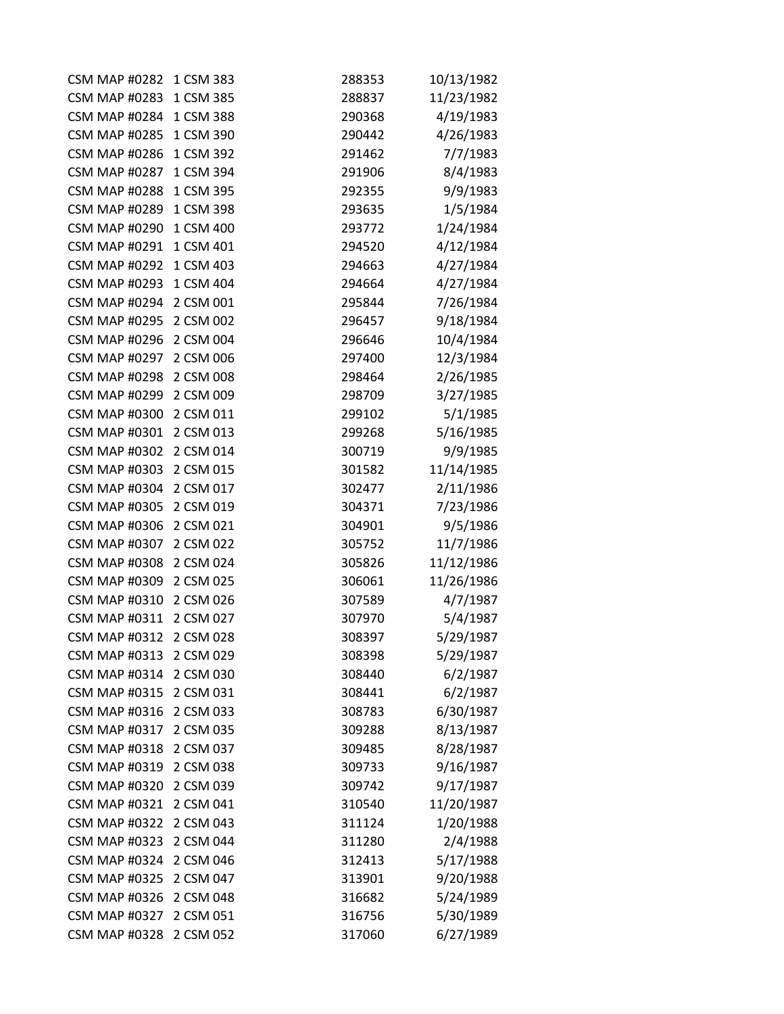| <b>CSM MAP #0282</b> | 1 CSM 383 | 288353 | 10/13/1982 |
|----------------------|-----------|--------|------------|
| <b>CSM MAP #0283</b> | 1 CSM 385 | 288837 | 11/23/1982 |
| <b>CSM MAP #0284</b> | 1 CSM 388 | 290368 | 4/19/1983  |
| <b>CSM MAP #0285</b> | 1 CSM 390 | 290442 | 4/26/1983  |
| <b>CSM MAP #0286</b> | 1 CSM 392 | 291462 | 7/7/1983   |
| <b>CSM MAP #0287</b> | 1 CSM 394 | 291906 | 8/4/1983   |
| <b>CSM MAP #0288</b> | 1 CSM 395 | 292355 | 9/9/1983   |
| <b>CSM MAP #0289</b> | 1 CSM 398 | 293635 | 1/5/1984   |
| <b>CSM MAP #0290</b> | 1 CSM 400 | 293772 | 1/24/1984  |
| <b>CSM MAP #0291</b> | 1 CSM 401 | 294520 | 4/12/1984  |
| <b>CSM MAP #0292</b> | 1 CSM 403 | 294663 | 4/27/1984  |
| <b>CSM MAP #0293</b> | 1 CSM 404 | 294664 | 4/27/1984  |
| <b>CSM MAP #0294</b> | 2 CSM 001 | 295844 | 7/26/1984  |
| <b>CSM MAP #0295</b> | 2 CSM 002 | 296457 | 9/18/1984  |
| <b>CSM MAP #0296</b> | 2 CSM 004 | 296646 | 10/4/1984  |
| <b>CSM MAP #0297</b> | 2 CSM 006 | 297400 | 12/3/1984  |
| <b>CSM MAP #0298</b> | 2 CSM 008 | 298464 | 2/26/1985  |
| <b>CSM MAP #0299</b> | 2 CSM 009 | 298709 | 3/27/1985  |
| <b>CSM MAP #0300</b> | 2 CSM 011 | 299102 | 5/1/1985   |
| <b>CSM MAP #0301</b> | 2 CSM 013 | 299268 | 5/16/1985  |
| <b>CSM MAP #0302</b> | 2 CSM 014 | 300719 | 9/9/1985   |
| <b>CSM MAP #0303</b> | 2 CSM 015 | 301582 | 11/14/1985 |
| <b>CSM MAP #0304</b> | 2 CSM 017 | 302477 | 2/11/1986  |
| <b>CSM MAP #0305</b> | 2 CSM 019 | 304371 | 7/23/1986  |
| <b>CSM MAP #0306</b> | 2 CSM 021 | 304901 | 9/5/1986   |
| <b>CSM MAP #0307</b> | 2 CSM 022 | 305752 | 11/7/1986  |
| <b>CSM MAP #0308</b> | 2 CSM 024 | 305826 | 11/12/1986 |
| <b>CSM MAP #0309</b> | 2 CSM 025 | 306061 | 11/26/1986 |
| <b>CSM MAP #0310</b> | 2 CSM 026 | 307589 | 4/7/1987   |
| <b>CSM MAP #0311</b> | 2 CSM 027 | 307970 | 5/4/1987   |
| <b>CSM MAP #0312</b> | 2 CSM 028 | 308397 | 5/29/1987  |
| <b>CSM MAP #0313</b> | 2 CSM 029 | 308398 | 5/29/1987  |
| <b>CSM MAP #0314</b> | 2 CSM 030 | 308440 | 6/2/1987   |
| <b>CSM MAP #0315</b> | 2 CSM 031 | 308441 | 6/2/1987   |
| <b>CSM MAP #0316</b> | 2 CSM 033 | 308783 | 6/30/1987  |
| <b>CSM MAP #0317</b> | 2 CSM 035 | 309288 | 8/13/1987  |
| <b>CSM MAP #0318</b> | 2 CSM 037 | 309485 | 8/28/1987  |
| <b>CSM MAP #0319</b> | 2 CSM 038 | 309733 | 9/16/1987  |
| <b>CSM MAP #0320</b> | 2 CSM 039 | 309742 | 9/17/1987  |
| <b>CSM MAP #0321</b> | 2 CSM 041 | 310540 | 11/20/1987 |
| <b>CSM MAP #0322</b> | 2 CSM 043 | 311124 | 1/20/1988  |
| <b>CSM MAP #0323</b> | 2 CSM 044 | 311280 | 2/4/1988   |
| <b>CSM MAP #0324</b> | 2 CSM 046 | 312413 | 5/17/1988  |
| <b>CSM MAP #0325</b> | 2 CSM 047 | 313901 | 9/20/1988  |
| <b>CSM MAP #0326</b> | 2 CSM 048 | 316682 | 5/24/1989  |
| <b>CSM MAP #0327</b> | 2 CSM 051 | 316756 | 5/30/1989  |
| <b>CSM MAP #0328</b> | 2 CSM 052 | 317060 | 6/27/1989  |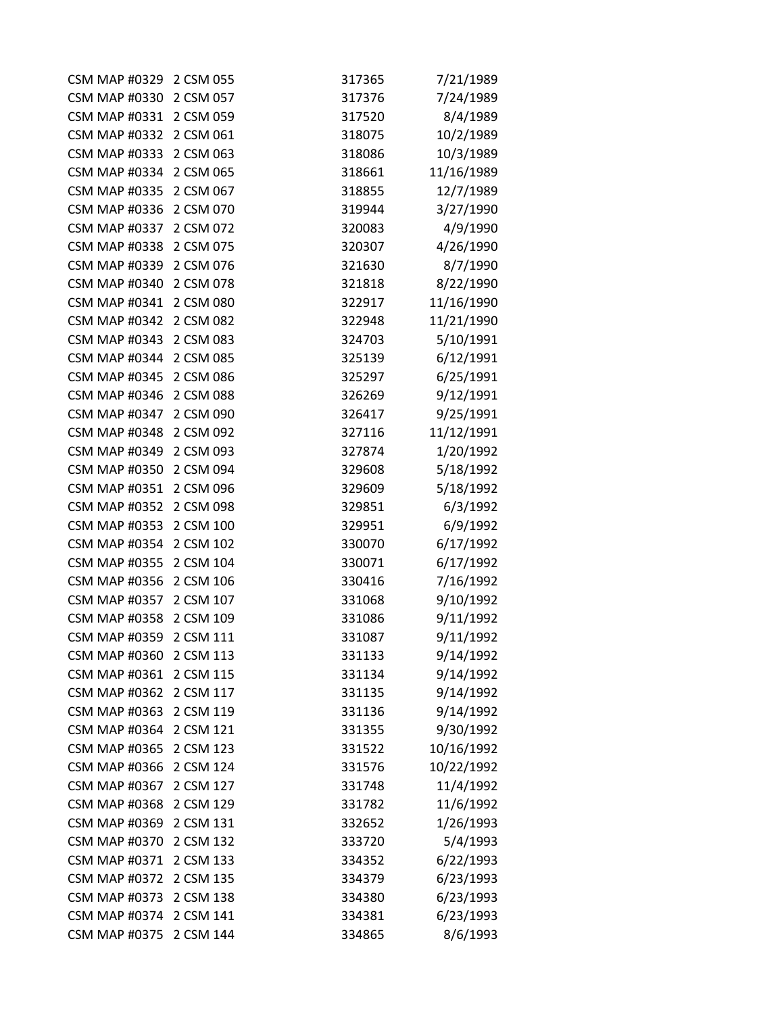| <b>CSM MAP #0329</b> | 2 CSM 055 | 317365 | 7/21/1989  |
|----------------------|-----------|--------|------------|
| <b>CSM MAP #0330</b> | 2 CSM 057 | 317376 | 7/24/1989  |
| <b>CSM MAP #0331</b> | 2 CSM 059 | 317520 | 8/4/1989   |
| <b>CSM MAP #0332</b> | 2 CSM 061 | 318075 | 10/2/1989  |
| <b>CSM MAP #0333</b> | 2 CSM 063 | 318086 | 10/3/1989  |
| <b>CSM MAP #0334</b> | 2 CSM 065 | 318661 | 11/16/1989 |
| <b>CSM MAP #0335</b> | 2 CSM 067 | 318855 | 12/7/1989  |
| <b>CSM MAP #0336</b> | 2 CSM 070 | 319944 | 3/27/1990  |
| <b>CSM MAP #0337</b> | 2 CSM 072 | 320083 | 4/9/1990   |
| <b>CSM MAP #0338</b> | 2 CSM 075 | 320307 | 4/26/1990  |
| <b>CSM MAP #0339</b> | 2 CSM 076 | 321630 | 8/7/1990   |
| <b>CSM MAP #0340</b> | 2 CSM 078 | 321818 | 8/22/1990  |
| <b>CSM MAP #0341</b> | 2 CSM 080 | 322917 | 11/16/1990 |
| <b>CSM MAP #0342</b> | 2 CSM 082 | 322948 | 11/21/1990 |
| <b>CSM MAP #0343</b> | 2 CSM 083 | 324703 | 5/10/1991  |
| <b>CSM MAP #0344</b> | 2 CSM 085 | 325139 | 6/12/1991  |
| <b>CSM MAP #0345</b> | 2 CSM 086 | 325297 | 6/25/1991  |
| <b>CSM MAP #0346</b> | 2 CSM 088 | 326269 | 9/12/1991  |
| <b>CSM MAP #0347</b> | 2 CSM 090 | 326417 | 9/25/1991  |
| <b>CSM MAP #0348</b> | 2 CSM 092 | 327116 | 11/12/1991 |
| <b>CSM MAP #0349</b> | 2 CSM 093 | 327874 | 1/20/1992  |
| <b>CSM MAP #0350</b> | 2 CSM 094 | 329608 | 5/18/1992  |
| <b>CSM MAP #0351</b> | 2 CSM 096 | 329609 | 5/18/1992  |
| <b>CSM MAP #0352</b> | 2 CSM 098 | 329851 | 6/3/1992   |
| <b>CSM MAP #0353</b> | 2 CSM 100 | 329951 | 6/9/1992   |
| <b>CSM MAP #0354</b> | 2 CSM 102 | 330070 | 6/17/1992  |
| <b>CSM MAP #0355</b> | 2 CSM 104 | 330071 | 6/17/1992  |
| <b>CSM MAP #0356</b> | 2 CSM 106 | 330416 | 7/16/1992  |
| <b>CSM MAP #0357</b> | 2 CSM 107 | 331068 | 9/10/1992  |
| <b>CSM MAP #0358</b> | 2 CSM 109 | 331086 | 9/11/1992  |
| <b>CSM MAP #0359</b> | 2 CSM 111 | 331087 | 9/11/1992  |
| <b>CSM MAP #0360</b> | 2 CSM 113 | 331133 | 9/14/1992  |
| <b>CSM MAP #0361</b> | 2 CSM 115 | 331134 | 9/14/1992  |
| <b>CSM MAP #0362</b> | 2 CSM 117 | 331135 | 9/14/1992  |
| <b>CSM MAP #0363</b> | 2 CSM 119 | 331136 | 9/14/1992  |
| <b>CSM MAP #0364</b> | 2 CSM 121 | 331355 | 9/30/1992  |
| <b>CSM MAP #0365</b> | 2 CSM 123 | 331522 | 10/16/1992 |
| <b>CSM MAP #0366</b> | 2 CSM 124 | 331576 | 10/22/1992 |
| <b>CSM MAP #0367</b> | 2 CSM 127 | 331748 | 11/4/1992  |
| <b>CSM MAP #0368</b> | 2 CSM 129 | 331782 | 11/6/1992  |
| <b>CSM MAP #0369</b> | 2 CSM 131 | 332652 | 1/26/1993  |
| <b>CSM MAP #0370</b> | 2 CSM 132 | 333720 | 5/4/1993   |
| <b>CSM MAP #0371</b> | 2 CSM 133 | 334352 | 6/22/1993  |
| <b>CSM MAP #0372</b> | 2 CSM 135 | 334379 | 6/23/1993  |
| <b>CSM MAP #0373</b> | 2 CSM 138 | 334380 | 6/23/1993  |
| <b>CSM MAP #0374</b> | 2 CSM 141 | 334381 | 6/23/1993  |
| <b>CSM MAP #0375</b> | 2 CSM 144 | 334865 | 8/6/1993   |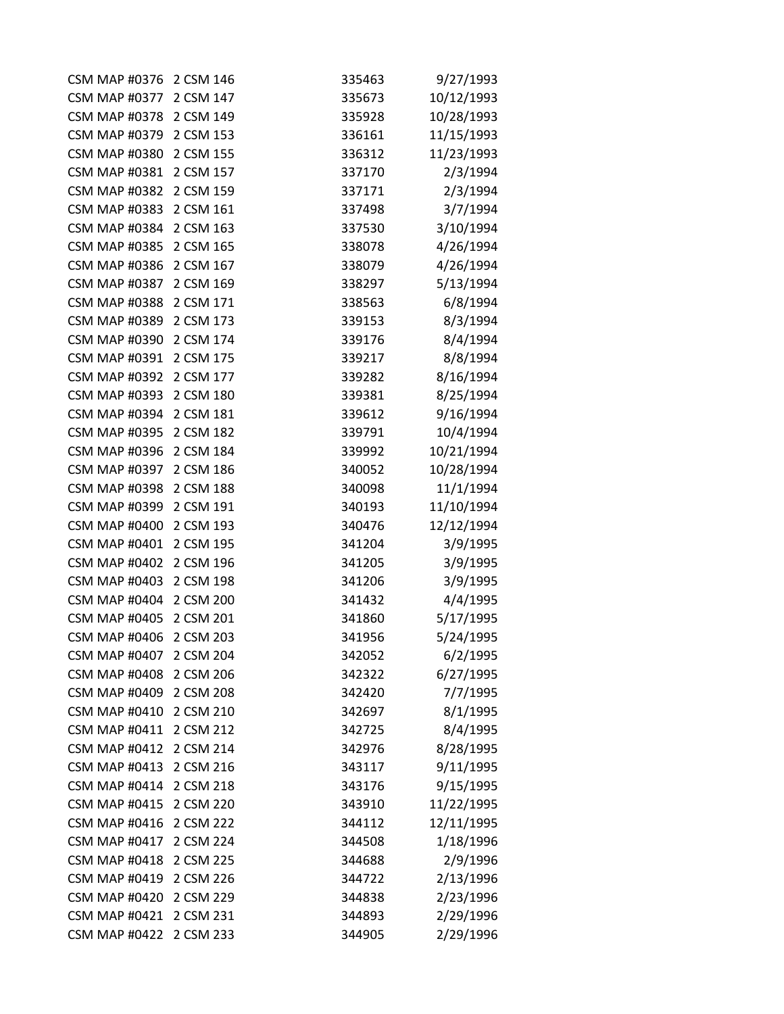| <b>CSM MAP #0376</b>    | 2 CSM 146 | 335463 | 9/27/1993  |
|-------------------------|-----------|--------|------------|
| <b>CSM MAP #0377</b>    | 2 CSM 147 | 335673 | 10/12/1993 |
| CSM MAP #0378 2 CSM 149 |           | 335928 | 10/28/1993 |
| <b>CSM MAP #0379</b>    | 2 CSM 153 | 336161 | 11/15/1993 |
| <b>CSM MAP #0380</b>    | 2 CSM 155 | 336312 | 11/23/1993 |
| <b>CSM MAP #0381</b>    | 2 CSM 157 | 337170 | 2/3/1994   |
| <b>CSM MAP #0382</b>    | 2 CSM 159 | 337171 | 2/3/1994   |
| <b>CSM MAP #0383</b>    | 2 CSM 161 | 337498 | 3/7/1994   |
| <b>CSM MAP #0384</b>    | 2 CSM 163 | 337530 | 3/10/1994  |
| <b>CSM MAP #0385</b>    | 2 CSM 165 | 338078 | 4/26/1994  |
| <b>CSM MAP #0386</b>    | 2 CSM 167 | 338079 | 4/26/1994  |
| <b>CSM MAP #0387</b>    | 2 CSM 169 | 338297 | 5/13/1994  |
| <b>CSM MAP #0388</b>    | 2 CSM 171 | 338563 | 6/8/1994   |
| <b>CSM MAP #0389</b>    | 2 CSM 173 | 339153 | 8/3/1994   |
| <b>CSM MAP #0390</b>    | 2 CSM 174 | 339176 | 8/4/1994   |
| <b>CSM MAP #0391</b>    | 2 CSM 175 | 339217 | 8/8/1994   |
| <b>CSM MAP #0392</b>    | 2 CSM 177 | 339282 | 8/16/1994  |
| <b>CSM MAP #0393</b>    | 2 CSM 180 | 339381 | 8/25/1994  |
| <b>CSM MAP #0394</b>    | 2 CSM 181 | 339612 | 9/16/1994  |
| <b>CSM MAP #0395</b>    | 2 CSM 182 | 339791 | 10/4/1994  |
| <b>CSM MAP #0396</b>    | 2 CSM 184 | 339992 | 10/21/1994 |
| <b>CSM MAP #0397</b>    | 2 CSM 186 | 340052 | 10/28/1994 |
| <b>CSM MAP #0398</b>    | 2 CSM 188 | 340098 | 11/1/1994  |
| <b>CSM MAP #0399</b>    | 2 CSM 191 | 340193 | 11/10/1994 |
| <b>CSM MAP #0400</b>    | 2 CSM 193 | 340476 | 12/12/1994 |
| <b>CSM MAP #0401</b>    | 2 CSM 195 | 341204 | 3/9/1995   |
| <b>CSM MAP #0402</b>    | 2 CSM 196 | 341205 | 3/9/1995   |
| <b>CSM MAP #0403</b>    | 2 CSM 198 | 341206 | 3/9/1995   |
| <b>CSM MAP #0404</b>    | 2 CSM 200 | 341432 | 4/4/1995   |
| <b>CSM MAP #0405</b>    | 2 CSM 201 | 341860 | 5/17/1995  |
| <b>CSM MAP #0406</b>    | 2 CSM 203 | 341956 | 5/24/1995  |
| <b>CSM MAP #0407</b>    | 2 CSM 204 | 342052 | 6/2/1995   |
| <b>CSM MAP #0408</b>    | 2 CSM 206 | 342322 | 6/27/1995  |
| <b>CSM MAP #0409</b>    | 2 CSM 208 | 342420 | 7/7/1995   |
| <b>CSM MAP #0410</b>    | 2 CSM 210 | 342697 | 8/1/1995   |
| <b>CSM MAP #0411</b>    | 2 CSM 212 | 342725 | 8/4/1995   |
| <b>CSM MAP #0412</b>    | 2 CSM 214 | 342976 | 8/28/1995  |
| <b>CSM MAP #0413</b>    | 2 CSM 216 | 343117 | 9/11/1995  |
| <b>CSM MAP #0414</b>    | 2 CSM 218 | 343176 | 9/15/1995  |
| <b>CSM MAP #0415</b>    | 2 CSM 220 | 343910 | 11/22/1995 |
| <b>CSM MAP #0416</b>    | 2 CSM 222 | 344112 | 12/11/1995 |
| <b>CSM MAP #0417</b>    | 2 CSM 224 | 344508 | 1/18/1996  |
| <b>CSM MAP #0418</b>    | 2 CSM 225 | 344688 | 2/9/1996   |
| <b>CSM MAP #0419</b>    | 2 CSM 226 | 344722 | 2/13/1996  |
| <b>CSM MAP #0420</b>    | 2 CSM 229 | 344838 | 2/23/1996  |
| <b>CSM MAP #0421</b>    | 2 CSM 231 | 344893 | 2/29/1996  |
| <b>CSM MAP #0422</b>    | 2 CSM 233 | 344905 | 2/29/1996  |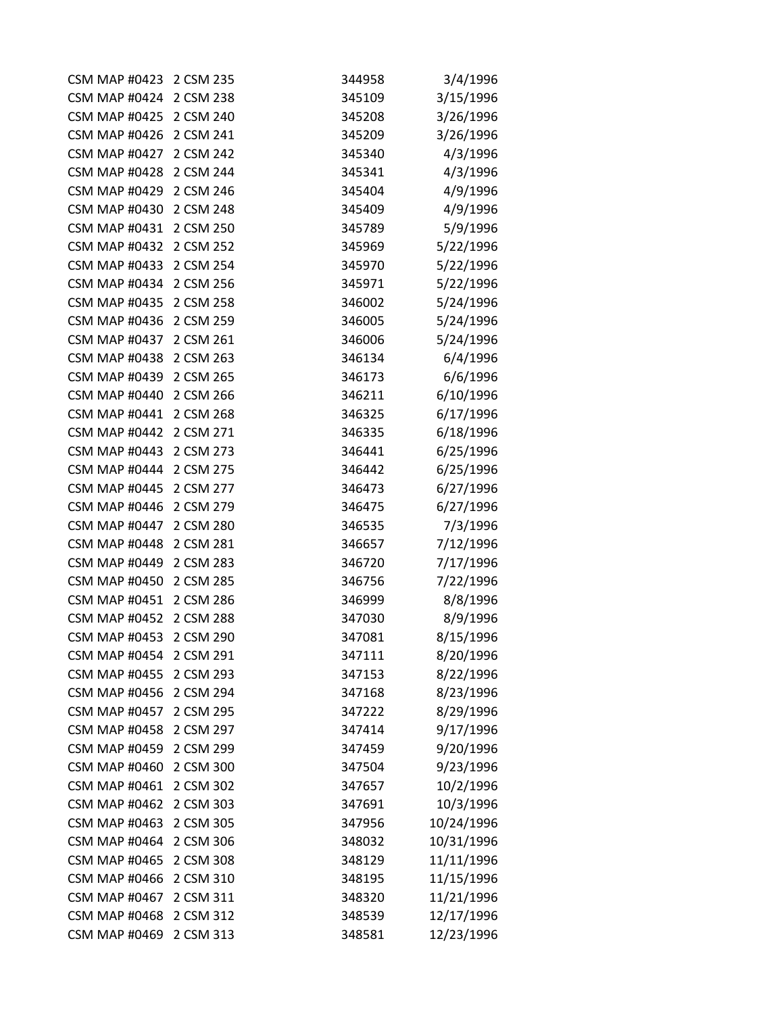| <b>CSM MAP #0423</b> | 2 CSM 235 | 344958 | 3/4/1996   |
|----------------------|-----------|--------|------------|
| <b>CSM MAP #0424</b> | 2 CSM 238 | 345109 | 3/15/1996  |
| <b>CSM MAP #0425</b> | 2 CSM 240 | 345208 | 3/26/1996  |
| <b>CSM MAP #0426</b> | 2 CSM 241 | 345209 | 3/26/1996  |
| <b>CSM MAP #0427</b> | 2 CSM 242 | 345340 | 4/3/1996   |
| <b>CSM MAP #0428</b> | 2 CSM 244 | 345341 | 4/3/1996   |
| <b>CSM MAP #0429</b> | 2 CSM 246 | 345404 | 4/9/1996   |
| <b>CSM MAP #0430</b> | 2 CSM 248 | 345409 | 4/9/1996   |
| <b>CSM MAP #0431</b> | 2 CSM 250 | 345789 | 5/9/1996   |
| <b>CSM MAP #0432</b> | 2 CSM 252 | 345969 | 5/22/1996  |
| <b>CSM MAP #0433</b> | 2 CSM 254 | 345970 | 5/22/1996  |
| <b>CSM MAP #0434</b> | 2 CSM 256 | 345971 | 5/22/1996  |
| <b>CSM MAP #0435</b> | 2 CSM 258 | 346002 | 5/24/1996  |
| <b>CSM MAP #0436</b> | 2 CSM 259 | 346005 | 5/24/1996  |
| <b>CSM MAP #0437</b> | 2 CSM 261 | 346006 | 5/24/1996  |
| <b>CSM MAP #0438</b> | 2 CSM 263 | 346134 | 6/4/1996   |
| <b>CSM MAP #0439</b> | 2 CSM 265 | 346173 | 6/6/1996   |
| <b>CSM MAP #0440</b> | 2 CSM 266 | 346211 | 6/10/1996  |
| <b>CSM MAP #0441</b> | 2 CSM 268 | 346325 | 6/17/1996  |
| <b>CSM MAP #0442</b> | 2 CSM 271 | 346335 | 6/18/1996  |
| <b>CSM MAP #0443</b> | 2 CSM 273 | 346441 | 6/25/1996  |
| <b>CSM MAP #0444</b> | 2 CSM 275 | 346442 | 6/25/1996  |
| <b>CSM MAP #0445</b> | 2 CSM 277 | 346473 | 6/27/1996  |
| <b>CSM MAP #0446</b> | 2 CSM 279 | 346475 | 6/27/1996  |
| <b>CSM MAP #0447</b> | 2 CSM 280 | 346535 | 7/3/1996   |
| <b>CSM MAP #0448</b> | 2 CSM 281 | 346657 | 7/12/1996  |
| <b>CSM MAP #0449</b> | 2 CSM 283 | 346720 | 7/17/1996  |
| <b>CSM MAP #0450</b> | 2 CSM 285 | 346756 | 7/22/1996  |
| <b>CSM MAP #0451</b> | 2 CSM 286 | 346999 | 8/8/1996   |
| <b>CSM MAP #0452</b> | 2 CSM 288 | 347030 | 8/9/1996   |
| <b>CSM MAP #0453</b> | 2 CSM 290 | 347081 | 8/15/1996  |
| <b>CSM MAP #0454</b> | 2 CSM 291 | 347111 | 8/20/1996  |
| <b>CSM MAP #0455</b> | 2 CSM 293 | 347153 | 8/22/1996  |
| <b>CSM MAP #0456</b> | 2 CSM 294 | 347168 | 8/23/1996  |
| <b>CSM MAP #0457</b> | 2 CSM 295 | 347222 | 8/29/1996  |
| <b>CSM MAP #0458</b> | 2 CSM 297 | 347414 | 9/17/1996  |
| <b>CSM MAP #0459</b> | 2 CSM 299 | 347459 | 9/20/1996  |
| <b>CSM MAP #0460</b> | 2 CSM 300 | 347504 | 9/23/1996  |
| <b>CSM MAP #0461</b> | 2 CSM 302 | 347657 | 10/2/1996  |
| <b>CSM MAP #0462</b> | 2 CSM 303 | 347691 | 10/3/1996  |
| <b>CSM MAP #0463</b> | 2 CSM 305 | 347956 | 10/24/1996 |
| <b>CSM MAP #0464</b> | 2 CSM 306 | 348032 | 10/31/1996 |
| <b>CSM MAP #0465</b> | 2 CSM 308 | 348129 | 11/11/1996 |
| <b>CSM MAP #0466</b> | 2 CSM 310 | 348195 | 11/15/1996 |
| <b>CSM MAP #0467</b> | 2 CSM 311 | 348320 | 11/21/1996 |
| <b>CSM MAP #0468</b> | 2 CSM 312 | 348539 | 12/17/1996 |
| <b>CSM MAP #0469</b> | 2 CSM 313 | 348581 | 12/23/1996 |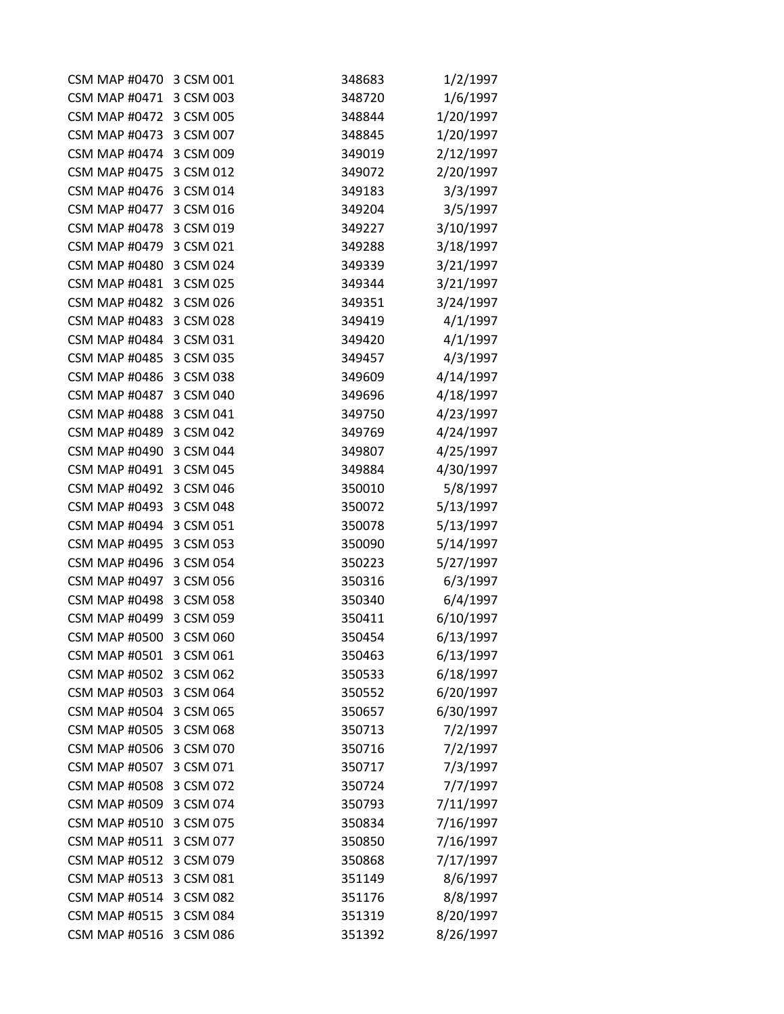| CSM MAP #0470 3 CSM 001 |           | 348683 | 1/2/1997  |
|-------------------------|-----------|--------|-----------|
| <b>CSM MAP #0471</b>    | 3 CSM 003 | 348720 | 1/6/1997  |
| CSM MAP #0472 3 CSM 005 |           | 348844 | 1/20/1997 |
| <b>CSM MAP #0473</b>    | 3 CSM 007 | 348845 | 1/20/1997 |
| <b>CSM MAP #0474</b>    | 3 CSM 009 | 349019 | 2/12/1997 |
| <b>CSM MAP #0475</b>    | 3 CSM 012 | 349072 | 2/20/1997 |
| <b>CSM MAP #0476</b>    | 3 CSM 014 | 349183 | 3/3/1997  |
| <b>CSM MAP #0477</b>    | 3 CSM 016 | 349204 | 3/5/1997  |
| <b>CSM MAP #0478</b>    | 3 CSM 019 | 349227 | 3/10/1997 |
| <b>CSM MAP #0479</b>    | 3 CSM 021 | 349288 | 3/18/1997 |
| <b>CSM MAP #0480</b>    | 3 CSM 024 | 349339 | 3/21/1997 |
| <b>CSM MAP #0481</b>    | 3 CSM 025 | 349344 | 3/21/1997 |
| <b>CSM MAP #0482</b>    | 3 CSM 026 | 349351 | 3/24/1997 |
| <b>CSM MAP #0483</b>    | 3 CSM 028 | 349419 | 4/1/1997  |
| <b>CSM MAP #0484</b>    | 3 CSM 031 | 349420 | 4/1/1997  |
| <b>CSM MAP #0485</b>    | 3 CSM 035 | 349457 | 4/3/1997  |
| <b>CSM MAP #0486</b>    | 3 CSM 038 | 349609 | 4/14/1997 |
| <b>CSM MAP #0487</b>    | 3 CSM 040 | 349696 | 4/18/1997 |
| <b>CSM MAP #0488</b>    | 3 CSM 041 | 349750 | 4/23/1997 |
| <b>CSM MAP #0489</b>    | 3 CSM 042 | 349769 | 4/24/1997 |
| <b>CSM MAP #0490</b>    | 3 CSM 044 | 349807 | 4/25/1997 |
| <b>CSM MAP #0491</b>    | 3 CSM 045 | 349884 | 4/30/1997 |
| <b>CSM MAP #0492</b>    | 3 CSM 046 | 350010 | 5/8/1997  |
| <b>CSM MAP #0493</b>    | 3 CSM 048 | 350072 | 5/13/1997 |
| <b>CSM MAP #0494</b>    | 3 CSM 051 | 350078 | 5/13/1997 |
| <b>CSM MAP #0495</b>    | 3 CSM 053 | 350090 | 5/14/1997 |
| <b>CSM MAP #0496</b>    | 3 CSM 054 | 350223 | 5/27/1997 |
| <b>CSM MAP #0497</b>    | 3 CSM 056 | 350316 | 6/3/1997  |
| <b>CSM MAP #0498</b>    | 3 CSM 058 | 350340 | 6/4/1997  |
| <b>CSM MAP #0499</b>    | 3 CSM 059 | 350411 | 6/10/1997 |
| <b>CSM MAP #0500</b>    | 3 CSM 060 | 350454 | 6/13/1997 |
| <b>CSM MAP #0501</b>    | 3 CSM 061 | 350463 | 6/13/1997 |
| <b>CSM MAP #0502</b>    | 3 CSM 062 | 350533 | 6/18/1997 |
| <b>CSM MAP #0503</b>    | 3 CSM 064 | 350552 | 6/20/1997 |
| <b>CSM MAP #0504</b>    | 3 CSM 065 | 350657 | 6/30/1997 |
| <b>CSM MAP #0505</b>    | 3 CSM 068 | 350713 | 7/2/1997  |
| <b>CSM MAP #0506</b>    | 3 CSM 070 | 350716 | 7/2/1997  |
| <b>CSM MAP #0507</b>    | 3 CSM 071 | 350717 | 7/3/1997  |
| <b>CSM MAP #0508</b>    | 3 CSM 072 | 350724 | 7/7/1997  |
| <b>CSM MAP #0509</b>    | 3 CSM 074 | 350793 | 7/11/1997 |
| <b>CSM MAP #0510</b>    | 3 CSM 075 | 350834 | 7/16/1997 |
| <b>CSM MAP #0511</b>    | 3 CSM 077 | 350850 | 7/16/1997 |
| <b>CSM MAP #0512</b>    | 3 CSM 079 | 350868 | 7/17/1997 |
| <b>CSM MAP #0513</b>    | 3 CSM 081 | 351149 | 8/6/1997  |
| <b>CSM MAP #0514</b>    | 3 CSM 082 | 351176 | 8/8/1997  |
| <b>CSM MAP #0515</b>    | 3 CSM 084 | 351319 | 8/20/1997 |
| <b>CSM MAP #0516</b>    | 3 CSM 086 | 351392 | 8/26/1997 |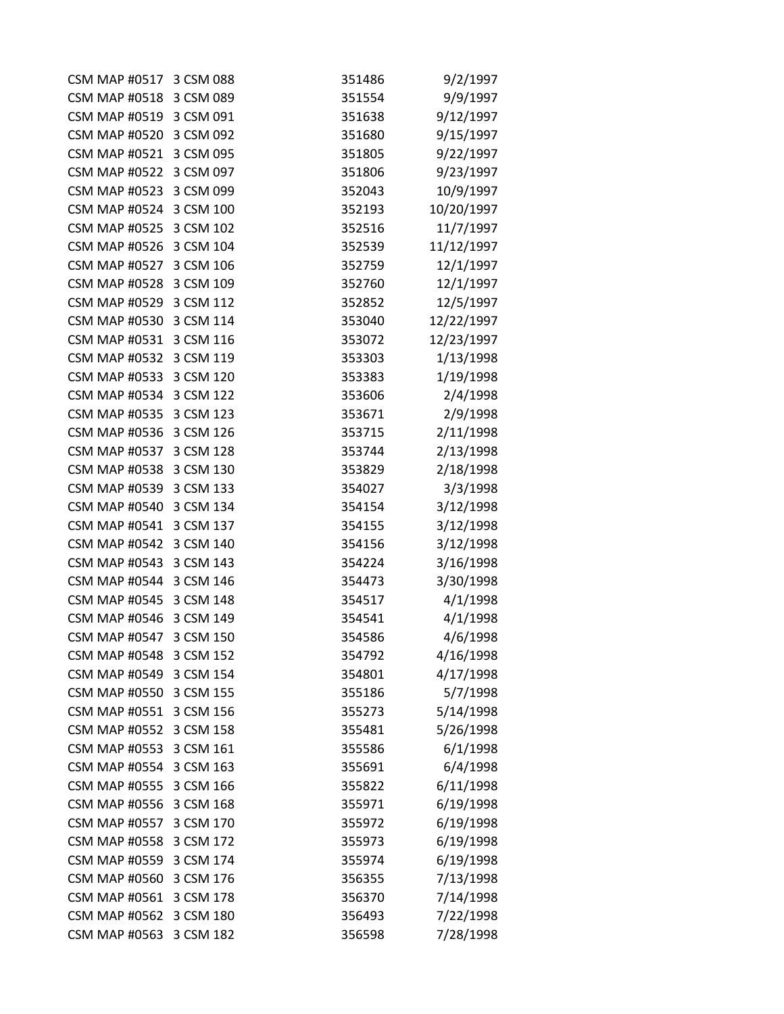| CSM MAP #0517 3 CSM 088 |           | 351486 | 9/2/1997   |
|-------------------------|-----------|--------|------------|
| CSM MAP #0518 3 CSM 089 |           | 351554 | 9/9/1997   |
| CSM MAP #0519 3 CSM 091 |           | 351638 | 9/12/1997  |
| <b>CSM MAP #0520</b>    | 3 CSM 092 | 351680 | 9/15/1997  |
| <b>CSM MAP #0521</b>    | 3 CSM 095 | 351805 | 9/22/1997  |
| <b>CSM MAP #0522</b>    | 3 CSM 097 | 351806 | 9/23/1997  |
| CSM MAP #0523 3 CSM 099 |           | 352043 | 10/9/1997  |
| CSM MAP #0524 3 CSM 100 |           | 352193 | 10/20/1997 |
| <b>CSM MAP #0525</b>    | 3 CSM 102 | 352516 | 11/7/1997  |
| <b>CSM MAP #0526</b>    | 3 CSM 104 | 352539 | 11/12/1997 |
| <b>CSM MAP #0527</b>    | 3 CSM 106 | 352759 | 12/1/1997  |
| CSM MAP #0528 3 CSM 109 |           | 352760 | 12/1/1997  |
| CSM MAP #0529 3 CSM 112 |           | 352852 | 12/5/1997  |
| <b>CSM MAP #0530</b>    | 3 CSM 114 | 353040 | 12/22/1997 |
| <b>CSM MAP #0531</b>    | 3 CSM 116 | 353072 | 12/23/1997 |
| <b>CSM MAP #0532</b>    | 3 CSM 119 | 353303 | 1/13/1998  |
| <b>CSM MAP #0533</b>    | 3 CSM 120 | 353383 | 1/19/1998  |
| <b>CSM MAP #0534</b>    | 3 CSM 122 | 353606 | 2/4/1998   |
| <b>CSM MAP #0535</b>    | 3 CSM 123 | 353671 | 2/9/1998   |
| <b>CSM MAP #0536</b>    | 3 CSM 126 | 353715 | 2/11/1998  |
| <b>CSM MAP #0537</b>    | 3 CSM 128 | 353744 | 2/13/1998  |
| CSM MAP #0538 3 CSM 130 |           | 353829 | 2/18/1998  |
| <b>CSM MAP #0539</b>    | 3 CSM 133 | 354027 | 3/3/1998   |
| <b>CSM MAP #0540</b>    | 3 CSM 134 | 354154 | 3/12/1998  |
| <b>CSM MAP #0541</b>    | 3 CSM 137 | 354155 | 3/12/1998  |
| <b>CSM MAP #0542</b>    | 3 CSM 140 | 354156 | 3/12/1998  |
| <b>CSM MAP #0543</b>    | 3 CSM 143 | 354224 | 3/16/1998  |
| <b>CSM MAP #0544</b>    | 3 CSM 146 | 354473 | 3/30/1998  |
| <b>CSM MAP #0545</b>    | 3 CSM 148 | 354517 | 4/1/1998   |
| <b>CSM MAP #0546</b>    | 3 CSM 149 | 354541 | 4/1/1998   |
| <b>CSM MAP #0547</b>    | 3 CSM 150 | 354586 | 4/6/1998   |
| <b>CSM MAP #0548</b>    | 3 CSM 152 | 354792 | 4/16/1998  |
| <b>CSM MAP #0549</b>    | 3 CSM 154 | 354801 | 4/17/1998  |
| <b>CSM MAP #0550</b>    | 3 CSM 155 | 355186 | 5/7/1998   |
| <b>CSM MAP #0551</b>    | 3 CSM 156 | 355273 | 5/14/1998  |
| <b>CSM MAP #0552</b>    | 3 CSM 158 | 355481 | 5/26/1998  |
| <b>CSM MAP #0553</b>    | 3 CSM 161 | 355586 | 6/1/1998   |
| <b>CSM MAP #0554</b>    | 3 CSM 163 | 355691 | 6/4/1998   |
| <b>CSM MAP #0555</b>    | 3 CSM 166 | 355822 | 6/11/1998  |
| <b>CSM MAP #0556</b>    | 3 CSM 168 | 355971 | 6/19/1998  |
| <b>CSM MAP #0557</b>    | 3 CSM 170 | 355972 | 6/19/1998  |
| <b>CSM MAP #0558</b>    | 3 CSM 172 | 355973 | 6/19/1998  |
| <b>CSM MAP #0559</b>    | 3 CSM 174 | 355974 | 6/19/1998  |
| <b>CSM MAP #0560</b>    | 3 CSM 176 | 356355 | 7/13/1998  |
| <b>CSM MAP #0561</b>    | 3 CSM 178 | 356370 | 7/14/1998  |
| <b>CSM MAP #0562</b>    | 3 CSM 180 | 356493 | 7/22/1998  |
| <b>CSM MAP #0563</b>    | 3 CSM 182 | 356598 | 7/28/1998  |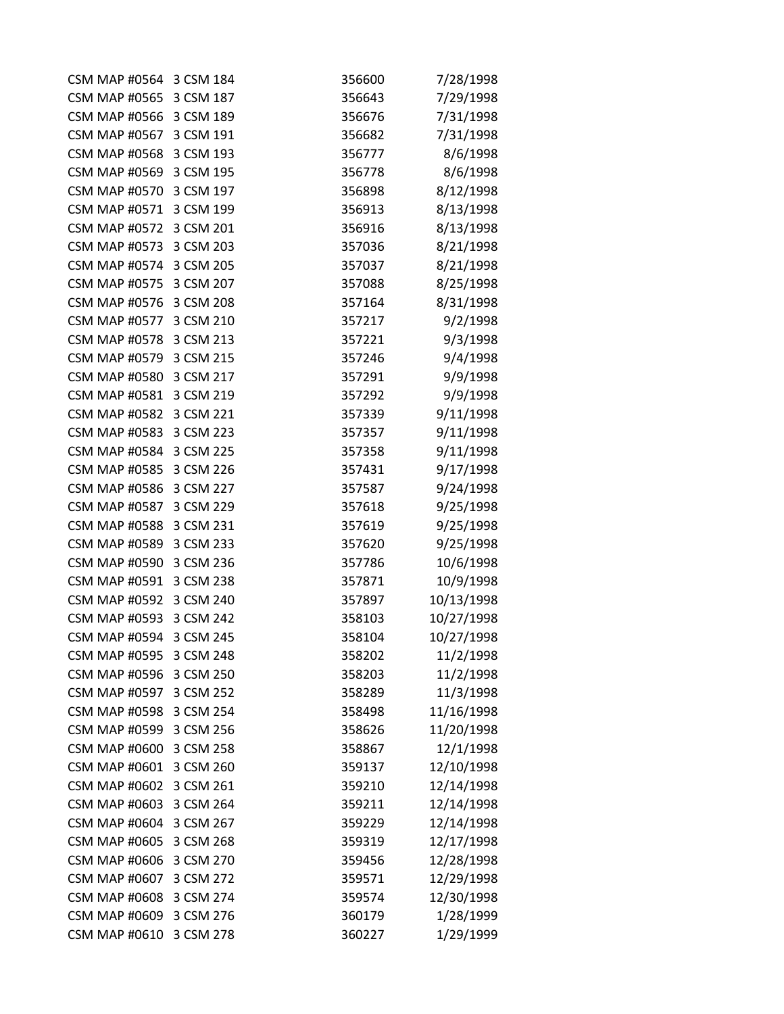| CSM MAP #0564 3 CSM 184 |           | 356600 | 7/28/1998  |
|-------------------------|-----------|--------|------------|
| CSM MAP #0565 3 CSM 187 |           | 356643 | 7/29/1998  |
| CSM MAP #0566 3 CSM 189 |           | 356676 | 7/31/1998  |
| <b>CSM MAP #0567</b>    | 3 CSM 191 | 356682 | 7/31/1998  |
| <b>CSM MAP #0568</b>    | 3 CSM 193 | 356777 | 8/6/1998   |
| <b>CSM MAP #0569</b>    | 3 CSM 195 | 356778 | 8/6/1998   |
| <b>CSM MAP #0570</b>    | 3 CSM 197 | 356898 | 8/12/1998  |
| <b>CSM MAP #0571</b>    | 3 CSM 199 | 356913 | 8/13/1998  |
| <b>CSM MAP #0572</b>    | 3 CSM 201 | 356916 | 8/13/1998  |
| <b>CSM MAP #0573</b>    | 3 CSM 203 | 357036 | 8/21/1998  |
| <b>CSM MAP #0574</b>    | 3 CSM 205 | 357037 | 8/21/1998  |
| CSM MAP #0575 3 CSM 207 |           | 357088 | 8/25/1998  |
| <b>CSM MAP #0576</b>    | 3 CSM 208 | 357164 | 8/31/1998  |
| <b>CSM MAP #0577</b>    | 3 CSM 210 | 357217 | 9/2/1998   |
| CSM MAP #0578 3 CSM 213 |           | 357221 | 9/3/1998   |
| <b>CSM MAP #0579</b>    | 3 CSM 215 | 357246 | 9/4/1998   |
| <b>CSM MAP #0580</b>    | 3 CSM 217 | 357291 | 9/9/1998   |
| <b>CSM MAP #0581</b>    | 3 CSM 219 | 357292 | 9/9/1998   |
| <b>CSM MAP #0582</b>    | 3 CSM 221 | 357339 | 9/11/1998  |
| <b>CSM MAP #0583</b>    | 3 CSM 223 | 357357 | 9/11/1998  |
| CSM MAP #0584 3 CSM 225 |           | 357358 | 9/11/1998  |
| CSM MAP #0585 3 CSM 226 |           | 357431 | 9/17/1998  |
| <b>CSM MAP #0586</b>    | 3 CSM 227 | 357587 | 9/24/1998  |
| <b>CSM MAP #0587</b>    | 3 CSM 229 | 357618 | 9/25/1998  |
| <b>CSM MAP #0588</b>    | 3 CSM 231 | 357619 | 9/25/1998  |
| <b>CSM MAP #0589</b>    | 3 CSM 233 | 357620 | 9/25/1998  |
| <b>CSM MAP #0590</b>    | 3 CSM 236 | 357786 | 10/6/1998  |
| <b>CSM MAP #0591</b>    | 3 CSM 238 | 357871 | 10/9/1998  |
| <b>CSM MAP #0592</b>    | 3 CSM 240 | 357897 | 10/13/1998 |
| <b>CSM MAP #0593</b>    | 3 CSM 242 | 358103 | 10/27/1998 |
| <b>CSM MAP #0594</b>    | 3 CSM 245 | 358104 | 10/27/1998 |
| <b>CSM MAP #0595</b>    | 3 CSM 248 | 358202 | 11/2/1998  |
| <b>CSM MAP #0596</b>    | 3 CSM 250 | 358203 | 11/2/1998  |
| <b>CSM MAP #0597</b>    | 3 CSM 252 | 358289 | 11/3/1998  |
| <b>CSM MAP #0598</b>    | 3 CSM 254 | 358498 | 11/16/1998 |
| <b>CSM MAP #0599</b>    | 3 CSM 256 | 358626 | 11/20/1998 |
| <b>CSM MAP #0600</b>    | 3 CSM 258 | 358867 | 12/1/1998  |
| <b>CSM MAP #0601</b>    | 3 CSM 260 | 359137 | 12/10/1998 |
| <b>CSM MAP #0602</b>    | 3 CSM 261 | 359210 | 12/14/1998 |
| <b>CSM MAP #0603</b>    | 3 CSM 264 | 359211 | 12/14/1998 |
| <b>CSM MAP #0604</b>    | 3 CSM 267 | 359229 | 12/14/1998 |
| <b>CSM MAP #0605</b>    | 3 CSM 268 | 359319 | 12/17/1998 |
| <b>CSM MAP #0606</b>    | 3 CSM 270 | 359456 | 12/28/1998 |
| <b>CSM MAP #0607</b>    | 3 CSM 272 | 359571 | 12/29/1998 |
| <b>CSM MAP #0608</b>    | 3 CSM 274 | 359574 | 12/30/1998 |
| <b>CSM MAP #0609</b>    | 3 CSM 276 | 360179 | 1/28/1999  |
| <b>CSM MAP #0610</b>    | 3 CSM 278 | 360227 | 1/29/1999  |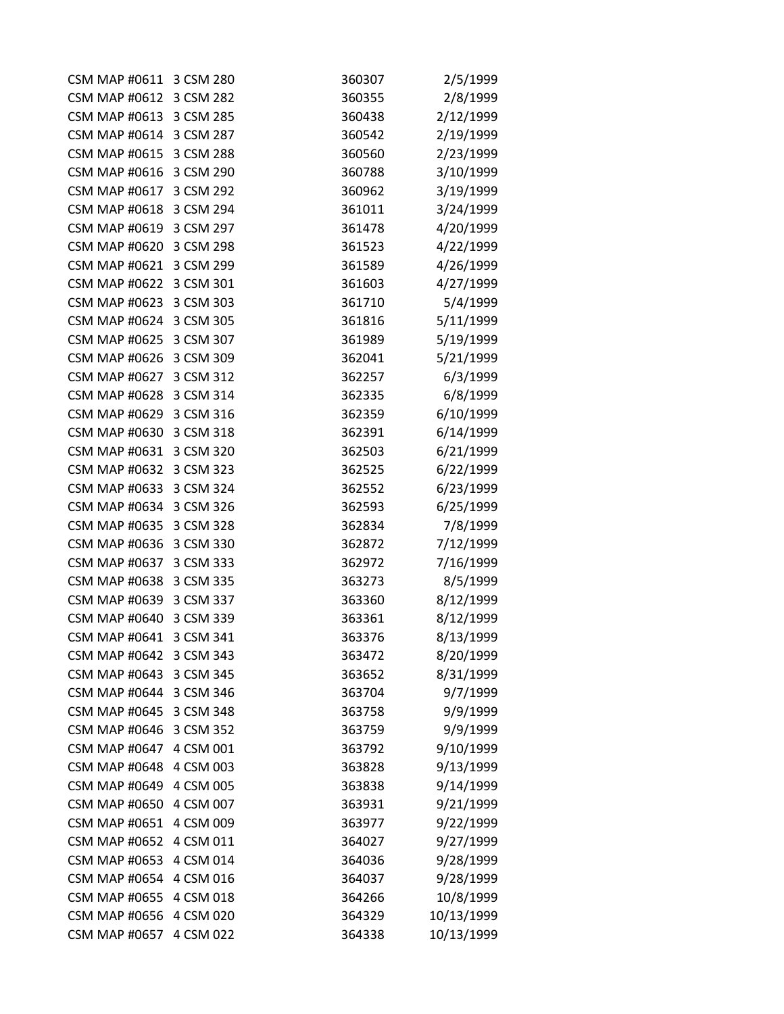| <b>CSM MAP #0611</b>    | 3 CSM 280 | 360307 | 2/5/1999   |
|-------------------------|-----------|--------|------------|
| <b>CSM MAP #0612</b>    | 3 CSM 282 | 360355 | 2/8/1999   |
| CSM MAP #0613 3 CSM 285 |           | 360438 | 2/12/1999  |
| <b>CSM MAP #0614</b>    | 3 CSM 287 | 360542 | 2/19/1999  |
| <b>CSM MAP #0615</b>    | 3 CSM 288 | 360560 | 2/23/1999  |
| <b>CSM MAP #0616</b>    | 3 CSM 290 | 360788 | 3/10/1999  |
| <b>CSM MAP #0617</b>    | 3 CSM 292 | 360962 | 3/19/1999  |
| <b>CSM MAP #0618</b>    | 3 CSM 294 | 361011 | 3/24/1999  |
| <b>CSM MAP #0619</b>    | 3 CSM 297 | 361478 | 4/20/1999  |
| <b>CSM MAP #0620</b>    | 3 CSM 298 | 361523 | 4/22/1999  |
| <b>CSM MAP #0621</b>    | 3 CSM 299 | 361589 | 4/26/1999  |
| <b>CSM MAP #0622</b>    | 3 CSM 301 | 361603 | 4/27/1999  |
| <b>CSM MAP #0623</b>    | 3 CSM 303 | 361710 | 5/4/1999   |
| <b>CSM MAP #0624</b>    | 3 CSM 305 | 361816 | 5/11/1999  |
| CSM MAP #0625 3 CSM 307 |           | 361989 | 5/19/1999  |
| CSM MAP #0626 3 CSM 309 |           | 362041 | 5/21/1999  |
| CSM MAP #0627 3 CSM 312 |           | 362257 | 6/3/1999   |
| <b>CSM MAP #0628</b>    | 3 CSM 314 | 362335 | 6/8/1999   |
| <b>CSM MAP #0629</b>    | 3 CSM 316 | 362359 | 6/10/1999  |
| <b>CSM MAP #0630</b>    | 3 CSM 318 | 362391 | 6/14/1999  |
| <b>CSM MAP #0631</b>    | 3 CSM 320 | 362503 | 6/21/1999  |
| <b>CSM MAP #0632</b>    | 3 CSM 323 | 362525 | 6/22/1999  |
| <b>CSM MAP #0633</b>    | 3 CSM 324 | 362552 | 6/23/1999  |
| <b>CSM MAP #0634</b>    | 3 CSM 326 | 362593 | 6/25/1999  |
| <b>CSM MAP #0635</b>    | 3 CSM 328 | 362834 | 7/8/1999   |
| <b>CSM MAP #0636</b>    | 3 CSM 330 | 362872 | 7/12/1999  |
| <b>CSM MAP #0637</b>    | 3 CSM 333 | 362972 | 7/16/1999  |
| <b>CSM MAP #0638</b>    | 3 CSM 335 | 363273 | 8/5/1999   |
| CSM MAP #0639 3 CSM 337 |           | 363360 | 8/12/1999  |
| <b>CSM MAP #0640</b>    | 3 CSM 339 | 363361 | 8/12/1999  |
| <b>CSM MAP #0641</b>    | 3 CSM 341 | 363376 | 8/13/1999  |
| <b>CSM MAP #0642</b>    | 3 CSM 343 | 363472 | 8/20/1999  |
| <b>CSM MAP #0643</b>    | 3 CSM 345 | 363652 | 8/31/1999  |
| <b>CSM MAP #0644</b>    | 3 CSM 346 | 363704 | 9/7/1999   |
| <b>CSM MAP #0645</b>    | 3 CSM 348 | 363758 | 9/9/1999   |
| <b>CSM MAP #0646</b>    | 3 CSM 352 | 363759 | 9/9/1999   |
| <b>CSM MAP #0647</b>    | 4 CSM 001 | 363792 | 9/10/1999  |
| <b>CSM MAP #0648</b>    | 4 CSM 003 | 363828 | 9/13/1999  |
| <b>CSM MAP #0649</b>    | 4 CSM 005 | 363838 | 9/14/1999  |
| <b>CSM MAP #0650</b>    | 4 CSM 007 | 363931 | 9/21/1999  |
| <b>CSM MAP #0651</b>    | 4 CSM 009 | 363977 | 9/22/1999  |
| <b>CSM MAP #0652</b>    | 4 CSM 011 | 364027 | 9/27/1999  |
| <b>CSM MAP #0653</b>    | 4 CSM 014 | 364036 | 9/28/1999  |
| <b>CSM MAP #0654</b>    | 4 CSM 016 | 364037 | 9/28/1999  |
| <b>CSM MAP #0655</b>    | 4 CSM 018 | 364266 | 10/8/1999  |
| <b>CSM MAP #0656</b>    | 4 CSM 020 | 364329 | 10/13/1999 |
| <b>CSM MAP #0657</b>    | 4 CSM 022 | 364338 | 10/13/1999 |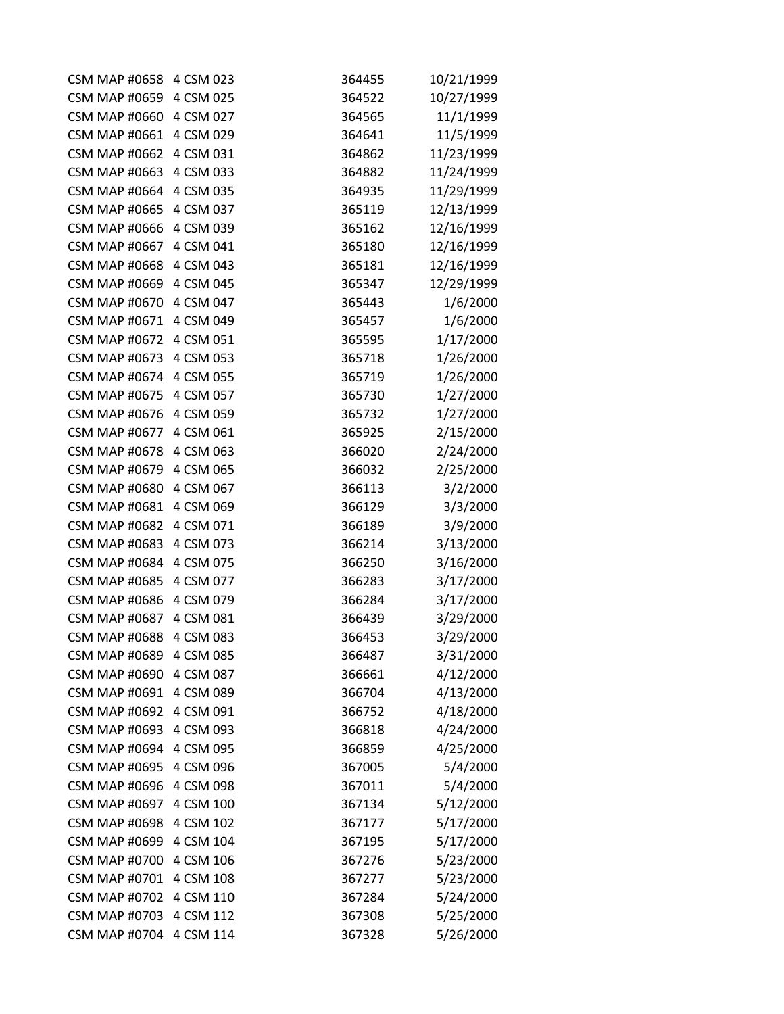| <b>CSM MAP #0658</b>    | 4 CSM 023 | 364455 | 10/21/1999 |
|-------------------------|-----------|--------|------------|
| <b>CSM MAP #0659</b>    | 4 CSM 025 | 364522 | 10/27/1999 |
| <b>CSM MAP #0660</b>    | 4 CSM 027 | 364565 | 11/1/1999  |
| <b>CSM MAP #0661</b>    | 4 CSM 029 | 364641 | 11/5/1999  |
| <b>CSM MAP #0662</b>    | 4 CSM 031 | 364862 | 11/23/1999 |
| <b>CSM MAP #0663</b>    | 4 CSM 033 | 364882 | 11/24/1999 |
| <b>CSM MAP #0664</b>    | 4 CSM 035 | 364935 | 11/29/1999 |
| <b>CSM MAP #0665</b>    | 4 CSM 037 | 365119 | 12/13/1999 |
| <b>CSM MAP #0666</b>    | 4 CSM 039 | 365162 | 12/16/1999 |
| <b>CSM MAP #0667</b>    | 4 CSM 041 | 365180 | 12/16/1999 |
| <b>CSM MAP #0668</b>    | 4 CSM 043 | 365181 | 12/16/1999 |
| <b>CSM MAP #0669</b>    | 4 CSM 045 | 365347 | 12/29/1999 |
| <b>CSM MAP #0670</b>    | 4 CSM 047 | 365443 | 1/6/2000   |
| <b>CSM MAP #0671</b>    | 4 CSM 049 | 365457 | 1/6/2000   |
| CSM MAP #0672 4 CSM 051 |           | 365595 | 1/17/2000  |
| <b>CSM MAP #0673</b>    | 4 CSM 053 | 365718 | 1/26/2000  |
| <b>CSM MAP #0674</b>    | 4 CSM 055 | 365719 | 1/26/2000  |
| <b>CSM MAP #0675</b>    | 4 CSM 057 | 365730 | 1/27/2000  |
| <b>CSM MAP #0676</b>    | 4 CSM 059 | 365732 | 1/27/2000  |
| <b>CSM MAP #0677</b>    | 4 CSM 061 | 365925 | 2/15/2000  |
| CSM MAP #0678 4 CSM 063 |           | 366020 | 2/24/2000  |
| <b>CSM MAP #0679</b>    | 4 CSM 065 | 366032 | 2/25/2000  |
| <b>CSM MAP #0680</b>    | 4 CSM 067 | 366113 | 3/2/2000   |
| <b>CSM MAP #0681</b>    | 4 CSM 069 | 366129 | 3/3/2000   |
| <b>CSM MAP #0682</b>    | 4 CSM 071 | 366189 | 3/9/2000   |
| <b>CSM MAP #0683</b>    | 4 CSM 073 | 366214 | 3/13/2000  |
| <b>CSM MAP #0684</b>    | 4 CSM 075 | 366250 | 3/16/2000  |
| <b>CSM MAP #0685</b>    | 4 CSM 077 | 366283 | 3/17/2000  |
| <b>CSM MAP #0686</b>    | 4 CSM 079 | 366284 | 3/17/2000  |
| <b>CSM MAP #0687</b>    | 4 CSM 081 | 366439 | 3/29/2000  |
| <b>CSM MAP #0688</b>    | 4 CSM 083 | 366453 | 3/29/2000  |
| <b>CSM MAP #0689</b>    | 4 CSM 085 | 366487 | 3/31/2000  |
| <b>CSM MAP #0690</b>    | 4 CSM 087 | 366661 | 4/12/2000  |
| <b>CSM MAP #0691</b>    | 4 CSM 089 | 366704 | 4/13/2000  |
| <b>CSM MAP #0692</b>    | 4 CSM 091 | 366752 | 4/18/2000  |
| <b>CSM MAP #0693</b>    | 4 CSM 093 | 366818 | 4/24/2000  |
| <b>CSM MAP #0694</b>    | 4 CSM 095 | 366859 | 4/25/2000  |
| <b>CSM MAP #0695</b>    | 4 CSM 096 | 367005 | 5/4/2000   |
| <b>CSM MAP #0696</b>    | 4 CSM 098 | 367011 | 5/4/2000   |
| <b>CSM MAP #0697</b>    | 4 CSM 100 | 367134 | 5/12/2000  |
| <b>CSM MAP #0698</b>    | 4 CSM 102 | 367177 | 5/17/2000  |
| <b>CSM MAP #0699</b>    | 4 CSM 104 | 367195 | 5/17/2000  |
| <b>CSM MAP #0700</b>    | 4 CSM 106 | 367276 | 5/23/2000  |
| <b>CSM MAP #0701</b>    | 4 CSM 108 | 367277 | 5/23/2000  |
| <b>CSM MAP #0702</b>    | 4 CSM 110 | 367284 | 5/24/2000  |
| <b>CSM MAP #0703</b>    | 4 CSM 112 | 367308 | 5/25/2000  |
| <b>CSM MAP #0704</b>    | 4 CSM 114 | 367328 | 5/26/2000  |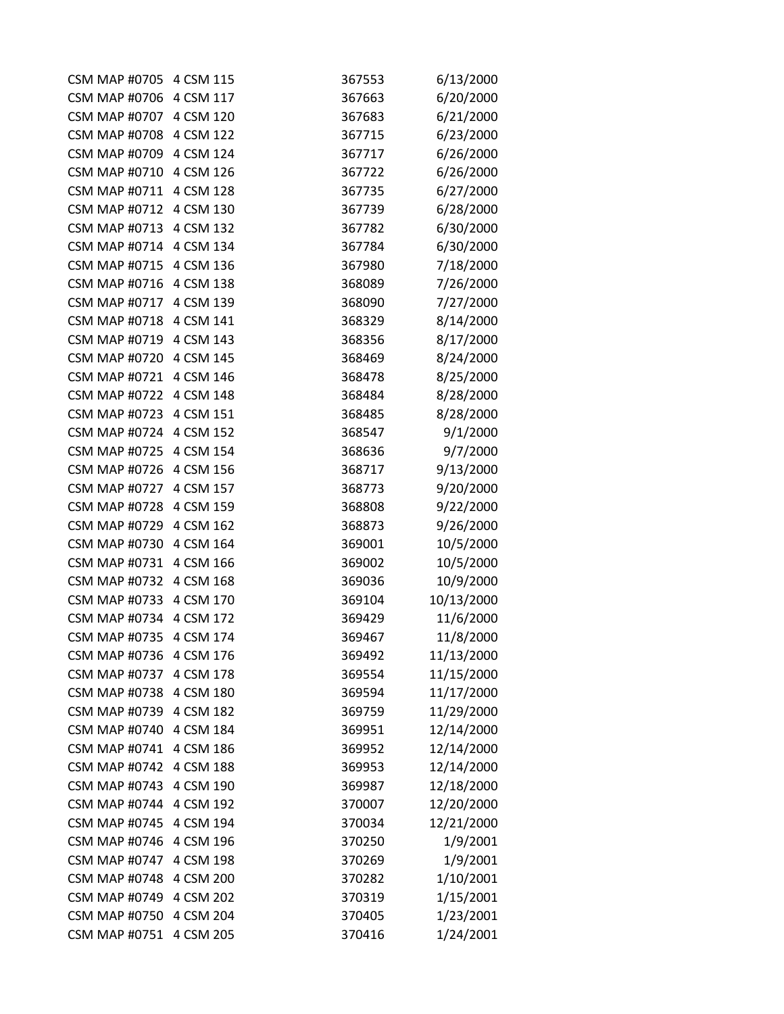| <b>CSM MAP #0705</b> | 4 CSM 115 | 367553 | 6/13/2000  |
|----------------------|-----------|--------|------------|
| <b>CSM MAP #0706</b> | 4 CSM 117 | 367663 | 6/20/2000  |
| <b>CSM MAP #0707</b> | 4 CSM 120 | 367683 | 6/21/2000  |
| <b>CSM MAP #0708</b> | 4 CSM 122 | 367715 | 6/23/2000  |
| <b>CSM MAP #0709</b> | 4 CSM 124 | 367717 | 6/26/2000  |
| <b>CSM MAP #0710</b> | 4 CSM 126 | 367722 | 6/26/2000  |
| <b>CSM MAP #0711</b> | 4 CSM 128 | 367735 | 6/27/2000  |
| <b>CSM MAP #0712</b> | 4 CSM 130 | 367739 | 6/28/2000  |
| <b>CSM MAP #0713</b> | 4 CSM 132 | 367782 | 6/30/2000  |
| <b>CSM MAP #0714</b> | 4 CSM 134 | 367784 | 6/30/2000  |
| <b>CSM MAP #0715</b> | 4 CSM 136 | 367980 | 7/18/2000  |
| <b>CSM MAP #0716</b> | 4 CSM 138 | 368089 | 7/26/2000  |
| <b>CSM MAP #0717</b> | 4 CSM 139 | 368090 | 7/27/2000  |
| <b>CSM MAP #0718</b> | 4 CSM 141 | 368329 | 8/14/2000  |
| <b>CSM MAP #0719</b> | 4 CSM 143 | 368356 | 8/17/2000  |
| <b>CSM MAP #0720</b> | 4 CSM 145 | 368469 | 8/24/2000  |
| <b>CSM MAP #0721</b> | 4 CSM 146 | 368478 | 8/25/2000  |
| <b>CSM MAP #0722</b> | 4 CSM 148 | 368484 | 8/28/2000  |
| <b>CSM MAP #0723</b> | 4 CSM 151 | 368485 | 8/28/2000  |
| <b>CSM MAP #0724</b> | 4 CSM 152 | 368547 | 9/1/2000   |
| <b>CSM MAP #0725</b> | 4 CSM 154 | 368636 | 9/7/2000   |
| <b>CSM MAP #0726</b> | 4 CSM 156 | 368717 | 9/13/2000  |
| <b>CSM MAP #0727</b> | 4 CSM 157 | 368773 | 9/20/2000  |
| <b>CSM MAP #0728</b> | 4 CSM 159 | 368808 | 9/22/2000  |
| <b>CSM MAP #0729</b> | 4 CSM 162 | 368873 | 9/26/2000  |
| <b>CSM MAP #0730</b> | 4 CSM 164 | 369001 | 10/5/2000  |
| <b>CSM MAP #0731</b> | 4 CSM 166 | 369002 | 10/5/2000  |
| <b>CSM MAP #0732</b> | 4 CSM 168 | 369036 | 10/9/2000  |
| <b>CSM MAP #0733</b> | 4 CSM 170 | 369104 | 10/13/2000 |
| <b>CSM MAP #0734</b> | 4 CSM 172 | 369429 | 11/6/2000  |
| <b>CSM MAP #0735</b> | 4 CSM 174 | 369467 | 11/8/2000  |
| <b>CSM MAP #0736</b> | 4 CSM 176 | 369492 | 11/13/2000 |
| <b>CSM MAP #0737</b> | 4 CSM 178 | 369554 | 11/15/2000 |
| <b>CSM MAP #0738</b> | 4 CSM 180 | 369594 | 11/17/2000 |
| <b>CSM MAP #0739</b> | 4 CSM 182 | 369759 | 11/29/2000 |
| <b>CSM MAP #0740</b> | 4 CSM 184 | 369951 | 12/14/2000 |
| <b>CSM MAP #0741</b> | 4 CSM 186 | 369952 | 12/14/2000 |
| <b>CSM MAP #0742</b> | 4 CSM 188 | 369953 | 12/14/2000 |
| <b>CSM MAP #0743</b> | 4 CSM 190 | 369987 | 12/18/2000 |
| <b>CSM MAP #0744</b> | 4 CSM 192 | 370007 | 12/20/2000 |
| <b>CSM MAP #0745</b> | 4 CSM 194 | 370034 | 12/21/2000 |
| <b>CSM MAP #0746</b> | 4 CSM 196 | 370250 | 1/9/2001   |
| <b>CSM MAP #0747</b> | 4 CSM 198 | 370269 | 1/9/2001   |
| <b>CSM MAP #0748</b> | 4 CSM 200 | 370282 | 1/10/2001  |
| <b>CSM MAP #0749</b> | 4 CSM 202 | 370319 | 1/15/2001  |
| <b>CSM MAP #0750</b> | 4 CSM 204 | 370405 | 1/23/2001  |
| <b>CSM MAP #0751</b> | 4 CSM 205 | 370416 | 1/24/2001  |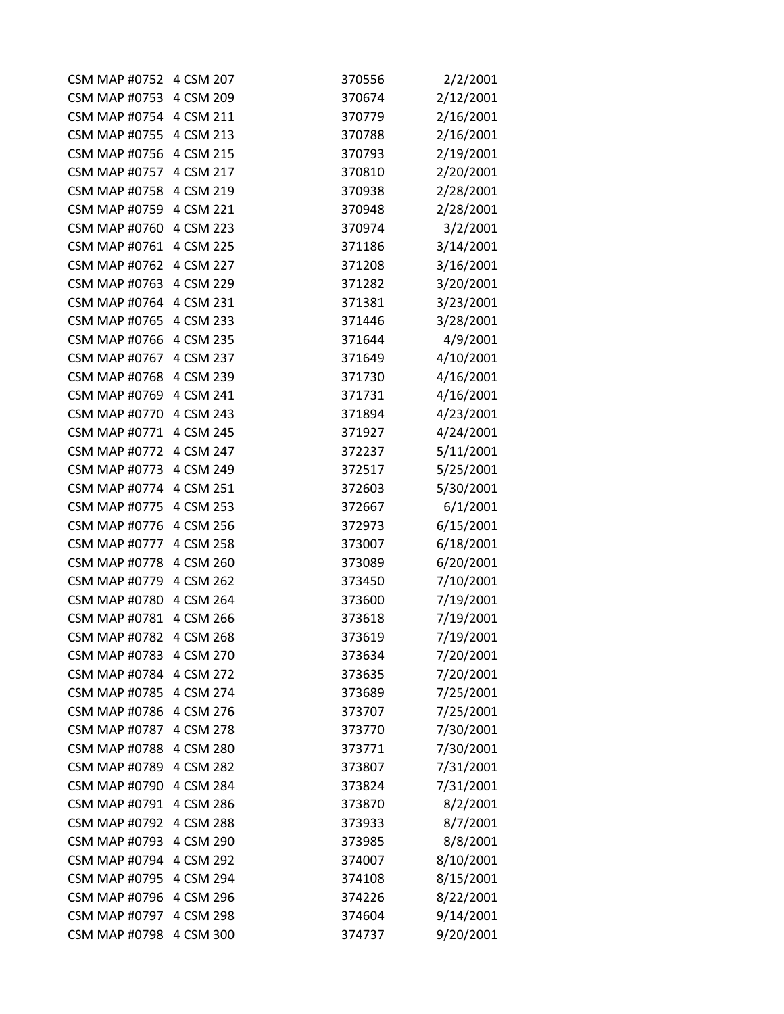| <b>CSM MAP #0752</b>    | 4 CSM 207 | 370556 | 2/2/2001  |
|-------------------------|-----------|--------|-----------|
| <b>CSM MAP #0753</b>    | 4 CSM 209 | 370674 | 2/12/2001 |
| CSM MAP #0754 4 CSM 211 |           | 370779 | 2/16/2001 |
| <b>CSM MAP #0755</b>    | 4 CSM 213 | 370788 | 2/16/2001 |
| <b>CSM MAP #0756</b>    | 4 CSM 215 | 370793 | 2/19/2001 |
| <b>CSM MAP #0757</b>    | 4 CSM 217 | 370810 | 2/20/2001 |
| <b>CSM MAP #0758</b>    | 4 CSM 219 | 370938 | 2/28/2001 |
| <b>CSM MAP #0759</b>    | 4 CSM 221 | 370948 | 2/28/2001 |
| <b>CSM MAP #0760</b>    | 4 CSM 223 | 370974 | 3/2/2001  |
| <b>CSM MAP #0761</b>    | 4 CSM 225 | 371186 | 3/14/2001 |
| <b>CSM MAP #0762</b>    | 4 CSM 227 | 371208 | 3/16/2001 |
| <b>CSM MAP #0763</b>    | 4 CSM 229 | 371282 | 3/20/2001 |
| <b>CSM MAP #0764</b>    | 4 CSM 231 | 371381 | 3/23/2001 |
| <b>CSM MAP #0765</b>    | 4 CSM 233 | 371446 | 3/28/2001 |
| <b>CSM MAP #0766</b>    | 4 CSM 235 | 371644 | 4/9/2001  |
| <b>CSM MAP #0767</b>    | 4 CSM 237 | 371649 | 4/10/2001 |
| <b>CSM MAP #0768</b>    | 4 CSM 239 | 371730 | 4/16/2001 |
| <b>CSM MAP #0769</b>    | 4 CSM 241 | 371731 | 4/16/2001 |
| <b>CSM MAP #0770</b>    | 4 CSM 243 | 371894 | 4/23/2001 |
| <b>CSM MAP #0771</b>    | 4 CSM 245 | 371927 | 4/24/2001 |
| <b>CSM MAP #0772</b>    | 4 CSM 247 | 372237 | 5/11/2001 |
| <b>CSM MAP #0773</b>    | 4 CSM 249 | 372517 | 5/25/2001 |
| <b>CSM MAP #0774</b>    | 4 CSM 251 | 372603 | 5/30/2001 |
| <b>CSM MAP #0775</b>    | 4 CSM 253 | 372667 | 6/1/2001  |
| <b>CSM MAP #0776</b>    | 4 CSM 256 | 372973 | 6/15/2001 |
| CSM MAP #0777 4 CSM 258 |           | 373007 | 6/18/2001 |
| <b>CSM MAP #0778</b>    | 4 CSM 260 | 373089 | 6/20/2001 |
| <b>CSM MAP #0779</b>    | 4 CSM 262 | 373450 | 7/10/2001 |
| <b>CSM MAP #0780</b>    | 4 CSM 264 | 373600 | 7/19/2001 |
| <b>CSM MAP #0781</b>    | 4 CSM 266 | 373618 | 7/19/2001 |
| <b>CSM MAP #0782</b>    | 4 CSM 268 | 373619 | 7/19/2001 |
| <b>CSM MAP #0783</b>    | 4 CSM 270 | 373634 | 7/20/2001 |
| <b>CSM MAP #0784</b>    | 4 CSM 272 | 373635 | 7/20/2001 |
| <b>CSM MAP #0785</b>    | 4 CSM 274 | 373689 | 7/25/2001 |
| <b>CSM MAP #0786</b>    | 4 CSM 276 | 373707 | 7/25/2001 |
| <b>CSM MAP #0787</b>    | 4 CSM 278 | 373770 | 7/30/2001 |
| <b>CSM MAP #0788</b>    | 4 CSM 280 | 373771 | 7/30/2001 |
| <b>CSM MAP #0789</b>    | 4 CSM 282 | 373807 | 7/31/2001 |
| <b>CSM MAP #0790</b>    | 4 CSM 284 | 373824 | 7/31/2001 |
| <b>CSM MAP #0791</b>    | 4 CSM 286 | 373870 | 8/2/2001  |
| <b>CSM MAP #0792</b>    | 4 CSM 288 | 373933 | 8/7/2001  |
| <b>CSM MAP #0793</b>    | 4 CSM 290 | 373985 | 8/8/2001  |
| <b>CSM MAP #0794</b>    | 4 CSM 292 | 374007 | 8/10/2001 |
| <b>CSM MAP #0795</b>    | 4 CSM 294 | 374108 | 8/15/2001 |
| <b>CSM MAP #0796</b>    | 4 CSM 296 | 374226 | 8/22/2001 |
| <b>CSM MAP #0797</b>    | 4 CSM 298 | 374604 | 9/14/2001 |
| <b>CSM MAP #0798</b>    | 4 CSM 300 | 374737 | 9/20/2001 |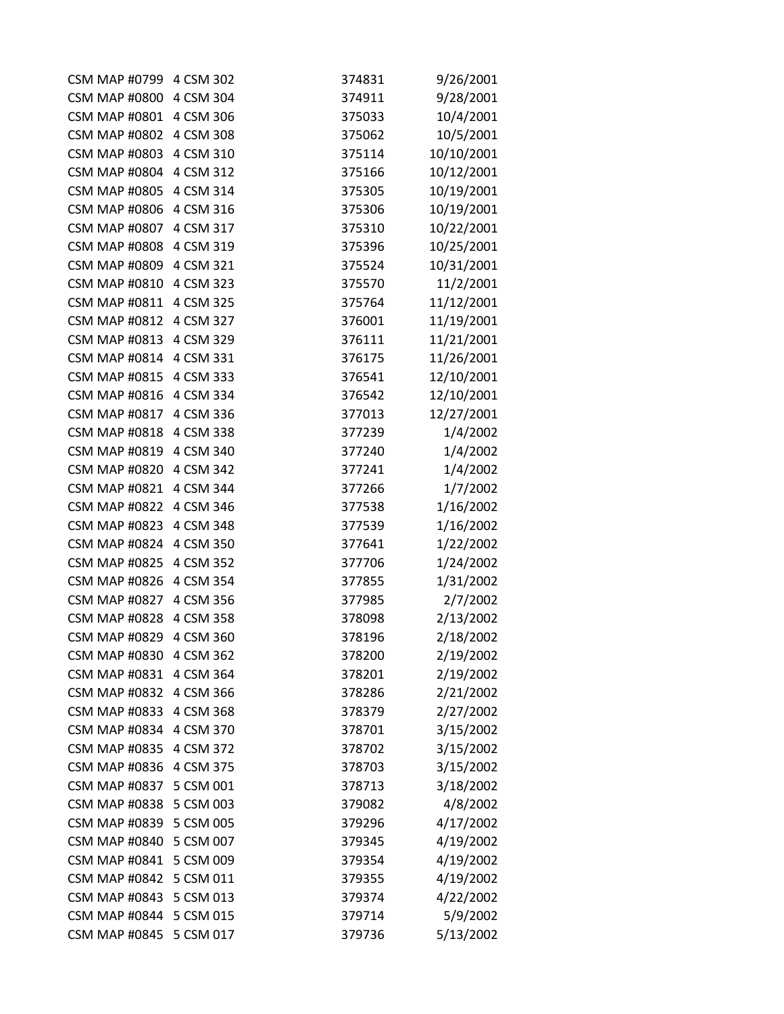| <b>CSM MAP #0799</b>    | 4 CSM 302 | 374831 | 9/26/2001  |
|-------------------------|-----------|--------|------------|
| <b>CSM MAP #0800</b>    | 4 CSM 304 | 374911 | 9/28/2001  |
| CSM MAP #0801 4 CSM 306 |           | 375033 | 10/4/2001  |
| <b>CSM MAP #0802</b>    | 4 CSM 308 | 375062 | 10/5/2001  |
| <b>CSM MAP #0803</b>    | 4 CSM 310 | 375114 | 10/10/2001 |
| <b>CSM MAP #0804</b>    | 4 CSM 312 | 375166 | 10/12/2001 |
| <b>CSM MAP #0805</b>    | 4 CSM 314 | 375305 | 10/19/2001 |
| <b>CSM MAP #0806</b>    | 4 CSM 316 | 375306 | 10/19/2001 |
| <b>CSM MAP #0807</b>    | 4 CSM 317 | 375310 | 10/22/2001 |
| <b>CSM MAP #0808</b>    | 4 CSM 319 | 375396 | 10/25/2001 |
| <b>CSM MAP #0809</b>    | 4 CSM 321 | 375524 | 10/31/2001 |
| <b>CSM MAP #0810</b>    | 4 CSM 323 | 375570 | 11/2/2001  |
| <b>CSM MAP #0811</b>    | 4 CSM 325 | 375764 | 11/12/2001 |
| <b>CSM MAP #0812</b>    | 4 CSM 327 | 376001 | 11/19/2001 |
| CSM MAP #0813 4 CSM 329 |           | 376111 | 11/21/2001 |
| <b>CSM MAP #0814</b>    | 4 CSM 331 | 376175 | 11/26/2001 |
| <b>CSM MAP #0815</b>    | 4 CSM 333 | 376541 | 12/10/2001 |
| <b>CSM MAP #0816</b>    | 4 CSM 334 | 376542 | 12/10/2001 |
| <b>CSM MAP #0817</b>    | 4 CSM 336 | 377013 | 12/27/2001 |
| <b>CSM MAP #0818</b>    | 4 CSM 338 | 377239 | 1/4/2002   |
| <b>CSM MAP #0819</b>    | 4 CSM 340 | 377240 | 1/4/2002   |
| <b>CSM MAP #0820</b>    | 4 CSM 342 | 377241 | 1/4/2002   |
| <b>CSM MAP #0821</b>    | 4 CSM 344 | 377266 | 1/7/2002   |
| <b>CSM MAP #0822</b>    | 4 CSM 346 | 377538 | 1/16/2002  |
| <b>CSM MAP #0823</b>    | 4 CSM 348 | 377539 | 1/16/2002  |
| CSM MAP #0824 4 CSM 350 |           | 377641 | 1/22/2002  |
| <b>CSM MAP #0825</b>    | 4 CSM 352 | 377706 | 1/24/2002  |
| <b>CSM MAP #0826</b>    | 4 CSM 354 | 377855 | 1/31/2002  |
| CSM MAP #0827 4 CSM 356 |           | 377985 | 2/7/2002   |
| <b>CSM MAP #0828</b>    | 4 CSM 358 | 378098 | 2/13/2002  |
| <b>CSM MAP #0829</b>    | 4 CSM 360 | 378196 | 2/18/2002  |
| <b>CSM MAP #0830</b>    | 4 CSM 362 | 378200 | 2/19/2002  |
| <b>CSM MAP #0831</b>    | 4 CSM 364 | 378201 | 2/19/2002  |
| <b>CSM MAP #0832</b>    | 4 CSM 366 | 378286 | 2/21/2002  |
| <b>CSM MAP #0833</b>    | 4 CSM 368 | 378379 | 2/27/2002  |
| <b>CSM MAP #0834</b>    | 4 CSM 370 | 378701 | 3/15/2002  |
| <b>CSM MAP #0835</b>    | 4 CSM 372 | 378702 | 3/15/2002  |
| <b>CSM MAP #0836</b>    | 4 CSM 375 | 378703 | 3/15/2002  |
| <b>CSM MAP #0837</b>    | 5 CSM 001 | 378713 | 3/18/2002  |
| <b>CSM MAP #0838</b>    | 5 CSM 003 | 379082 | 4/8/2002   |
| <b>CSM MAP #0839</b>    | 5 CSM 005 | 379296 | 4/17/2002  |
| <b>CSM MAP #0840</b>    | 5 CSM 007 | 379345 | 4/19/2002  |
| <b>CSM MAP #0841</b>    | 5 CSM 009 | 379354 | 4/19/2002  |
| <b>CSM MAP #0842</b>    | 5 CSM 011 | 379355 | 4/19/2002  |
| <b>CSM MAP #0843</b>    | 5 CSM 013 | 379374 | 4/22/2002  |
| <b>CSM MAP #0844</b>    | 5 CSM 015 | 379714 | 5/9/2002   |
| <b>CSM MAP #0845</b>    | 5 CSM 017 | 379736 | 5/13/2002  |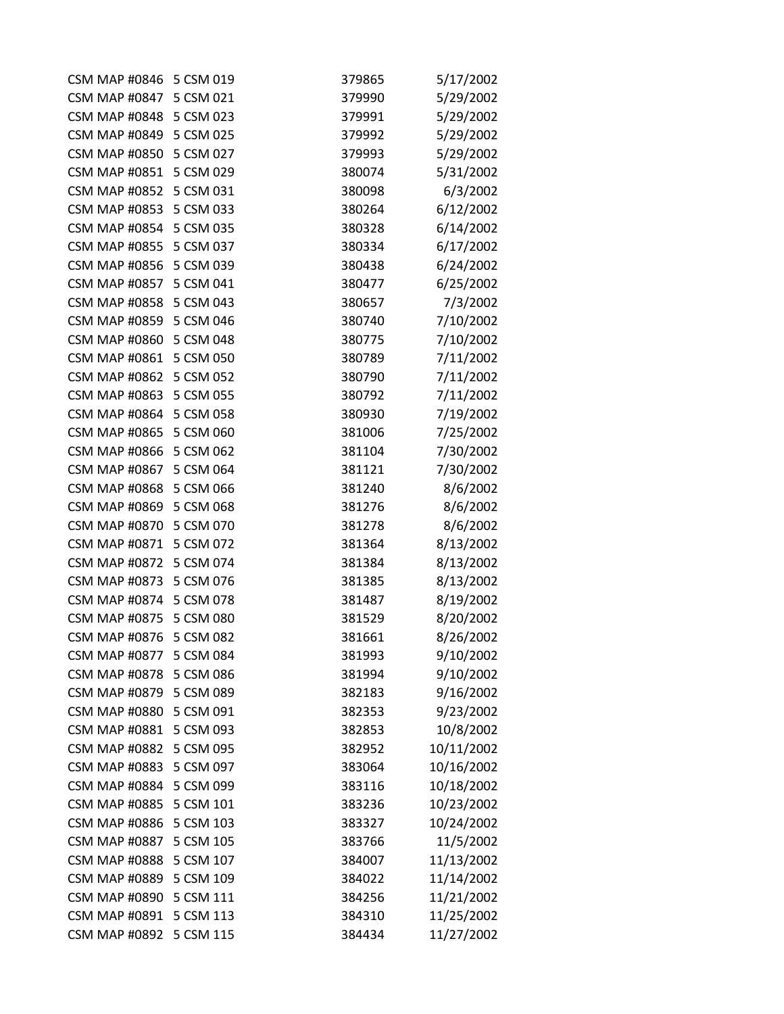| CSM MAP #0846 5 CSM 019 |           | 379865 | 5/17/2002  |
|-------------------------|-----------|--------|------------|
| <b>CSM MAP #0847</b>    | 5 CSM 021 | 379990 | 5/29/2002  |
| CSM MAP #0848 5 CSM 023 |           | 379991 | 5/29/2002  |
| <b>CSM MAP #0849</b>    | 5 CSM 025 | 379992 | 5/29/2002  |
| <b>CSM MAP #0850</b>    | 5 CSM 027 | 379993 | 5/29/2002  |
| <b>CSM MAP #0851</b>    | 5 CSM 029 | 380074 | 5/31/2002  |
| <b>CSM MAP #0852</b>    | 5 CSM 031 | 380098 | 6/3/2002   |
| <b>CSM MAP #0853</b>    | 5 CSM 033 | 380264 | 6/12/2002  |
| <b>CSM MAP #0854</b>    | 5 CSM 035 | 380328 | 6/14/2002  |
| <b>CSM MAP #0855</b>    | 5 CSM 037 | 380334 | 6/17/2002  |
| <b>CSM MAP #0856</b>    | 5 CSM 039 | 380438 | 6/24/2002  |
| <b>CSM MAP #0857</b>    | 5 CSM 041 | 380477 | 6/25/2002  |
| <b>CSM MAP #0858</b>    | 5 CSM 043 | 380657 | 7/3/2002   |
| <b>CSM MAP #0859</b>    | 5 CSM 046 | 380740 | 7/10/2002  |
| <b>CSM MAP #0860</b>    | 5 CSM 048 | 380775 | 7/10/2002  |
| <b>CSM MAP #0861</b>    | 5 CSM 050 | 380789 | 7/11/2002  |
| <b>CSM MAP #0862</b>    | 5 CSM 052 | 380790 | 7/11/2002  |
| <b>CSM MAP #0863</b>    | 5 CSM 055 | 380792 | 7/11/2002  |
| <b>CSM MAP #0864</b>    | 5 CSM 058 | 380930 | 7/19/2002  |
| <b>CSM MAP #0865</b>    | 5 CSM 060 | 381006 | 7/25/2002  |
| <b>CSM MAP #0866</b>    | 5 CSM 062 | 381104 | 7/30/2002  |
| <b>CSM MAP #0867</b>    | 5 CSM 064 | 381121 | 7/30/2002  |
| <b>CSM MAP #0868</b>    | 5 CSM 066 | 381240 | 8/6/2002   |
| <b>CSM MAP #0869</b>    | 5 CSM 068 | 381276 | 8/6/2002   |
| <b>CSM MAP #0870</b>    | 5 CSM 070 | 381278 | 8/6/2002   |
| <b>CSM MAP #0871</b>    | 5 CSM 072 | 381364 | 8/13/2002  |
| <b>CSM MAP #0872</b>    | 5 CSM 074 | 381384 | 8/13/2002  |
| <b>CSM MAP #0873</b>    | 5 CSM 076 | 381385 | 8/13/2002  |
| <b>CSM MAP #0874</b>    | 5 CSM 078 | 381487 | 8/19/2002  |
| <b>CSM MAP #0875</b>    | 5 CSM 080 | 381529 | 8/20/2002  |
| <b>CSM MAP #0876</b>    | 5 CSM 082 | 381661 | 8/26/2002  |
| <b>CSM MAP #0877</b>    | 5 CSM 084 | 381993 | 9/10/2002  |
| <b>CSM MAP #0878</b>    | 5 CSM 086 | 381994 | 9/10/2002  |
| <b>CSM MAP #0879</b>    | 5 CSM 089 | 382183 | 9/16/2002  |
| <b>CSM MAP #0880</b>    | 5 CSM 091 | 382353 | 9/23/2002  |
| <b>CSM MAP #0881</b>    | 5 CSM 093 | 382853 | 10/8/2002  |
| <b>CSM MAP #0882</b>    | 5 CSM 095 | 382952 | 10/11/2002 |
| <b>CSM MAP #0883</b>    | 5 CSM 097 | 383064 | 10/16/2002 |
| <b>CSM MAP #0884</b>    | 5 CSM 099 | 383116 | 10/18/2002 |
| <b>CSM MAP #0885</b>    | 5 CSM 101 | 383236 | 10/23/2002 |
| <b>CSM MAP #0886</b>    | 5 CSM 103 | 383327 | 10/24/2002 |
| <b>CSM MAP #0887</b>    | 5 CSM 105 | 383766 | 11/5/2002  |
| <b>CSM MAP #0888</b>    | 5 CSM 107 | 384007 | 11/13/2002 |
| <b>CSM MAP #0889</b>    | 5 CSM 109 | 384022 | 11/14/2002 |
| <b>CSM MAP #0890</b>    | 5 CSM 111 | 384256 | 11/21/2002 |
| <b>CSM MAP #0891</b>    | 5 CSM 113 | 384310 | 11/25/2002 |
| <b>CSM MAP #0892</b>    | 5 CSM 115 | 384434 | 11/27/2002 |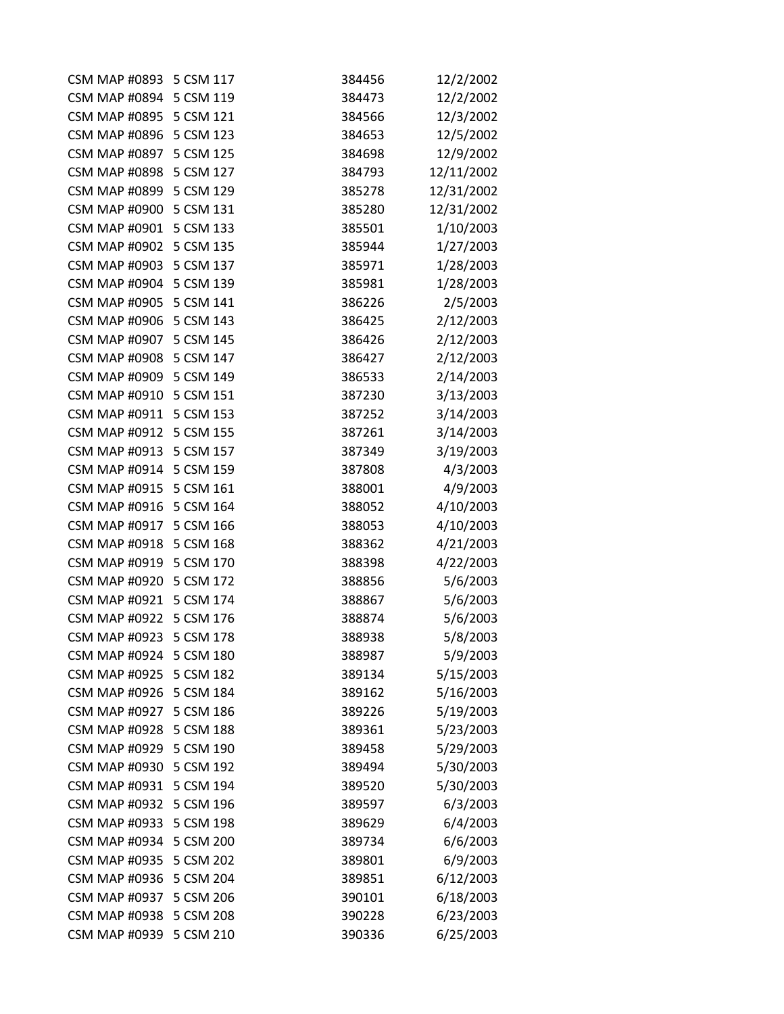| CSM MAP #0893 5 CSM 117 |           | 384456 | 12/2/2002  |
|-------------------------|-----------|--------|------------|
| <b>CSM MAP #0894</b>    | 5 CSM 119 | 384473 | 12/2/2002  |
| CSM MAP #0895 5 CSM 121 |           | 384566 | 12/3/2002  |
| <b>CSM MAP #0896</b>    | 5 CSM 123 | 384653 | 12/5/2002  |
| <b>CSM MAP #0897</b>    | 5 CSM 125 | 384698 | 12/9/2002  |
| <b>CSM MAP #0898</b>    | 5 CSM 127 | 384793 | 12/11/2002 |
| <b>CSM MAP #0899</b>    | 5 CSM 129 | 385278 | 12/31/2002 |
| <b>CSM MAP #0900</b>    | 5 CSM 131 | 385280 | 12/31/2002 |
| <b>CSM MAP #0901</b>    | 5 CSM 133 | 385501 | 1/10/2003  |
| <b>CSM MAP #0902</b>    | 5 CSM 135 | 385944 | 1/27/2003  |
| <b>CSM MAP #0903</b>    | 5 CSM 137 | 385971 | 1/28/2003  |
| <b>CSM MAP #0904</b>    | 5 CSM 139 | 385981 | 1/28/2003  |
| <b>CSM MAP #0905</b>    | 5 CSM 141 | 386226 | 2/5/2003   |
| <b>CSM MAP #0906</b>    | 5 CSM 143 | 386425 | 2/12/2003  |
| <b>CSM MAP #0907</b>    | 5 CSM 145 | 386426 | 2/12/2003  |
| <b>CSM MAP #0908</b>    | 5 CSM 147 | 386427 | 2/12/2003  |
| <b>CSM MAP #0909</b>    | 5 CSM 149 | 386533 | 2/14/2003  |
| <b>CSM MAP #0910</b>    | 5 CSM 151 | 387230 | 3/13/2003  |
| <b>CSM MAP #0911</b>    | 5 CSM 153 | 387252 | 3/14/2003  |
| <b>CSM MAP #0912</b>    | 5 CSM 155 | 387261 | 3/14/2003  |
| <b>CSM MAP #0913</b>    | 5 CSM 157 | 387349 | 3/19/2003  |
| CSM MAP #0914 5 CSM 159 |           | 387808 | 4/3/2003   |
| <b>CSM MAP #0915</b>    | 5 CSM 161 | 388001 | 4/9/2003   |
| <b>CSM MAP #0916</b>    | 5 CSM 164 | 388052 | 4/10/2003  |
| <b>CSM MAP #0917</b>    | 5 CSM 166 | 388053 | 4/10/2003  |
| <b>CSM MAP #0918</b>    | 5 CSM 168 | 388362 | 4/21/2003  |
| <b>CSM MAP #0919</b>    | 5 CSM 170 | 388398 | 4/22/2003  |
| <b>CSM MAP #0920</b>    | 5 CSM 172 | 388856 | 5/6/2003   |
| <b>CSM MAP #0921</b>    | 5 CSM 174 | 388867 | 5/6/2003   |
| <b>CSM MAP #0922</b>    | 5 CSM 176 | 388874 | 5/6/2003   |
| <b>CSM MAP #0923</b>    | 5 CSM 178 | 388938 | 5/8/2003   |
| <b>CSM MAP #0924</b>    | 5 CSM 180 | 388987 | 5/9/2003   |
| <b>CSM MAP #0925</b>    | 5 CSM 182 | 389134 | 5/15/2003  |
| <b>CSM MAP #0926</b>    | 5 CSM 184 | 389162 | 5/16/2003  |
| <b>CSM MAP #0927</b>    | 5 CSM 186 | 389226 | 5/19/2003  |
| <b>CSM MAP #0928</b>    | 5 CSM 188 | 389361 | 5/23/2003  |
| <b>CSM MAP #0929</b>    | 5 CSM 190 | 389458 | 5/29/2003  |
| <b>CSM MAP #0930</b>    | 5 CSM 192 | 389494 | 5/30/2003  |
| <b>CSM MAP #0931</b>    | 5 CSM 194 | 389520 | 5/30/2003  |
| <b>CSM MAP #0932</b>    | 5 CSM 196 | 389597 | 6/3/2003   |
| <b>CSM MAP #0933</b>    | 5 CSM 198 | 389629 | 6/4/2003   |
| <b>CSM MAP #0934</b>    | 5 CSM 200 | 389734 | 6/6/2003   |
| <b>CSM MAP #0935</b>    | 5 CSM 202 | 389801 | 6/9/2003   |
| <b>CSM MAP #0936</b>    | 5 CSM 204 | 389851 | 6/12/2003  |
| <b>CSM MAP #0937</b>    | 5 CSM 206 | 390101 | 6/18/2003  |
| <b>CSM MAP #0938</b>    | 5 CSM 208 | 390228 | 6/23/2003  |
| <b>CSM MAP #0939</b>    | 5 CSM 210 | 390336 | 6/25/2003  |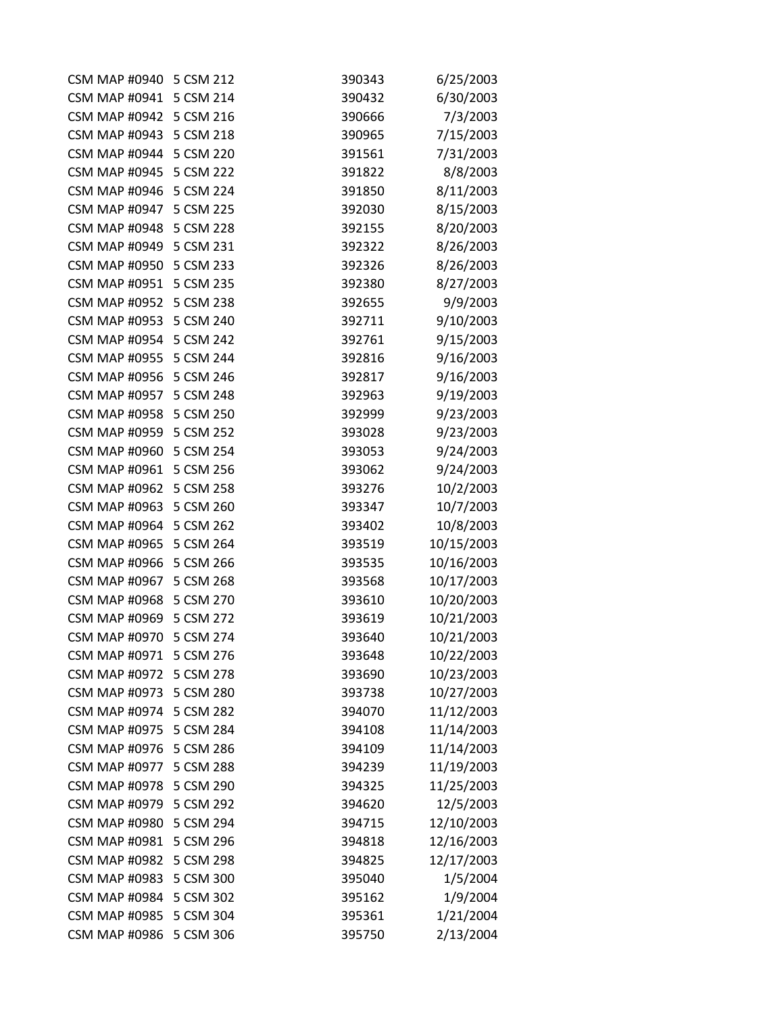| <b>CSM MAP #0940</b>    | 5 CSM 212 | 390343 | 6/25/2003  |
|-------------------------|-----------|--------|------------|
| <b>CSM MAP #0941</b>    | 5 CSM 214 | 390432 | 6/30/2003  |
| CSM MAP #0942 5 CSM 216 |           | 390666 | 7/3/2003   |
| <b>CSM MAP #0943</b>    | 5 CSM 218 | 390965 | 7/15/2003  |
| <b>CSM MAP #0944</b>    | 5 CSM 220 | 391561 | 7/31/2003  |
| <b>CSM MAP #0945</b>    | 5 CSM 222 | 391822 | 8/8/2003   |
| <b>CSM MAP #0946</b>    | 5 CSM 224 | 391850 | 8/11/2003  |
| <b>CSM MAP #0947</b>    | 5 CSM 225 | 392030 | 8/15/2003  |
| <b>CSM MAP #0948</b>    | 5 CSM 228 | 392155 | 8/20/2003  |
| <b>CSM MAP #0949</b>    | 5 CSM 231 | 392322 | 8/26/2003  |
| <b>CSM MAP #0950</b>    | 5 CSM 233 | 392326 | 8/26/2003  |
| <b>CSM MAP #0951</b>    | 5 CSM 235 | 392380 | 8/27/2003  |
| <b>CSM MAP #0952</b>    | 5 CSM 238 | 392655 | 9/9/2003   |
| <b>CSM MAP #0953</b>    | 5 CSM 240 | 392711 | 9/10/2003  |
| <b>CSM MAP #0954</b>    | 5 CSM 242 | 392761 | 9/15/2003  |
| <b>CSM MAP #0955</b>    | 5 CSM 244 | 392816 | 9/16/2003  |
| <b>CSM MAP #0956</b>    | 5 CSM 246 | 392817 | 9/16/2003  |
| <b>CSM MAP #0957</b>    | 5 CSM 248 | 392963 | 9/19/2003  |
| <b>CSM MAP #0958</b>    | 5 CSM 250 | 392999 | 9/23/2003  |
| <b>CSM MAP #0959</b>    | 5 CSM 252 | 393028 | 9/23/2003  |
| <b>CSM MAP #0960</b>    | 5 CSM 254 | 393053 | 9/24/2003  |
| <b>CSM MAP #0961</b>    | 5 CSM 256 | 393062 | 9/24/2003  |
| <b>CSM MAP #0962</b>    | 5 CSM 258 | 393276 | 10/2/2003  |
| <b>CSM MAP #0963</b>    | 5 CSM 260 | 393347 | 10/7/2003  |
| <b>CSM MAP #0964</b>    | 5 CSM 262 | 393402 | 10/8/2003  |
| <b>CSM MAP #0965</b>    | 5 CSM 264 | 393519 | 10/15/2003 |
| <b>CSM MAP #0966</b>    | 5 CSM 266 | 393535 | 10/16/2003 |
| <b>CSM MAP #0967</b>    | 5 CSM 268 | 393568 | 10/17/2003 |
| <b>CSM MAP #0968</b>    | 5 CSM 270 | 393610 | 10/20/2003 |
| <b>CSM MAP #0969</b>    | 5 CSM 272 | 393619 | 10/21/2003 |
| <b>CSM MAP #0970</b>    | 5 CSM 274 | 393640 | 10/21/2003 |
| <b>CSM MAP #0971</b>    | 5 CSM 276 | 393648 | 10/22/2003 |
| <b>CSM MAP #0972</b>    | 5 CSM 278 | 393690 | 10/23/2003 |
| <b>CSM MAP #0973</b>    | 5 CSM 280 | 393738 | 10/27/2003 |
| <b>CSM MAP #0974</b>    | 5 CSM 282 | 394070 | 11/12/2003 |
| <b>CSM MAP #0975</b>    | 5 CSM 284 | 394108 | 11/14/2003 |
| <b>CSM MAP #0976</b>    | 5 CSM 286 | 394109 | 11/14/2003 |
| <b>CSM MAP #0977</b>    | 5 CSM 288 | 394239 | 11/19/2003 |
| <b>CSM MAP #0978</b>    | 5 CSM 290 | 394325 | 11/25/2003 |
| <b>CSM MAP #0979</b>    | 5 CSM 292 | 394620 | 12/5/2003  |
| <b>CSM MAP #0980</b>    | 5 CSM 294 | 394715 | 12/10/2003 |
| <b>CSM MAP #0981</b>    | 5 CSM 296 | 394818 | 12/16/2003 |
| <b>CSM MAP #0982</b>    | 5 CSM 298 | 394825 | 12/17/2003 |
| <b>CSM MAP #0983</b>    | 5 CSM 300 | 395040 | 1/5/2004   |
| <b>CSM MAP #0984</b>    | 5 CSM 302 | 395162 | 1/9/2004   |
| <b>CSM MAP #0985</b>    | 5 CSM 304 | 395361 | 1/21/2004  |
| <b>CSM MAP #0986</b>    | 5 CSM 306 | 395750 | 2/13/2004  |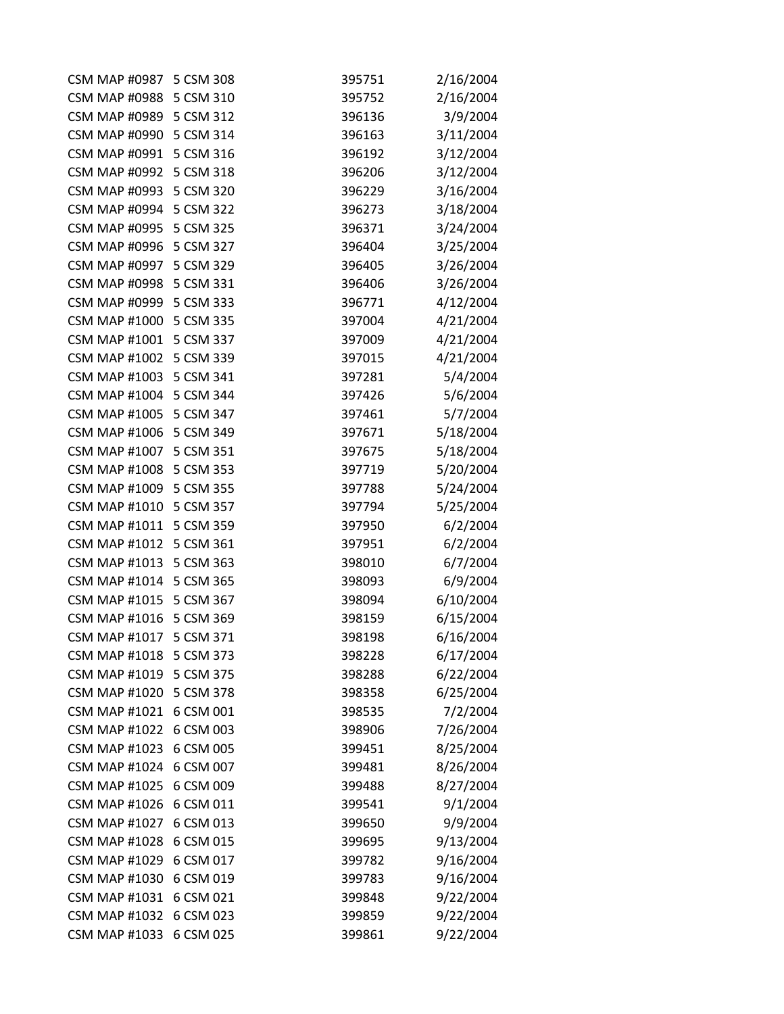| CSM MAP #0987 5 CSM 308 |           | 395751 | 2/16/2004 |
|-------------------------|-----------|--------|-----------|
| <b>CSM MAP #0988</b>    | 5 CSM 310 | 395752 | 2/16/2004 |
| CSM MAP #0989 5 CSM 312 |           | 396136 | 3/9/2004  |
| <b>CSM MAP #0990</b>    | 5 CSM 314 | 396163 | 3/11/2004 |
| <b>CSM MAP #0991</b>    | 5 CSM 316 | 396192 | 3/12/2004 |
| <b>CSM MAP #0992</b>    | 5 CSM 318 | 396206 | 3/12/2004 |
| <b>CSM MAP #0993</b>    | 5 CSM 320 | 396229 | 3/16/2004 |
| <b>CSM MAP #0994</b>    | 5 CSM 322 | 396273 | 3/18/2004 |
| <b>CSM MAP #0995</b>    | 5 CSM 325 | 396371 | 3/24/2004 |
| <b>CSM MAP #0996</b>    | 5 CSM 327 | 396404 | 3/25/2004 |
| <b>CSM MAP #0997</b>    | 5 CSM 329 | 396405 | 3/26/2004 |
| <b>CSM MAP #0998</b>    | 5 CSM 331 | 396406 | 3/26/2004 |
| <b>CSM MAP #0999</b>    | 5 CSM 333 | 396771 | 4/12/2004 |
| <b>CSM MAP #1000</b>    | 5 CSM 335 | 397004 | 4/21/2004 |
| <b>CSM MAP #1001</b>    | 5 CSM 337 | 397009 | 4/21/2004 |
| <b>CSM MAP #1002</b>    | 5 CSM 339 | 397015 | 4/21/2004 |
| <b>CSM MAP #1003</b>    | 5 CSM 341 | 397281 | 5/4/2004  |
| <b>CSM MAP #1004</b>    | 5 CSM 344 | 397426 | 5/6/2004  |
| <b>CSM MAP #1005</b>    | 5 CSM 347 | 397461 | 5/7/2004  |
| <b>CSM MAP #1006</b>    | 5 CSM 349 | 397671 | 5/18/2004 |
| <b>CSM MAP #1007</b>    | 5 CSM 351 | 397675 | 5/18/2004 |
| <b>CSM MAP #1008</b>    | 5 CSM 353 | 397719 | 5/20/2004 |
| <b>CSM MAP #1009</b>    | 5 CSM 355 | 397788 | 5/24/2004 |
| <b>CSM MAP #1010</b>    | 5 CSM 357 | 397794 | 5/25/2004 |
| <b>CSM MAP #1011</b>    | 5 CSM 359 | 397950 | 6/2/2004  |
| <b>CSM MAP #1012</b>    | 5 CSM 361 | 397951 | 6/2/2004  |
| <b>CSM MAP #1013</b>    | 5 CSM 363 | 398010 | 6/7/2004  |
| <b>CSM MAP #1014</b>    | 5 CSM 365 | 398093 | 6/9/2004  |
| <b>CSM MAP #1015</b>    | 5 CSM 367 | 398094 | 6/10/2004 |
| <b>CSM MAP #1016</b>    | 5 CSM 369 | 398159 | 6/15/2004 |
| <b>CSM MAP #1017</b>    | 5 CSM 371 | 398198 | 6/16/2004 |
| <b>CSM MAP #1018</b>    | 5 CSM 373 | 398228 | 6/17/2004 |
| <b>CSM MAP #1019</b>    | 5 CSM 375 | 398288 | 6/22/2004 |
| <b>CSM MAP #1020</b>    | 5 CSM 378 | 398358 | 6/25/2004 |
| <b>CSM MAP #1021</b>    | 6 CSM 001 | 398535 | 7/2/2004  |
| <b>CSM MAP #1022</b>    | 6 CSM 003 | 398906 | 7/26/2004 |
| <b>CSM MAP #1023</b>    | 6 CSM 005 | 399451 | 8/25/2004 |
| <b>CSM MAP #1024</b>    | 6 CSM 007 | 399481 | 8/26/2004 |
| <b>CSM MAP #1025</b>    | 6 CSM 009 | 399488 | 8/27/2004 |
| <b>CSM MAP #1026</b>    | 6 CSM 011 | 399541 | 9/1/2004  |
| <b>CSM MAP #1027</b>    | 6 CSM 013 | 399650 | 9/9/2004  |
| <b>CSM MAP #1028</b>    | 6 CSM 015 | 399695 | 9/13/2004 |
| <b>CSM MAP #1029</b>    | 6 CSM 017 | 399782 | 9/16/2004 |
| <b>CSM MAP #1030</b>    | 6 CSM 019 | 399783 | 9/16/2004 |
| <b>CSM MAP #1031</b>    | 6 CSM 021 | 399848 | 9/22/2004 |
| <b>CSM MAP #1032</b>    | 6 CSM 023 | 399859 | 9/22/2004 |
| <b>CSM MAP #1033</b>    | 6 CSM 025 | 399861 | 9/22/2004 |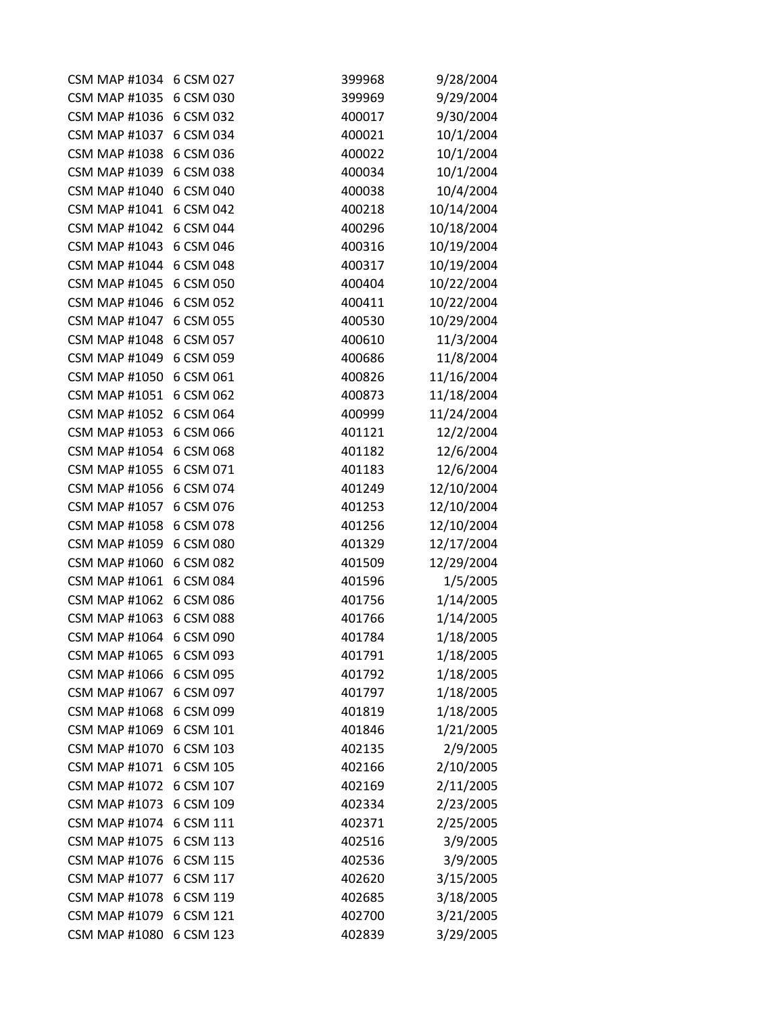| <b>CSM MAP #1034</b> | 6 CSM 027 | 399968 | 9/28/2004  |
|----------------------|-----------|--------|------------|
| <b>CSM MAP #1035</b> | 6 CSM 030 | 399969 | 9/29/2004  |
| <b>CSM MAP #1036</b> | 6 CSM 032 | 400017 | 9/30/2004  |
| <b>CSM MAP #1037</b> | 6 CSM 034 | 400021 | 10/1/2004  |
| <b>CSM MAP #1038</b> | 6 CSM 036 | 400022 | 10/1/2004  |
| <b>CSM MAP #1039</b> | 6 CSM 038 | 400034 | 10/1/2004  |
| <b>CSM MAP #1040</b> | 6 CSM 040 | 400038 | 10/4/2004  |
| <b>CSM MAP #1041</b> | 6 CSM 042 | 400218 | 10/14/2004 |
| <b>CSM MAP #1042</b> | 6 CSM 044 | 400296 | 10/18/2004 |
| <b>CSM MAP #1043</b> | 6 CSM 046 | 400316 | 10/19/2004 |
| <b>CSM MAP #1044</b> | 6 CSM 048 | 400317 | 10/19/2004 |
| <b>CSM MAP #1045</b> | 6 CSM 050 | 400404 | 10/22/2004 |
| <b>CSM MAP #1046</b> | 6 CSM 052 | 400411 | 10/22/2004 |
| <b>CSM MAP #1047</b> | 6 CSM 055 | 400530 | 10/29/2004 |
| <b>CSM MAP #1048</b> | 6 CSM 057 | 400610 | 11/3/2004  |
| <b>CSM MAP #1049</b> | 6 CSM 059 | 400686 | 11/8/2004  |
| <b>CSM MAP #1050</b> | 6 CSM 061 | 400826 | 11/16/2004 |
| <b>CSM MAP #1051</b> | 6 CSM 062 | 400873 | 11/18/2004 |
| <b>CSM MAP #1052</b> | 6 CSM 064 | 400999 | 11/24/2004 |
| <b>CSM MAP #1053</b> | 6 CSM 066 | 401121 | 12/2/2004  |
| <b>CSM MAP #1054</b> | 6 CSM 068 | 401182 | 12/6/2004  |
| <b>CSM MAP #1055</b> | 6 CSM 071 | 401183 | 12/6/2004  |
| <b>CSM MAP #1056</b> | 6 CSM 074 | 401249 | 12/10/2004 |
| <b>CSM MAP #1057</b> | 6 CSM 076 | 401253 | 12/10/2004 |
| <b>CSM MAP #1058</b> | 6 CSM 078 | 401256 | 12/10/2004 |
| <b>CSM MAP #1059</b> | 6 CSM 080 | 401329 | 12/17/2004 |
| <b>CSM MAP #1060</b> | 6 CSM 082 | 401509 | 12/29/2004 |
| <b>CSM MAP #1061</b> | 6 CSM 084 | 401596 | 1/5/2005   |
| <b>CSM MAP #1062</b> | 6 CSM 086 | 401756 | 1/14/2005  |
| <b>CSM MAP #1063</b> | 6 CSM 088 | 401766 | 1/14/2005  |
| <b>CSM MAP #1064</b> | 6 CSM 090 | 401784 | 1/18/2005  |
| <b>CSM MAP #1065</b> | 6 CSM 093 | 401791 | 1/18/2005  |
| <b>CSM MAP #1066</b> | 6 CSM 095 | 401792 | 1/18/2005  |
| <b>CSM MAP #1067</b> | 6 CSM 097 | 401797 | 1/18/2005  |
| <b>CSM MAP #1068</b> | 6 CSM 099 | 401819 | 1/18/2005  |
| <b>CSM MAP #1069</b> | 6 CSM 101 | 401846 | 1/21/2005  |
| <b>CSM MAP #1070</b> | 6 CSM 103 | 402135 | 2/9/2005   |
| <b>CSM MAP #1071</b> | 6 CSM 105 | 402166 | 2/10/2005  |
| <b>CSM MAP #1072</b> | 6 CSM 107 | 402169 | 2/11/2005  |
| <b>CSM MAP #1073</b> | 6 CSM 109 | 402334 | 2/23/2005  |
| <b>CSM MAP #1074</b> | 6 CSM 111 | 402371 | 2/25/2005  |
| <b>CSM MAP #1075</b> | 6 CSM 113 | 402516 | 3/9/2005   |
| <b>CSM MAP #1076</b> | 6 CSM 115 | 402536 | 3/9/2005   |
| <b>CSM MAP #1077</b> | 6 CSM 117 | 402620 | 3/15/2005  |
| <b>CSM MAP #1078</b> | 6 CSM 119 | 402685 | 3/18/2005  |
| <b>CSM MAP #1079</b> | 6 CSM 121 | 402700 | 3/21/2005  |
| <b>CSM MAP #1080</b> | 6 CSM 123 | 402839 | 3/29/2005  |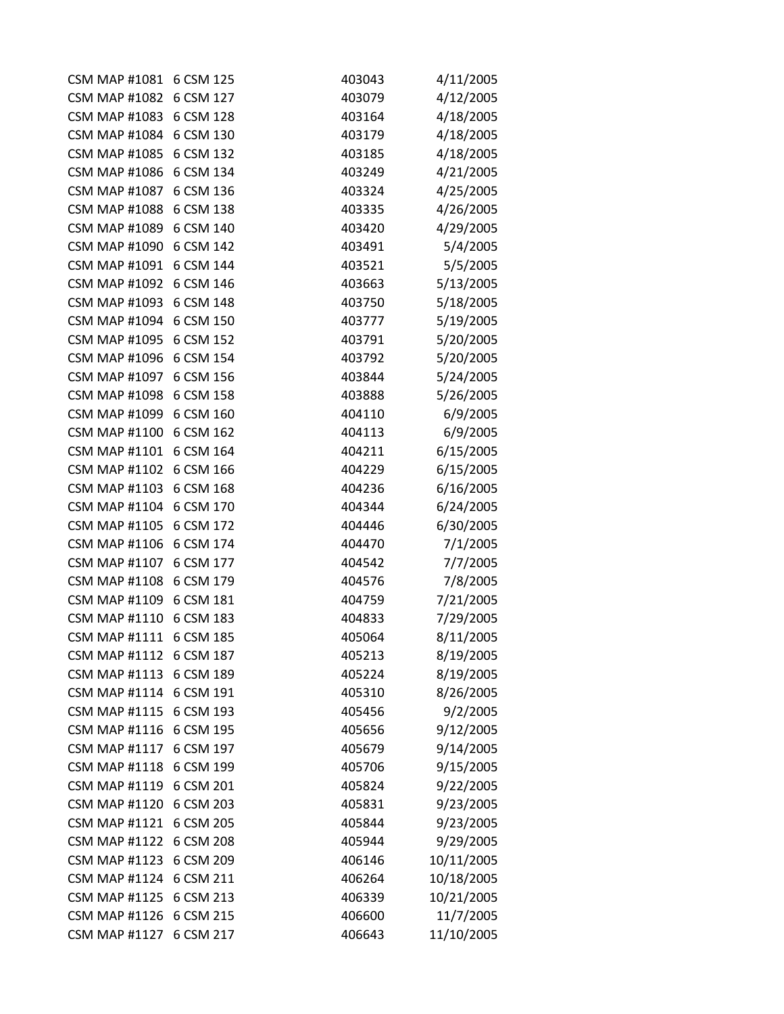| <b>CSM MAP #1081</b>    | 6 CSM 125 | 403043 | 4/11/2005  |
|-------------------------|-----------|--------|------------|
| <b>CSM MAP #1082</b>    | 6 CSM 127 | 403079 | 4/12/2005  |
| CSM MAP #1083 6 CSM 128 |           | 403164 | 4/18/2005  |
| <b>CSM MAP #1084</b>    | 6 CSM 130 | 403179 | 4/18/2005  |
| <b>CSM MAP #1085</b>    | 6 CSM 132 | 403185 | 4/18/2005  |
| <b>CSM MAP #1086</b>    | 6 CSM 134 | 403249 | 4/21/2005  |
| <b>CSM MAP #1087</b>    | 6 CSM 136 | 403324 | 4/25/2005  |
| <b>CSM MAP #1088</b>    | 6 CSM 138 | 403335 | 4/26/2005  |
| <b>CSM MAP #1089</b>    | 6 CSM 140 | 403420 | 4/29/2005  |
| <b>CSM MAP #1090</b>    | 6 CSM 142 | 403491 | 5/4/2005   |
| <b>CSM MAP #1091</b>    | 6 CSM 144 | 403521 | 5/5/2005   |
| <b>CSM MAP #1092</b>    | 6 CSM 146 | 403663 | 5/13/2005  |
| <b>CSM MAP #1093</b>    | 6 CSM 148 | 403750 | 5/18/2005  |
| <b>CSM MAP #1094</b>    | 6 CSM 150 | 403777 | 5/19/2005  |
| <b>CSM MAP #1095</b>    | 6 CSM 152 | 403791 | 5/20/2005  |
| <b>CSM MAP #1096</b>    | 6 CSM 154 | 403792 | 5/20/2005  |
| <b>CSM MAP #1097</b>    | 6 CSM 156 | 403844 | 5/24/2005  |
| <b>CSM MAP #1098</b>    | 6 CSM 158 | 403888 | 5/26/2005  |
| <b>CSM MAP #1099</b>    | 6 CSM 160 | 404110 | 6/9/2005   |
| <b>CSM MAP #1100</b>    | 6 CSM 162 | 404113 | 6/9/2005   |
| <b>CSM MAP #1101</b>    | 6 CSM 164 | 404211 | 6/15/2005  |
| <b>CSM MAP #1102</b>    | 6 CSM 166 | 404229 | 6/15/2005  |
| <b>CSM MAP #1103</b>    | 6 CSM 168 | 404236 | 6/16/2005  |
| <b>CSM MAP #1104</b>    | 6 CSM 170 | 404344 | 6/24/2005  |
| <b>CSM MAP #1105</b>    | 6 CSM 172 | 404446 | 6/30/2005  |
| <b>CSM MAP #1106</b>    | 6 CSM 174 | 404470 | 7/1/2005   |
| <b>CSM MAP #1107</b>    | 6 CSM 177 | 404542 | 7/7/2005   |
| <b>CSM MAP #1108</b>    | 6 CSM 179 | 404576 | 7/8/2005   |
| <b>CSM MAP #1109</b>    | 6 CSM 181 | 404759 | 7/21/2005  |
| <b>CSM MAP #1110</b>    | 6 CSM 183 | 404833 | 7/29/2005  |
| <b>CSM MAP #1111</b>    | 6 CSM 185 | 405064 | 8/11/2005  |
| <b>CSM MAP #1112</b>    | 6 CSM 187 | 405213 | 8/19/2005  |
| <b>CSM MAP #1113</b>    | 6 CSM 189 | 405224 | 8/19/2005  |
| <b>CSM MAP #1114</b>    | 6 CSM 191 | 405310 | 8/26/2005  |
| <b>CSM MAP #1115</b>    | 6 CSM 193 | 405456 | 9/2/2005   |
| <b>CSM MAP #1116</b>    | 6 CSM 195 | 405656 | 9/12/2005  |
| <b>CSM MAP #1117</b>    | 6 CSM 197 | 405679 | 9/14/2005  |
| <b>CSM MAP #1118</b>    | 6 CSM 199 | 405706 | 9/15/2005  |
| <b>CSM MAP #1119</b>    | 6 CSM 201 | 405824 | 9/22/2005  |
| <b>CSM MAP #1120</b>    | 6 CSM 203 | 405831 | 9/23/2005  |
| <b>CSM MAP #1121</b>    | 6 CSM 205 | 405844 | 9/23/2005  |
| <b>CSM MAP #1122</b>    | 6 CSM 208 | 405944 | 9/29/2005  |
| <b>CSM MAP #1123</b>    | 6 CSM 209 | 406146 | 10/11/2005 |
| <b>CSM MAP #1124</b>    | 6 CSM 211 | 406264 | 10/18/2005 |
| <b>CSM MAP #1125</b>    | 6 CSM 213 | 406339 | 10/21/2005 |
| <b>CSM MAP #1126</b>    | 6 CSM 215 | 406600 | 11/7/2005  |
| <b>CSM MAP #1127</b>    | 6 CSM 217 | 406643 | 11/10/2005 |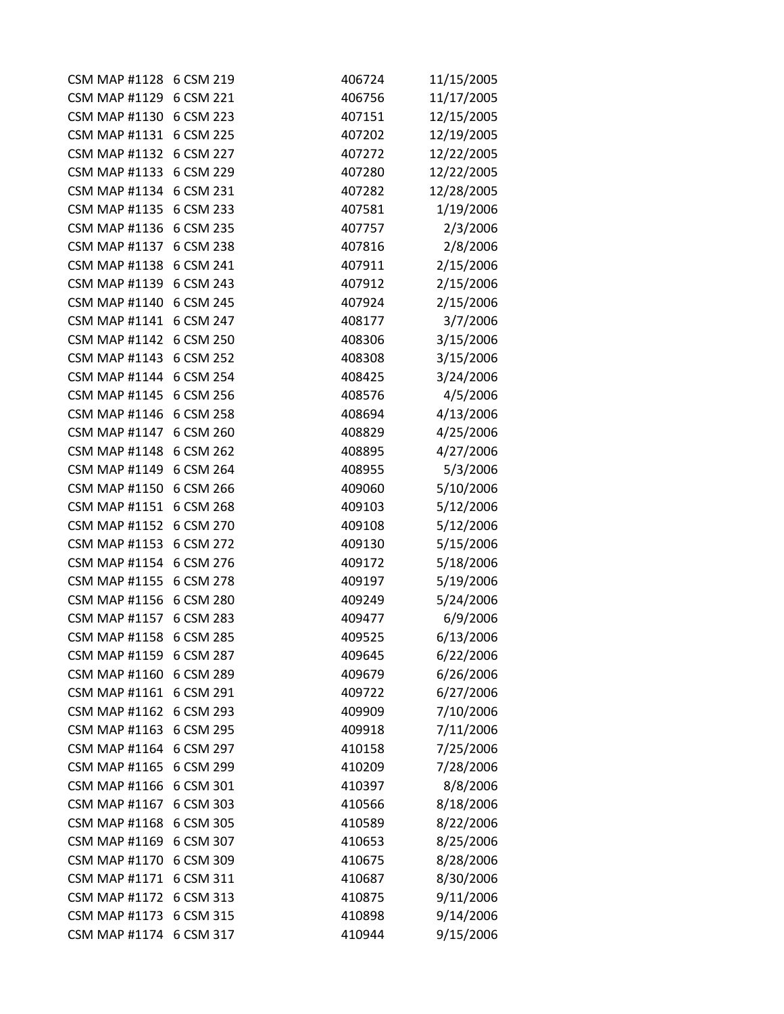| CSM MAP #1128 6 CSM 219 |           | 406724 | 11/15/2005 |
|-------------------------|-----------|--------|------------|
| <b>CSM MAP #1129</b>    | 6 CSM 221 | 406756 | 11/17/2005 |
| CSM MAP #1130 6 CSM 223 |           | 407151 | 12/15/2005 |
| <b>CSM MAP #1131</b>    | 6 CSM 225 | 407202 | 12/19/2005 |
| <b>CSM MAP #1132</b>    | 6 CSM 227 | 407272 | 12/22/2005 |
| <b>CSM MAP #1133</b>    | 6 CSM 229 | 407280 | 12/22/2005 |
| <b>CSM MAP #1134</b>    | 6 CSM 231 | 407282 | 12/28/2005 |
| <b>CSM MAP #1135</b>    | 6 CSM 233 | 407581 | 1/19/2006  |
| <b>CSM MAP #1136</b>    | 6 CSM 235 | 407757 | 2/3/2006   |
| <b>CSM MAP #1137</b>    | 6 CSM 238 | 407816 | 2/8/2006   |
| <b>CSM MAP #1138</b>    | 6 CSM 241 | 407911 | 2/15/2006  |
| <b>CSM MAP #1139</b>    | 6 CSM 243 | 407912 | 2/15/2006  |
| <b>CSM MAP #1140</b>    | 6 CSM 245 | 407924 | 2/15/2006  |
| <b>CSM MAP #1141</b>    | 6 CSM 247 | 408177 | 3/7/2006   |
| <b>CSM MAP #1142</b>    | 6 CSM 250 | 408306 | 3/15/2006  |
| <b>CSM MAP #1143</b>    | 6 CSM 252 | 408308 | 3/15/2006  |
| <b>CSM MAP #1144</b>    | 6 CSM 254 | 408425 | 3/24/2006  |
| <b>CSM MAP #1145</b>    | 6 CSM 256 | 408576 | 4/5/2006   |
| <b>CSM MAP #1146</b>    | 6 CSM 258 | 408694 | 4/13/2006  |
| <b>CSM MAP #1147</b>    | 6 CSM 260 | 408829 | 4/25/2006  |
| <b>CSM MAP #1148</b>    | 6 CSM 262 | 408895 | 4/27/2006  |
| <b>CSM MAP #1149</b>    | 6 CSM 264 | 408955 | 5/3/2006   |
| <b>CSM MAP #1150</b>    | 6 CSM 266 | 409060 | 5/10/2006  |
| <b>CSM MAP #1151</b>    | 6 CSM 268 | 409103 | 5/12/2006  |
| <b>CSM MAP #1152</b>    | 6 CSM 270 | 409108 | 5/12/2006  |
| <b>CSM MAP #1153</b>    | 6 CSM 272 | 409130 | 5/15/2006  |
| <b>CSM MAP #1154</b>    | 6 CSM 276 | 409172 | 5/18/2006  |
| <b>CSM MAP #1155</b>    | 6 CSM 278 | 409197 | 5/19/2006  |
| <b>CSM MAP #1156</b>    | 6 CSM 280 | 409249 | 5/24/2006  |
| <b>CSM MAP #1157</b>    | 6 CSM 283 | 409477 | 6/9/2006   |
| <b>CSM MAP #1158</b>    | 6 CSM 285 | 409525 | 6/13/2006  |
| <b>CSM MAP #1159</b>    | 6 CSM 287 | 409645 | 6/22/2006  |
| <b>CSM MAP #1160</b>    | 6 CSM 289 | 409679 | 6/26/2006  |
| <b>CSM MAP #1161</b>    | 6 CSM 291 | 409722 | 6/27/2006  |
| <b>CSM MAP #1162</b>    | 6 CSM 293 | 409909 | 7/10/2006  |
| <b>CSM MAP #1163</b>    | 6 CSM 295 | 409918 | 7/11/2006  |
| <b>CSM MAP #1164</b>    | 6 CSM 297 | 410158 | 7/25/2006  |
| <b>CSM MAP #1165</b>    | 6 CSM 299 | 410209 | 7/28/2006  |
| <b>CSM MAP #1166</b>    | 6 CSM 301 | 410397 | 8/8/2006   |
| <b>CSM MAP #1167</b>    | 6 CSM 303 | 410566 | 8/18/2006  |
| <b>CSM MAP #1168</b>    | 6 CSM 305 | 410589 | 8/22/2006  |
| <b>CSM MAP #1169</b>    | 6 CSM 307 | 410653 | 8/25/2006  |
| <b>CSM MAP #1170</b>    | 6 CSM 309 | 410675 | 8/28/2006  |
| <b>CSM MAP #1171</b>    | 6 CSM 311 | 410687 | 8/30/2006  |
| <b>CSM MAP #1172</b>    | 6 CSM 313 | 410875 | 9/11/2006  |
| <b>CSM MAP #1173</b>    | 6 CSM 315 | 410898 | 9/14/2006  |
| <b>CSM MAP #1174</b>    | 6 CSM 317 | 410944 | 9/15/2006  |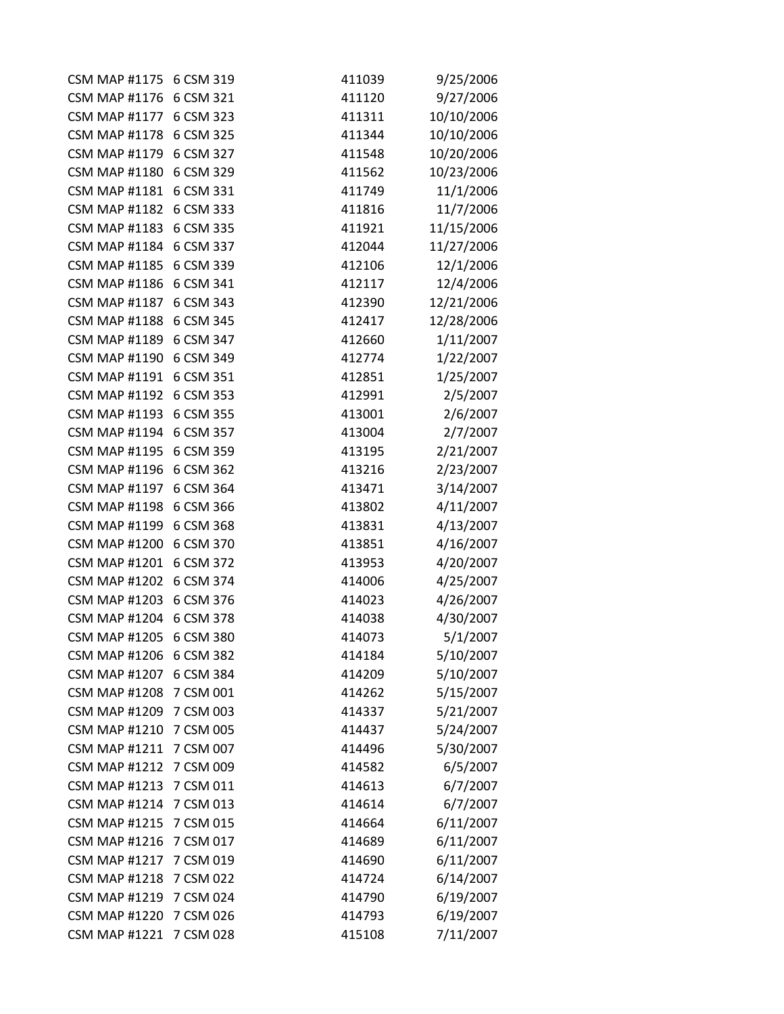| CSM MAP #1175 6 CSM 319 |           | 411039 | 9/25/2006  |
|-------------------------|-----------|--------|------------|
| <b>CSM MAP #1176</b>    | 6 CSM 321 | 411120 | 9/27/2006  |
| CSM MAP #1177 6 CSM 323 |           | 411311 | 10/10/2006 |
| <b>CSM MAP #1178</b>    | 6 CSM 325 | 411344 | 10/10/2006 |
| <b>CSM MAP #1179</b>    | 6 CSM 327 | 411548 | 10/20/2006 |
| <b>CSM MAP #1180</b>    | 6 CSM 329 | 411562 | 10/23/2006 |
| <b>CSM MAP #1181</b>    | 6 CSM 331 | 411749 | 11/1/2006  |
| <b>CSM MAP #1182</b>    | 6 CSM 333 | 411816 | 11/7/2006  |
| <b>CSM MAP #1183</b>    | 6 CSM 335 | 411921 | 11/15/2006 |
| <b>CSM MAP #1184</b>    | 6 CSM 337 | 412044 | 11/27/2006 |
| <b>CSM MAP #1185</b>    | 6 CSM 339 | 412106 | 12/1/2006  |
| <b>CSM MAP #1186</b>    | 6 CSM 341 | 412117 | 12/4/2006  |
| <b>CSM MAP #1187</b>    | 6 CSM 343 | 412390 | 12/21/2006 |
| <b>CSM MAP #1188</b>    | 6 CSM 345 | 412417 | 12/28/2006 |
| <b>CSM MAP #1189</b>    | 6 CSM 347 | 412660 | 1/11/2007  |
| <b>CSM MAP #1190</b>    | 6 CSM 349 | 412774 | 1/22/2007  |
| <b>CSM MAP #1191</b>    | 6 CSM 351 | 412851 | 1/25/2007  |
| <b>CSM MAP #1192</b>    | 6 CSM 353 | 412991 | 2/5/2007   |
| <b>CSM MAP #1193</b>    | 6 CSM 355 | 413001 | 2/6/2007   |
| <b>CSM MAP #1194</b>    | 6 CSM 357 | 413004 | 2/7/2007   |
| <b>CSM MAP #1195</b>    | 6 CSM 359 | 413195 | 2/21/2007  |
| <b>CSM MAP #1196</b>    | 6 CSM 362 | 413216 | 2/23/2007  |
| <b>CSM MAP #1197</b>    | 6 CSM 364 | 413471 | 3/14/2007  |
| <b>CSM MAP #1198</b>    | 6 CSM 366 | 413802 | 4/11/2007  |
| <b>CSM MAP #1199</b>    | 6 CSM 368 | 413831 | 4/13/2007  |
| <b>CSM MAP #1200</b>    | 6 CSM 370 | 413851 | 4/16/2007  |
| <b>CSM MAP #1201</b>    | 6 CSM 372 | 413953 | 4/20/2007  |
| <b>CSM MAP #1202</b>    | 6 CSM 374 | 414006 | 4/25/2007  |
| <b>CSM MAP #1203</b>    | 6 CSM 376 | 414023 | 4/26/2007  |
| <b>CSM MAP #1204</b>    | 6 CSM 378 | 414038 | 4/30/2007  |
| <b>CSM MAP #1205</b>    | 6 CSM 380 | 414073 | 5/1/2007   |
| <b>CSM MAP #1206</b>    | 6 CSM 382 | 414184 | 5/10/2007  |
| <b>CSM MAP #1207</b>    | 6 CSM 384 | 414209 | 5/10/2007  |
| <b>CSM MAP #1208</b>    | 7 CSM 001 | 414262 | 5/15/2007  |
| <b>CSM MAP #1209</b>    | 7 CSM 003 | 414337 | 5/21/2007  |
| <b>CSM MAP #1210</b>    | 7 CSM 005 | 414437 | 5/24/2007  |
| <b>CSM MAP #1211</b>    | 7 CSM 007 | 414496 | 5/30/2007  |
| <b>CSM MAP #1212</b>    | 7 CSM 009 | 414582 | 6/5/2007   |
| <b>CSM MAP #1213</b>    | 7 CSM 011 | 414613 | 6/7/2007   |
| <b>CSM MAP #1214</b>    | 7 CSM 013 | 414614 | 6/7/2007   |
| <b>CSM MAP #1215</b>    | 7 CSM 015 | 414664 | 6/11/2007  |
| <b>CSM MAP #1216</b>    | 7 CSM 017 | 414689 | 6/11/2007  |
| <b>CSM MAP #1217</b>    | 7 CSM 019 | 414690 | 6/11/2007  |
| <b>CSM MAP #1218</b>    | 7 CSM 022 | 414724 | 6/14/2007  |
| <b>CSM MAP #1219</b>    | 7 CSM 024 | 414790 | 6/19/2007  |
| <b>CSM MAP #1220</b>    | 7 CSM 026 | 414793 | 6/19/2007  |
| <b>CSM MAP #1221</b>    | 7 CSM 028 | 415108 | 7/11/2007  |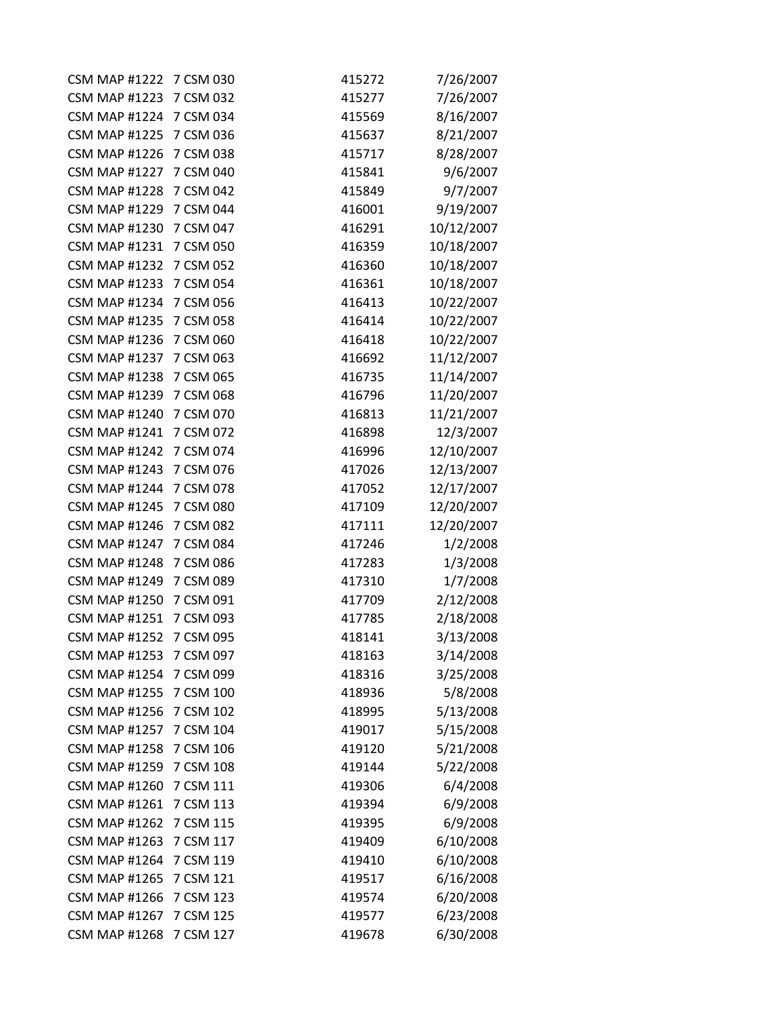| <b>CSM MAP #1222</b>    | 7 CSM 030 | 415272 | 7/26/2007  |
|-------------------------|-----------|--------|------------|
| <b>CSM MAP #1223</b>    | 7 CSM 032 | 415277 | 7/26/2007  |
| CSM MAP #1224 7 CSM 034 |           | 415569 | 8/16/2007  |
| <b>CSM MAP #1225</b>    | 7 CSM 036 | 415637 | 8/21/2007  |
| <b>CSM MAP #1226</b>    | 7 CSM 038 | 415717 | 8/28/2007  |
| <b>CSM MAP #1227</b>    | 7 CSM 040 | 415841 | 9/6/2007   |
| <b>CSM MAP #1228</b>    | 7 CSM 042 | 415849 | 9/7/2007   |
| <b>CSM MAP #1229</b>    | 7 CSM 044 | 416001 | 9/19/2007  |
| <b>CSM MAP #1230</b>    | 7 CSM 047 | 416291 | 10/12/2007 |
| <b>CSM MAP #1231</b>    | 7 CSM 050 | 416359 | 10/18/2007 |
| <b>CSM MAP #1232</b>    | 7 CSM 052 | 416360 | 10/18/2007 |
| <b>CSM MAP #1233</b>    | 7 CSM 054 | 416361 | 10/18/2007 |
| <b>CSM MAP #1234</b>    | 7 CSM 056 | 416413 | 10/22/2007 |
| <b>CSM MAP #1235</b>    | 7 CSM 058 | 416414 | 10/22/2007 |
| <b>CSM MAP #1236</b>    | 7 CSM 060 | 416418 | 10/22/2007 |
| <b>CSM MAP #1237</b>    | 7 CSM 063 | 416692 | 11/12/2007 |
| <b>CSM MAP #1238</b>    | 7 CSM 065 | 416735 | 11/14/2007 |
| <b>CSM MAP #1239</b>    | 7 CSM 068 | 416796 | 11/20/2007 |
| <b>CSM MAP #1240</b>    | 7 CSM 070 | 416813 | 11/21/2007 |
| <b>CSM MAP #1241</b>    | 7 CSM 072 | 416898 | 12/3/2007  |
| <b>CSM MAP #1242</b>    | 7 CSM 074 | 416996 | 12/10/2007 |
| <b>CSM MAP #1243</b>    | 7 CSM 076 | 417026 | 12/13/2007 |
| <b>CSM MAP #1244</b>    | 7 CSM 078 | 417052 | 12/17/2007 |
| <b>CSM MAP #1245</b>    | 7 CSM 080 | 417109 | 12/20/2007 |
| <b>CSM MAP #1246</b>    | 7 CSM 082 | 417111 | 12/20/2007 |
| <b>CSM MAP #1247</b>    | 7 CSM 084 | 417246 | 1/2/2008   |
| <b>CSM MAP #1248</b>    | 7 CSM 086 | 417283 | 1/3/2008   |
| <b>CSM MAP #1249</b>    | 7 CSM 089 | 417310 | 1/7/2008   |
| <b>CSM MAP #1250</b>    | 7 CSM 091 | 417709 | 2/12/2008  |
| <b>CSM MAP #1251</b>    | 7 CSM 093 | 417785 | 2/18/2008  |
| <b>CSM MAP #1252</b>    | 7 CSM 095 | 418141 | 3/13/2008  |
| <b>CSM MAP #1253</b>    | 7 CSM 097 | 418163 | 3/14/2008  |
| <b>CSM MAP #1254</b>    | 7 CSM 099 | 418316 | 3/25/2008  |
| <b>CSM MAP #1255</b>    | 7 CSM 100 | 418936 | 5/8/2008   |
| <b>CSM MAP #1256</b>    | 7 CSM 102 | 418995 | 5/13/2008  |
| <b>CSM MAP #1257</b>    | 7 CSM 104 | 419017 | 5/15/2008  |
| <b>CSM MAP #1258</b>    | 7 CSM 106 | 419120 | 5/21/2008  |
| <b>CSM MAP #1259</b>    | 7 CSM 108 | 419144 | 5/22/2008  |
| <b>CSM MAP #1260</b>    | 7 CSM 111 | 419306 | 6/4/2008   |
| <b>CSM MAP #1261</b>    | 7 CSM 113 | 419394 | 6/9/2008   |
| <b>CSM MAP #1262</b>    | 7 CSM 115 | 419395 | 6/9/2008   |
| <b>CSM MAP #1263</b>    | 7 CSM 117 | 419409 | 6/10/2008  |
| <b>CSM MAP #1264</b>    | 7 CSM 119 | 419410 | 6/10/2008  |
| <b>CSM MAP #1265</b>    | 7 CSM 121 | 419517 | 6/16/2008  |
| <b>CSM MAP #1266</b>    | 7 CSM 123 | 419574 | 6/20/2008  |
| <b>CSM MAP #1267</b>    | 7 CSM 125 | 419577 | 6/23/2008  |
| <b>CSM MAP #1268</b>    | 7 CSM 127 | 419678 | 6/30/2008  |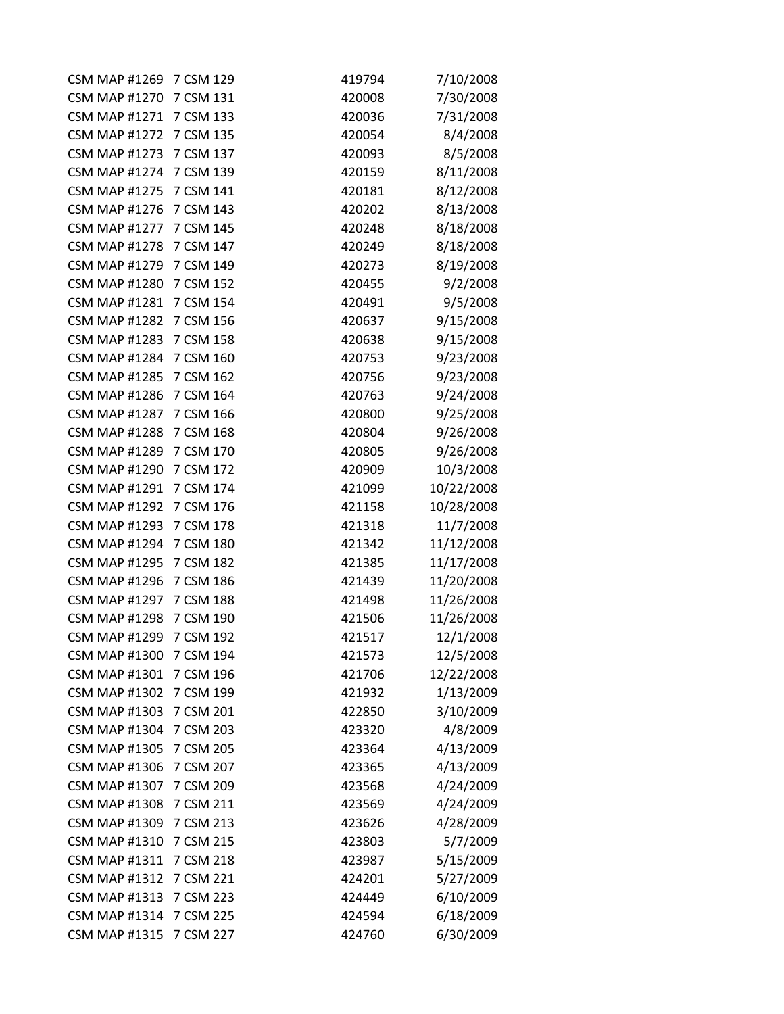| <b>CSM MAP #1269</b>    | 7 CSM 129 | 419794 | 7/10/2008  |
|-------------------------|-----------|--------|------------|
| <b>CSM MAP #1270</b>    | 7 CSM 131 | 420008 | 7/30/2008  |
| CSM MAP #1271 7 CSM 133 |           | 420036 | 7/31/2008  |
| <b>CSM MAP #1272</b>    | 7 CSM 135 | 420054 | 8/4/2008   |
| <b>CSM MAP #1273</b>    | 7 CSM 137 | 420093 | 8/5/2008   |
| <b>CSM MAP #1274</b>    | 7 CSM 139 | 420159 | 8/11/2008  |
| <b>CSM MAP #1275</b>    | 7 CSM 141 | 420181 | 8/12/2008  |
| <b>CSM MAP #1276</b>    | 7 CSM 143 | 420202 | 8/13/2008  |
| <b>CSM MAP #1277</b>    | 7 CSM 145 | 420248 | 8/18/2008  |
| <b>CSM MAP #1278</b>    | 7 CSM 147 | 420249 | 8/18/2008  |
| <b>CSM MAP #1279</b>    | 7 CSM 149 | 420273 | 8/19/2008  |
| <b>CSM MAP #1280</b>    | 7 CSM 152 | 420455 | 9/2/2008   |
| <b>CSM MAP #1281</b>    | 7 CSM 154 | 420491 | 9/5/2008   |
| <b>CSM MAP #1282</b>    | 7 CSM 156 | 420637 | 9/15/2008  |
| <b>CSM MAP #1283</b>    | 7 CSM 158 | 420638 | 9/15/2008  |
| <b>CSM MAP #1284</b>    | 7 CSM 160 | 420753 | 9/23/2008  |
| <b>CSM MAP #1285</b>    | 7 CSM 162 | 420756 | 9/23/2008  |
| <b>CSM MAP #1286</b>    | 7 CSM 164 | 420763 | 9/24/2008  |
| <b>CSM MAP #1287</b>    | 7 CSM 166 | 420800 | 9/25/2008  |
| <b>CSM MAP #1288</b>    | 7 CSM 168 | 420804 | 9/26/2008  |
| <b>CSM MAP #1289</b>    | 7 CSM 170 | 420805 | 9/26/2008  |
| <b>CSM MAP #1290</b>    | 7 CSM 172 | 420909 | 10/3/2008  |
| <b>CSM MAP #1291</b>    | 7 CSM 174 | 421099 | 10/22/2008 |
| <b>CSM MAP #1292</b>    | 7 CSM 176 | 421158 | 10/28/2008 |
| <b>CSM MAP #1293</b>    | 7 CSM 178 | 421318 | 11/7/2008  |
| <b>CSM MAP #1294</b>    | 7 CSM 180 | 421342 | 11/12/2008 |
| <b>CSM MAP #1295</b>    | 7 CSM 182 | 421385 | 11/17/2008 |
| <b>CSM MAP #1296</b>    | 7 CSM 186 | 421439 | 11/20/2008 |
| <b>CSM MAP #1297</b>    | 7 CSM 188 | 421498 | 11/26/2008 |
| <b>CSM MAP #1298</b>    | 7 CSM 190 | 421506 | 11/26/2008 |
| <b>CSM MAP #1299</b>    | 7 CSM 192 | 421517 | 12/1/2008  |
| <b>CSM MAP #1300</b>    | 7 CSM 194 | 421573 | 12/5/2008  |
| <b>CSM MAP #1301</b>    | 7 CSM 196 | 421706 | 12/22/2008 |
| <b>CSM MAP #1302</b>    | 7 CSM 199 | 421932 | 1/13/2009  |
| <b>CSM MAP #1303</b>    | 7 CSM 201 | 422850 | 3/10/2009  |
| <b>CSM MAP #1304</b>    | 7 CSM 203 | 423320 | 4/8/2009   |
| <b>CSM MAP #1305</b>    | 7 CSM 205 | 423364 | 4/13/2009  |
| <b>CSM MAP #1306</b>    | 7 CSM 207 | 423365 | 4/13/2009  |
| <b>CSM MAP #1307</b>    | 7 CSM 209 | 423568 | 4/24/2009  |
| <b>CSM MAP #1308</b>    | 7 CSM 211 | 423569 | 4/24/2009  |
| <b>CSM MAP #1309</b>    | 7 CSM 213 | 423626 | 4/28/2009  |
| <b>CSM MAP #1310</b>    | 7 CSM 215 | 423803 | 5/7/2009   |
| <b>CSM MAP #1311</b>    | 7 CSM 218 | 423987 | 5/15/2009  |
| <b>CSM MAP #1312</b>    | 7 CSM 221 | 424201 | 5/27/2009  |
| <b>CSM MAP #1313</b>    | 7 CSM 223 | 424449 | 6/10/2009  |
| <b>CSM MAP #1314</b>    | 7 CSM 225 | 424594 | 6/18/2009  |
| <b>CSM MAP #1315</b>    | 7 CSM 227 | 424760 | 6/30/2009  |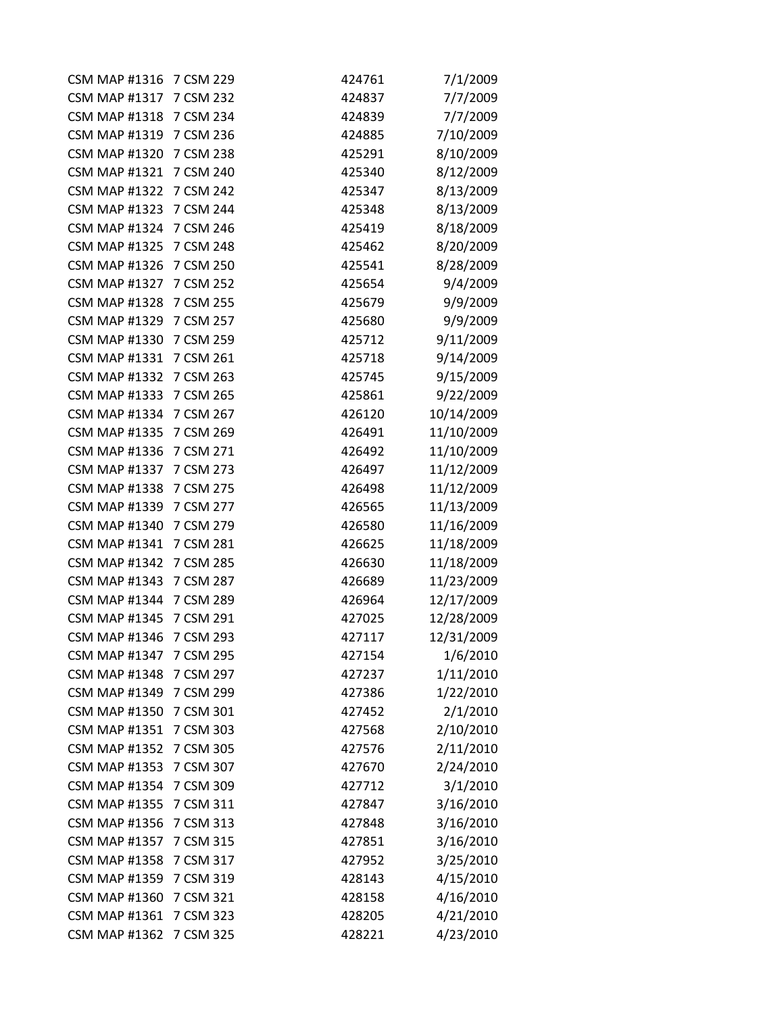| <b>CSM MAP #1316</b>    | 7 CSM 229 | 424761 | 7/1/2009   |
|-------------------------|-----------|--------|------------|
| <b>CSM MAP #1317</b>    | 7 CSM 232 | 424837 | 7/7/2009   |
| CSM MAP #1318 7 CSM 234 |           | 424839 | 7/7/2009   |
| <b>CSM MAP #1319</b>    | 7 CSM 236 | 424885 | 7/10/2009  |
| <b>CSM MAP #1320</b>    | 7 CSM 238 | 425291 | 8/10/2009  |
| <b>CSM MAP #1321</b>    | 7 CSM 240 | 425340 | 8/12/2009  |
| <b>CSM MAP #1322</b>    | 7 CSM 242 | 425347 | 8/13/2009  |
| <b>CSM MAP #1323</b>    | 7 CSM 244 | 425348 | 8/13/2009  |
| <b>CSM MAP #1324</b>    | 7 CSM 246 | 425419 | 8/18/2009  |
| <b>CSM MAP #1325</b>    | 7 CSM 248 | 425462 | 8/20/2009  |
| <b>CSM MAP #1326</b>    | 7 CSM 250 | 425541 | 8/28/2009  |
| <b>CSM MAP #1327</b>    | 7 CSM 252 | 425654 | 9/4/2009   |
| <b>CSM MAP #1328</b>    | 7 CSM 255 | 425679 | 9/9/2009   |
| <b>CSM MAP #1329</b>    | 7 CSM 257 | 425680 | 9/9/2009   |
| <b>CSM MAP #1330</b>    | 7 CSM 259 | 425712 | 9/11/2009  |
| <b>CSM MAP #1331</b>    | 7 CSM 261 | 425718 | 9/14/2009  |
| <b>CSM MAP #1332</b>    | 7 CSM 263 | 425745 | 9/15/2009  |
| <b>CSM MAP #1333</b>    | 7 CSM 265 | 425861 | 9/22/2009  |
| <b>CSM MAP #1334</b>    | 7 CSM 267 | 426120 | 10/14/2009 |
| <b>CSM MAP #1335</b>    | 7 CSM 269 | 426491 | 11/10/2009 |
| <b>CSM MAP #1336</b>    | 7 CSM 271 | 426492 | 11/10/2009 |
| <b>CSM MAP #1337</b>    | 7 CSM 273 | 426497 | 11/12/2009 |
| <b>CSM MAP #1338</b>    | 7 CSM 275 | 426498 | 11/12/2009 |
| <b>CSM MAP #1339</b>    | 7 CSM 277 | 426565 | 11/13/2009 |
| <b>CSM MAP #1340</b>    | 7 CSM 279 | 426580 | 11/16/2009 |
| <b>CSM MAP #1341</b>    | 7 CSM 281 | 426625 | 11/18/2009 |
| <b>CSM MAP #1342</b>    | 7 CSM 285 | 426630 | 11/18/2009 |
| <b>CSM MAP #1343</b>    | 7 CSM 287 | 426689 | 11/23/2009 |
| <b>CSM MAP #1344</b>    | 7 CSM 289 | 426964 | 12/17/2009 |
| <b>CSM MAP #1345</b>    | 7 CSM 291 | 427025 | 12/28/2009 |
| <b>CSM MAP #1346</b>    | 7 CSM 293 | 427117 | 12/31/2009 |
| <b>CSM MAP #1347</b>    | 7 CSM 295 | 427154 | 1/6/2010   |
| <b>CSM MAP #1348</b>    | 7 CSM 297 | 427237 | 1/11/2010  |
| <b>CSM MAP #1349</b>    | 7 CSM 299 | 427386 | 1/22/2010  |
| <b>CSM MAP #1350</b>    | 7 CSM 301 | 427452 | 2/1/2010   |
| <b>CSM MAP #1351</b>    | 7 CSM 303 | 427568 | 2/10/2010  |
| <b>CSM MAP #1352</b>    | 7 CSM 305 | 427576 | 2/11/2010  |
| <b>CSM MAP #1353</b>    | 7 CSM 307 | 427670 | 2/24/2010  |
| <b>CSM MAP #1354</b>    | 7 CSM 309 | 427712 | 3/1/2010   |
| <b>CSM MAP #1355</b>    | 7 CSM 311 | 427847 | 3/16/2010  |
| <b>CSM MAP #1356</b>    | 7 CSM 313 | 427848 | 3/16/2010  |
| <b>CSM MAP #1357</b>    | 7 CSM 315 | 427851 | 3/16/2010  |
| <b>CSM MAP #1358</b>    | 7 CSM 317 | 427952 | 3/25/2010  |
| <b>CSM MAP #1359</b>    | 7 CSM 319 | 428143 | 4/15/2010  |
| <b>CSM MAP #1360</b>    | 7 CSM 321 | 428158 | 4/16/2010  |
| <b>CSM MAP #1361</b>    | 7 CSM 323 | 428205 | 4/21/2010  |
| <b>CSM MAP #1362</b>    | 7 CSM 325 | 428221 | 4/23/2010  |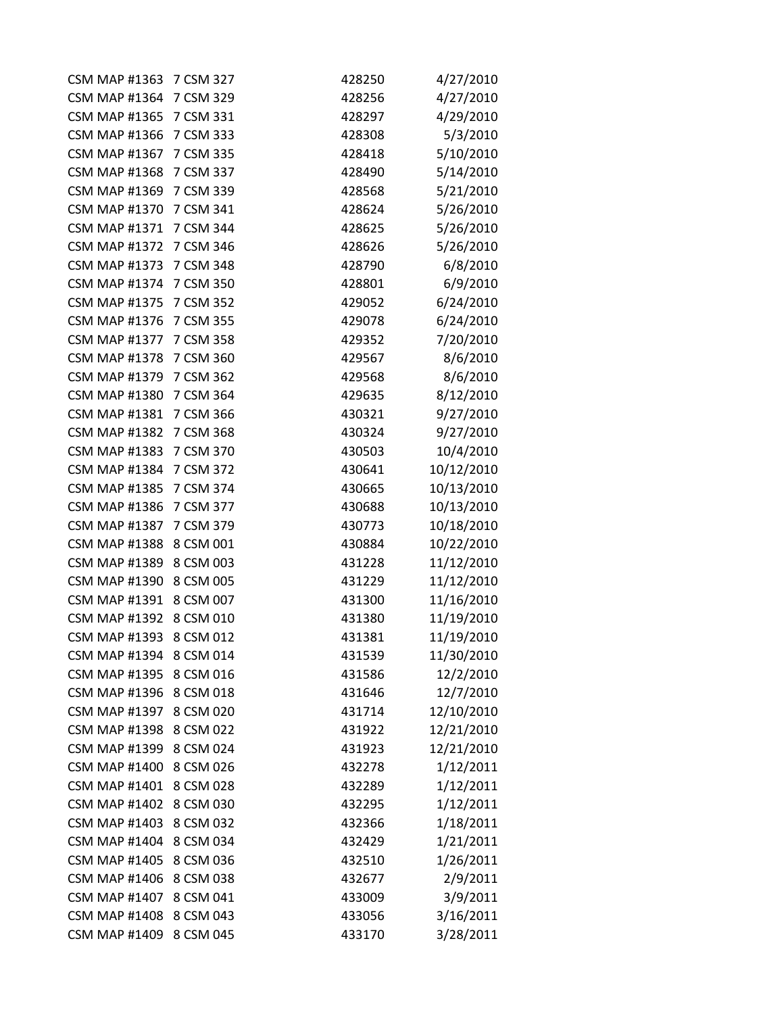| <b>CSM MAP #1363</b> | 7 CSM 327 | 428250 | 4/27/2010  |
|----------------------|-----------|--------|------------|
| <b>CSM MAP #1364</b> | 7 CSM 329 | 428256 | 4/27/2010  |
| <b>CSM MAP #1365</b> | 7 CSM 331 | 428297 | 4/29/2010  |
| <b>CSM MAP #1366</b> | 7 CSM 333 | 428308 | 5/3/2010   |
| <b>CSM MAP #1367</b> | 7 CSM 335 | 428418 | 5/10/2010  |
| <b>CSM MAP #1368</b> | 7 CSM 337 | 428490 | 5/14/2010  |
| <b>CSM MAP #1369</b> | 7 CSM 339 | 428568 | 5/21/2010  |
| <b>CSM MAP #1370</b> | 7 CSM 341 | 428624 | 5/26/2010  |
| <b>CSM MAP #1371</b> | 7 CSM 344 | 428625 | 5/26/2010  |
| <b>CSM MAP #1372</b> | 7 CSM 346 | 428626 | 5/26/2010  |
| <b>CSM MAP #1373</b> | 7 CSM 348 | 428790 | 6/8/2010   |
| <b>CSM MAP #1374</b> | 7 CSM 350 | 428801 | 6/9/2010   |
| <b>CSM MAP #1375</b> | 7 CSM 352 | 429052 | 6/24/2010  |
| <b>CSM MAP #1376</b> | 7 CSM 355 | 429078 | 6/24/2010  |
| <b>CSM MAP #1377</b> | 7 CSM 358 | 429352 | 7/20/2010  |
| <b>CSM MAP #1378</b> | 7 CSM 360 | 429567 | 8/6/2010   |
| <b>CSM MAP #1379</b> | 7 CSM 362 | 429568 | 8/6/2010   |
| <b>CSM MAP #1380</b> | 7 CSM 364 | 429635 | 8/12/2010  |
| <b>CSM MAP #1381</b> | 7 CSM 366 | 430321 | 9/27/2010  |
| <b>CSM MAP #1382</b> | 7 CSM 368 | 430324 | 9/27/2010  |
| <b>CSM MAP #1383</b> | 7 CSM 370 | 430503 | 10/4/2010  |
| <b>CSM MAP #1384</b> | 7 CSM 372 | 430641 | 10/12/2010 |
| <b>CSM MAP #1385</b> | 7 CSM 374 | 430665 | 10/13/2010 |
| <b>CSM MAP #1386</b> | 7 CSM 377 | 430688 | 10/13/2010 |
| <b>CSM MAP #1387</b> | 7 CSM 379 | 430773 | 10/18/2010 |
| <b>CSM MAP #1388</b> | 8 CSM 001 | 430884 | 10/22/2010 |
| <b>CSM MAP #1389</b> | 8 CSM 003 | 431228 | 11/12/2010 |
| <b>CSM MAP #1390</b> | 8 CSM 005 | 431229 | 11/12/2010 |
| <b>CSM MAP #1391</b> | 8 CSM 007 | 431300 | 11/16/2010 |
| <b>CSM MAP #1392</b> | 8 CSM 010 | 431380 | 11/19/2010 |
| <b>CSM MAP #1393</b> | 8 CSM 012 | 431381 | 11/19/2010 |
| <b>CSM MAP #1394</b> | 8 CSM 014 | 431539 | 11/30/2010 |
| <b>CSM MAP #1395</b> | 8 CSM 016 | 431586 | 12/2/2010  |
| <b>CSM MAP #1396</b> | 8 CSM 018 | 431646 | 12/7/2010  |
| <b>CSM MAP #1397</b> | 8 CSM 020 | 431714 | 12/10/2010 |
| <b>CSM MAP #1398</b> | 8 CSM 022 | 431922 | 12/21/2010 |
| <b>CSM MAP #1399</b> | 8 CSM 024 | 431923 | 12/21/2010 |
| <b>CSM MAP #1400</b> | 8 CSM 026 | 432278 | 1/12/2011  |
| <b>CSM MAP #1401</b> | 8 CSM 028 | 432289 | 1/12/2011  |
| <b>CSM MAP #1402</b> | 8 CSM 030 | 432295 | 1/12/2011  |
| <b>CSM MAP #1403</b> | 8 CSM 032 | 432366 | 1/18/2011  |
| <b>CSM MAP #1404</b> | 8 CSM 034 | 432429 | 1/21/2011  |
| <b>CSM MAP #1405</b> | 8 CSM 036 | 432510 | 1/26/2011  |
| <b>CSM MAP #1406</b> | 8 CSM 038 | 432677 | 2/9/2011   |
| <b>CSM MAP #1407</b> | 8 CSM 041 | 433009 | 3/9/2011   |
| <b>CSM MAP #1408</b> | 8 CSM 043 | 433056 | 3/16/2011  |
| <b>CSM MAP #1409</b> | 8 CSM 045 | 433170 | 3/28/2011  |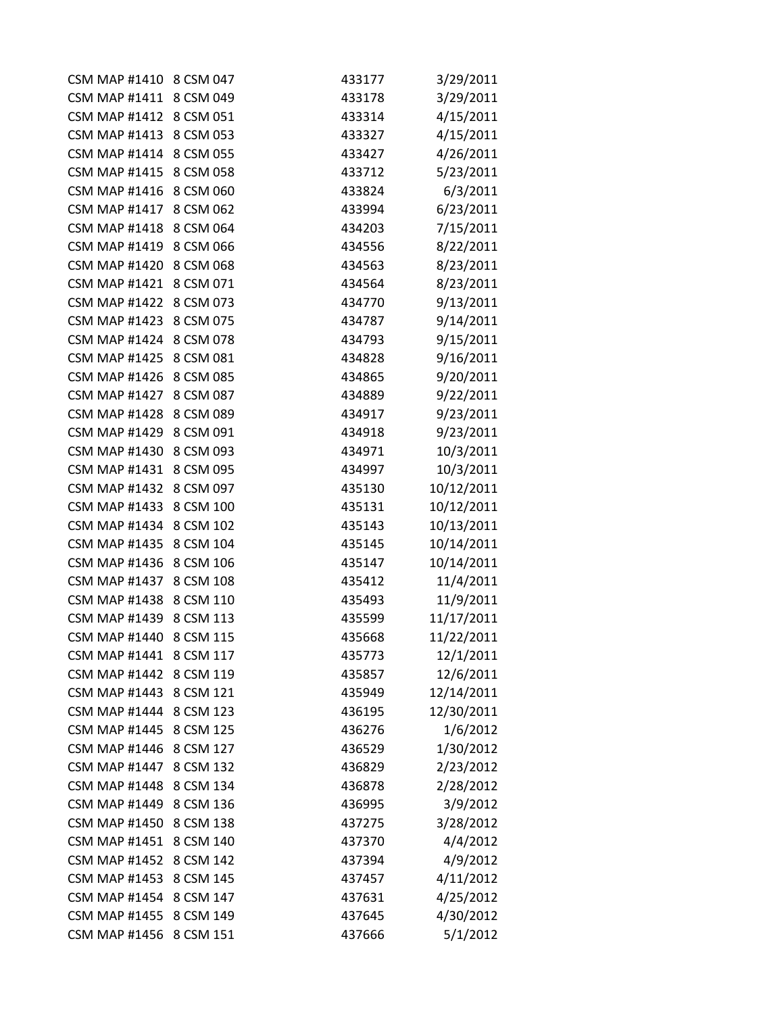| CSM MAP #1410 8 CSM 047 |           | 433177 | 3/29/2011  |
|-------------------------|-----------|--------|------------|
| <b>CSM MAP #1411</b>    | 8 CSM 049 | 433178 | 3/29/2011  |
| CSM MAP #1412 8 CSM 051 |           | 433314 | 4/15/2011  |
| <b>CSM MAP #1413</b>    | 8 CSM 053 | 433327 | 4/15/2011  |
| <b>CSM MAP #1414</b>    | 8 CSM 055 | 433427 | 4/26/2011  |
| <b>CSM MAP #1415</b>    | 8 CSM 058 | 433712 | 5/23/2011  |
| <b>CSM MAP #1416</b>    | 8 CSM 060 | 433824 | 6/3/2011   |
| <b>CSM MAP #1417</b>    | 8 CSM 062 | 433994 | 6/23/2011  |
| <b>CSM MAP #1418</b>    | 8 CSM 064 | 434203 | 7/15/2011  |
| <b>CSM MAP #1419</b>    | 8 CSM 066 | 434556 | 8/22/2011  |
| <b>CSM MAP #1420</b>    | 8 CSM 068 | 434563 | 8/23/2011  |
| <b>CSM MAP #1421</b>    | 8 CSM 071 | 434564 | 8/23/2011  |
| <b>CSM MAP #1422</b>    | 8 CSM 073 | 434770 | 9/13/2011  |
| <b>CSM MAP #1423</b>    | 8 CSM 075 | 434787 | 9/14/2011  |
| <b>CSM MAP #1424</b>    | 8 CSM 078 | 434793 | 9/15/2011  |
| <b>CSM MAP #1425</b>    | 8 CSM 081 | 434828 | 9/16/2011  |
| <b>CSM MAP #1426</b>    | 8 CSM 085 | 434865 | 9/20/2011  |
| <b>CSM MAP #1427</b>    | 8 CSM 087 | 434889 | 9/22/2011  |
| <b>CSM MAP #1428</b>    | 8 CSM 089 | 434917 | 9/23/2011  |
| <b>CSM MAP #1429</b>    | 8 CSM 091 | 434918 | 9/23/2011  |
| <b>CSM MAP #1430</b>    | 8 CSM 093 | 434971 | 10/3/2011  |
| <b>CSM MAP #1431</b>    | 8 CSM 095 | 434997 | 10/3/2011  |
| <b>CSM MAP #1432</b>    | 8 CSM 097 | 435130 | 10/12/2011 |
| <b>CSM MAP #1433</b>    | 8 CSM 100 | 435131 | 10/12/2011 |
| <b>CSM MAP #1434</b>    | 8 CSM 102 | 435143 | 10/13/2011 |
| <b>CSM MAP #1435</b>    | 8 CSM 104 | 435145 | 10/14/2011 |
| <b>CSM MAP #1436</b>    | 8 CSM 106 | 435147 | 10/14/2011 |
| <b>CSM MAP #1437</b>    | 8 CSM 108 | 435412 | 11/4/2011  |
| <b>CSM MAP #1438</b>    | 8 CSM 110 | 435493 | 11/9/2011  |
| <b>CSM MAP #1439</b>    | 8 CSM 113 | 435599 | 11/17/2011 |
| <b>CSM MAP #1440</b>    | 8 CSM 115 | 435668 | 11/22/2011 |
| <b>CSM MAP #1441</b>    | 8 CSM 117 | 435773 | 12/1/2011  |
| <b>CSM MAP #1442</b>    | 8 CSM 119 | 435857 | 12/6/2011  |
| <b>CSM MAP #1443</b>    | 8 CSM 121 | 435949 | 12/14/2011 |
| <b>CSM MAP #1444</b>    | 8 CSM 123 | 436195 | 12/30/2011 |
| <b>CSM MAP #1445</b>    | 8 CSM 125 | 436276 | 1/6/2012   |
| <b>CSM MAP #1446</b>    | 8 CSM 127 | 436529 | 1/30/2012  |
| <b>CSM MAP #1447</b>    | 8 CSM 132 | 436829 | 2/23/2012  |
| <b>CSM MAP #1448</b>    | 8 CSM 134 | 436878 | 2/28/2012  |
| <b>CSM MAP #1449</b>    | 8 CSM 136 | 436995 | 3/9/2012   |
| <b>CSM MAP #1450</b>    | 8 CSM 138 | 437275 | 3/28/2012  |
| <b>CSM MAP #1451</b>    | 8 CSM 140 | 437370 | 4/4/2012   |
| <b>CSM MAP #1452</b>    | 8 CSM 142 | 437394 | 4/9/2012   |
| <b>CSM MAP #1453</b>    | 8 CSM 145 | 437457 | 4/11/2012  |
| <b>CSM MAP #1454</b>    | 8 CSM 147 | 437631 | 4/25/2012  |
| <b>CSM MAP #1455</b>    | 8 CSM 149 | 437645 | 4/30/2012  |
| <b>CSM MAP #1456</b>    | 8 CSM 151 | 437666 | 5/1/2012   |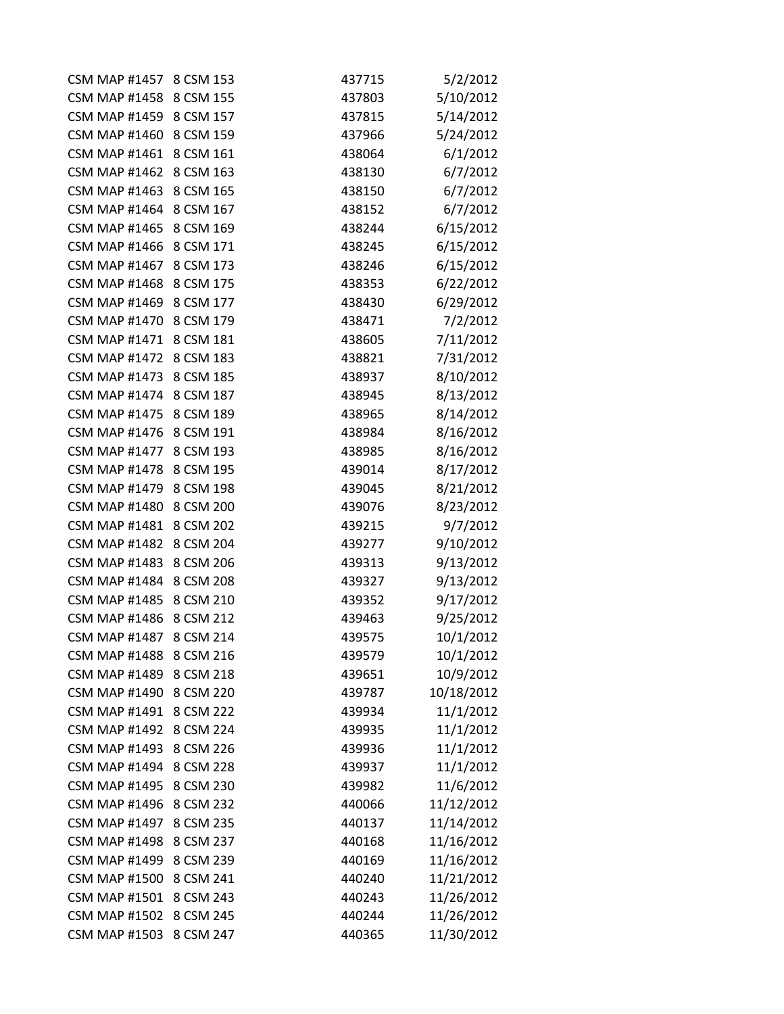| <b>CSM MAP #1457</b>    | 8 CSM 153 | 437715 | 5/2/2012   |
|-------------------------|-----------|--------|------------|
| <b>CSM MAP #1458</b>    | 8 CSM 155 | 437803 | 5/10/2012  |
| CSM MAP #1459 8 CSM 157 |           | 437815 | 5/14/2012  |
| <b>CSM MAP #1460</b>    | 8 CSM 159 | 437966 | 5/24/2012  |
| <b>CSM MAP #1461</b>    | 8 CSM 161 | 438064 | 6/1/2012   |
| <b>CSM MAP #1462</b>    | 8 CSM 163 | 438130 | 6/7/2012   |
| <b>CSM MAP #1463</b>    | 8 CSM 165 | 438150 | 6/7/2012   |
| <b>CSM MAP #1464</b>    | 8 CSM 167 | 438152 | 6/7/2012   |
| <b>CSM MAP #1465</b>    | 8 CSM 169 | 438244 | 6/15/2012  |
| <b>CSM MAP #1466</b>    | 8 CSM 171 | 438245 | 6/15/2012  |
| <b>CSM MAP #1467</b>    | 8 CSM 173 | 438246 | 6/15/2012  |
| <b>CSM MAP #1468</b>    | 8 CSM 175 | 438353 | 6/22/2012  |
| <b>CSM MAP #1469</b>    | 8 CSM 177 | 438430 | 6/29/2012  |
| <b>CSM MAP #1470</b>    | 8 CSM 179 | 438471 | 7/2/2012   |
| <b>CSM MAP #1471</b>    | 8 CSM 181 | 438605 | 7/11/2012  |
| <b>CSM MAP #1472</b>    | 8 CSM 183 | 438821 | 7/31/2012  |
| <b>CSM MAP #1473</b>    | 8 CSM 185 | 438937 | 8/10/2012  |
| <b>CSM MAP #1474</b>    | 8 CSM 187 | 438945 | 8/13/2012  |
| <b>CSM MAP #1475</b>    | 8 CSM 189 | 438965 | 8/14/2012  |
| <b>CSM MAP #1476</b>    | 8 CSM 191 | 438984 | 8/16/2012  |
| <b>CSM MAP #1477</b>    | 8 CSM 193 | 438985 | 8/16/2012  |
| CSM MAP #1478 8 CSM 195 |           | 439014 | 8/17/2012  |
| <b>CSM MAP #1479</b>    | 8 CSM 198 | 439045 | 8/21/2012  |
| <b>CSM MAP #1480</b>    | 8 CSM 200 | 439076 | 8/23/2012  |
| <b>CSM MAP #1481</b>    | 8 CSM 202 | 439215 | 9/7/2012   |
| <b>CSM MAP #1482</b>    | 8 CSM 204 | 439277 | 9/10/2012  |
| <b>CSM MAP #1483</b>    | 8 CSM 206 | 439313 | 9/13/2012  |
| <b>CSM MAP #1484</b>    | 8 CSM 208 | 439327 | 9/13/2012  |
| <b>CSM MAP #1485</b>    | 8 CSM 210 | 439352 | 9/17/2012  |
| <b>CSM MAP #1486</b>    | 8 CSM 212 | 439463 | 9/25/2012  |
| <b>CSM MAP #1487</b>    | 8 CSM 214 | 439575 | 10/1/2012  |
| <b>CSM MAP #1488</b>    | 8 CSM 216 | 439579 | 10/1/2012  |
| <b>CSM MAP #1489</b>    | 8 CSM 218 | 439651 | 10/9/2012  |
| <b>CSM MAP #1490</b>    | 8 CSM 220 | 439787 | 10/18/2012 |
| <b>CSM MAP #1491</b>    | 8 CSM 222 | 439934 | 11/1/2012  |
| <b>CSM MAP #1492</b>    | 8 CSM 224 | 439935 | 11/1/2012  |
| <b>CSM MAP #1493</b>    | 8 CSM 226 | 439936 | 11/1/2012  |
| <b>CSM MAP #1494</b>    | 8 CSM 228 | 439937 | 11/1/2012  |
| <b>CSM MAP #1495</b>    | 8 CSM 230 | 439982 | 11/6/2012  |
| <b>CSM MAP #1496</b>    | 8 CSM 232 | 440066 | 11/12/2012 |
| <b>CSM MAP #1497</b>    | 8 CSM 235 | 440137 | 11/14/2012 |
| <b>CSM MAP #1498</b>    | 8 CSM 237 | 440168 | 11/16/2012 |
| <b>CSM MAP #1499</b>    | 8 CSM 239 | 440169 | 11/16/2012 |
| <b>CSM MAP #1500</b>    | 8 CSM 241 | 440240 | 11/21/2012 |
| <b>CSM MAP #1501</b>    | 8 CSM 243 | 440243 | 11/26/2012 |
| <b>CSM MAP #1502</b>    | 8 CSM 245 | 440244 | 11/26/2012 |
| <b>CSM MAP #1503</b>    | 8 CSM 247 | 440365 | 11/30/2012 |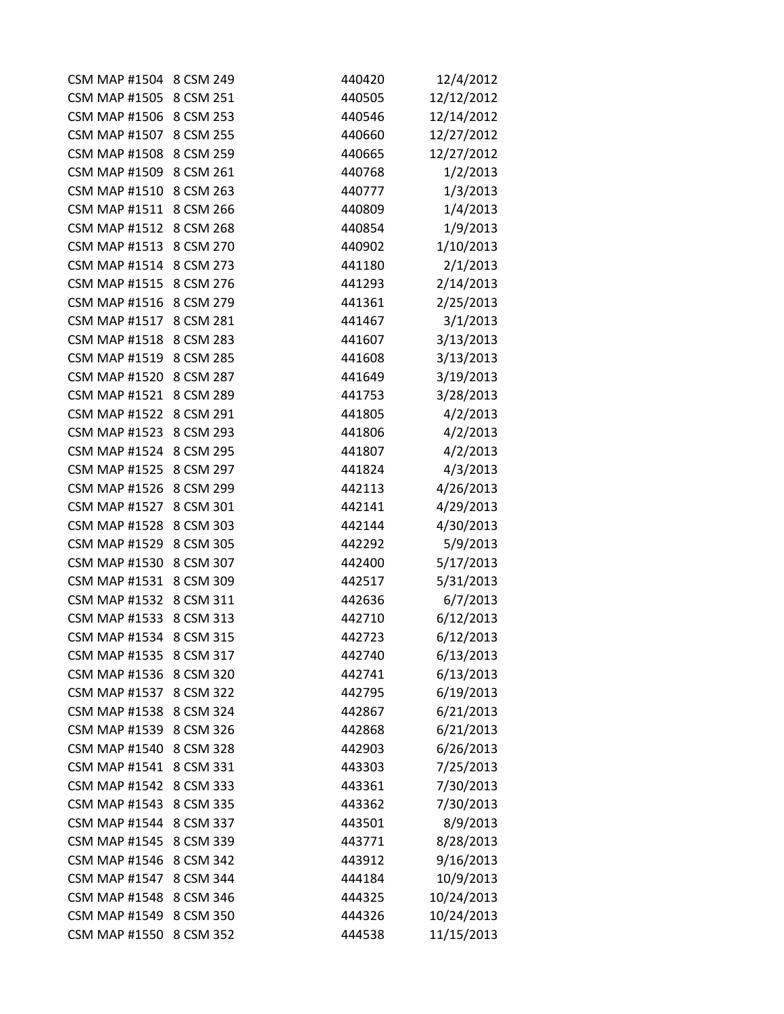| CSM MAP #1504 8 CSM 249 |           | 440420 | 12/4/2012  |
|-------------------------|-----------|--------|------------|
| CSM MAP #1505 8 CSM 251 |           | 440505 | 12/12/2012 |
| CSM MAP #1506 8 CSM 253 |           | 440546 | 12/14/2012 |
| <b>CSM MAP #1507</b>    | 8 CSM 255 | 440660 | 12/27/2012 |
| <b>CSM MAP #1508</b>    | 8 CSM 259 | 440665 | 12/27/2012 |
| <b>CSM MAP #1509</b>    | 8 CSM 261 | 440768 | 1/2/2013   |
| <b>CSM MAP #1510</b>    | 8 CSM 263 | 440777 | 1/3/2013   |
| <b>CSM MAP #1511</b>    | 8 CSM 266 | 440809 | 1/4/2013   |
| <b>CSM MAP #1512</b>    | 8 CSM 268 | 440854 | 1/9/2013   |
| CSM MAP #1513 8 CSM 270 |           | 440902 | 1/10/2013  |
| <b>CSM MAP #1514</b>    | 8 CSM 273 | 441180 | 2/1/2013   |
| <b>CSM MAP #1515</b>    | 8 CSM 276 | 441293 | 2/14/2013  |
| <b>CSM MAP #1516</b>    | 8 CSM 279 | 441361 | 2/25/2013  |
| <b>CSM MAP #1517</b>    | 8 CSM 281 | 441467 | 3/1/2013   |
| CSM MAP #1518 8 CSM 283 |           | 441607 | 3/13/2013  |
| <b>CSM MAP #1519</b>    | 8 CSM 285 | 441608 | 3/13/2013  |
| <b>CSM MAP #1520</b>    | 8 CSM 287 | 441649 | 3/19/2013  |
| <b>CSM MAP #1521</b>    | 8 CSM 289 | 441753 | 3/28/2013  |
| <b>CSM MAP #1522</b>    | 8 CSM 291 | 441805 | 4/2/2013   |
| <b>CSM MAP #1523</b>    | 8 CSM 293 | 441806 | 4/2/2013   |
| CSM MAP #1524 8 CSM 295 |           | 441807 | 4/2/2013   |
| CSM MAP #1525 8 CSM 297 |           | 441824 | 4/3/2013   |
| <b>CSM MAP #1526</b>    | 8 CSM 299 | 442113 | 4/26/2013  |
| <b>CSM MAP #1527</b>    | 8 CSM 301 | 442141 | 4/29/2013  |
| <b>CSM MAP #1528</b>    | 8 CSM 303 | 442144 | 4/30/2013  |
| CSM MAP #1529 8 CSM 305 |           | 442292 | 5/9/2013   |
| <b>CSM MAP #1530</b>    | 8 CSM 307 | 442400 | 5/17/2013  |
| <b>CSM MAP #1531</b>    | 8 CSM 309 | 442517 | 5/31/2013  |
| CSM MAP #1532 8 CSM 311 |           | 442636 | 6/7/2013   |
| <b>CSM MAP #1533</b>    | 8 CSM 313 | 442710 | 6/12/2013  |
| <b>CSM MAP #1534</b>    | 8 CSM 315 | 442723 | 6/12/2013  |
| <b>CSM MAP #1535</b>    | 8 CSM 317 | 442740 | 6/13/2013  |
| <b>CSM MAP #1536</b>    | 8 CSM 320 | 442741 | 6/13/2013  |
| <b>CSM MAP #1537</b>    | 8 CSM 322 | 442795 | 6/19/2013  |
| <b>CSM MAP #1538</b>    | 8 CSM 324 | 442867 | 6/21/2013  |
| <b>CSM MAP #1539</b>    | 8 CSM 326 | 442868 | 6/21/2013  |
| <b>CSM MAP #1540</b>    | 8 CSM 328 | 442903 | 6/26/2013  |
| <b>CSM MAP #1541</b>    | 8 CSM 331 | 443303 | 7/25/2013  |
| <b>CSM MAP #1542</b>    | 8 CSM 333 | 443361 | 7/30/2013  |
| <b>CSM MAP #1543</b>    | 8 CSM 335 | 443362 | 7/30/2013  |
| <b>CSM MAP #1544</b>    | 8 CSM 337 | 443501 | 8/9/2013   |
| <b>CSM MAP #1545</b>    | 8 CSM 339 | 443771 | 8/28/2013  |
| <b>CSM MAP #1546</b>    | 8 CSM 342 | 443912 | 9/16/2013  |
| <b>CSM MAP #1547</b>    | 8 CSM 344 | 444184 | 10/9/2013  |
| <b>CSM MAP #1548</b>    | 8 CSM 346 | 444325 | 10/24/2013 |
| <b>CSM MAP #1549</b>    | 8 CSM 350 | 444326 | 10/24/2013 |
| <b>CSM MAP #1550</b>    | 8 CSM 352 | 444538 | 11/15/2013 |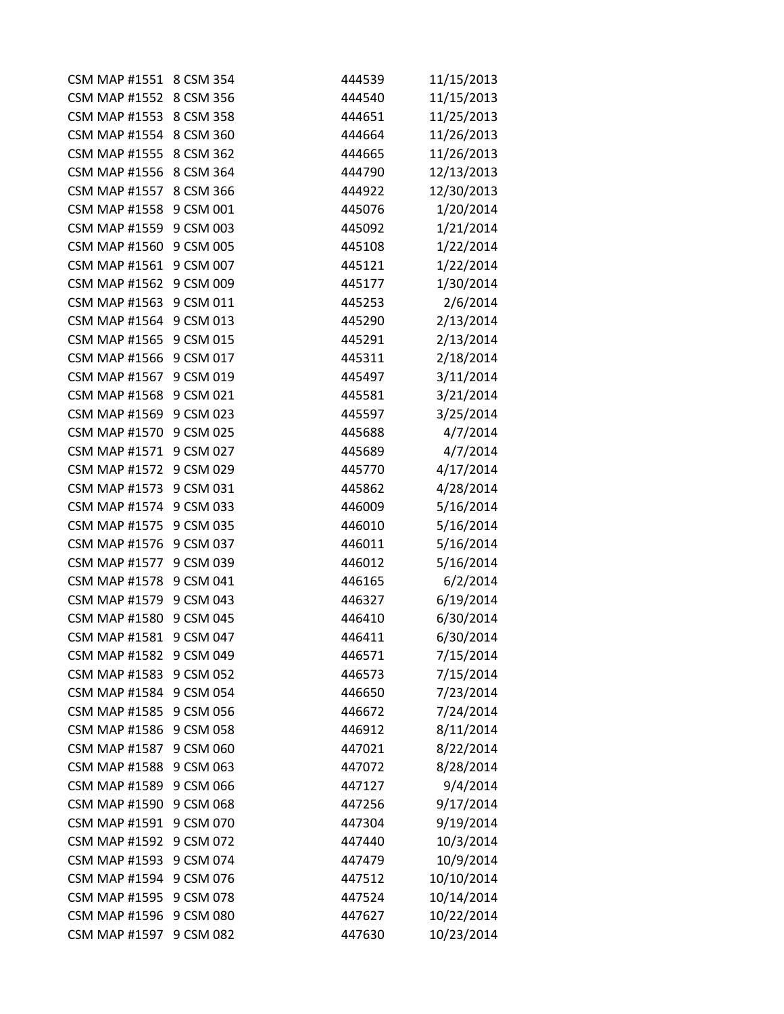| CSM MAP #1551 8 CSM 354 |           | 444539 | 11/15/2013 |
|-------------------------|-----------|--------|------------|
| CSM MAP #1552 8 CSM 356 |           | 444540 | 11/15/2013 |
| CSM MAP #1553 8 CSM 358 |           | 444651 | 11/25/2013 |
| <b>CSM MAP #1554</b>    | 8 CSM 360 | 444664 | 11/26/2013 |
| <b>CSM MAP #1555</b>    | 8 CSM 362 | 444665 | 11/26/2013 |
| <b>CSM MAP #1556</b>    | 8 CSM 364 | 444790 | 12/13/2013 |
| <b>CSM MAP #1557</b>    | 8 CSM 366 | 444922 | 12/30/2013 |
| <b>CSM MAP #1558</b>    | 9 CSM 001 | 445076 | 1/20/2014  |
| <b>CSM MAP #1559</b>    | 9 CSM 003 | 445092 | 1/21/2014  |
| <b>CSM MAP #1560</b>    | 9 CSM 005 | 445108 | 1/22/2014  |
| <b>CSM MAP #1561</b>    | 9 CSM 007 | 445121 | 1/22/2014  |
| <b>CSM MAP #1562</b>    | 9 CSM 009 | 445177 | 1/30/2014  |
| <b>CSM MAP #1563</b>    | 9 CSM 011 | 445253 | 2/6/2014   |
| <b>CSM MAP #1564</b>    | 9 CSM 013 | 445290 | 2/13/2014  |
| CSM MAP #1565 9 CSM 015 |           | 445291 | 2/13/2014  |
| <b>CSM MAP #1566</b>    | 9 CSM 017 | 445311 | 2/18/2014  |
| CSM MAP #1567 9 CSM 019 |           | 445497 | 3/11/2014  |
| <b>CSM MAP #1568</b>    | 9 CSM 021 | 445581 | 3/21/2014  |
| <b>CSM MAP #1569</b>    | 9 CSM 023 | 445597 | 3/25/2014  |
| <b>CSM MAP #1570</b>    | 9 CSM 025 | 445688 | 4/7/2014   |
| CSM MAP #1571 9 CSM 027 |           | 445689 | 4/7/2014   |
| CSM MAP #1572 9 CSM 029 |           | 445770 | 4/17/2014  |
| <b>CSM MAP #1573</b>    | 9 CSM 031 | 445862 | 4/28/2014  |
| <b>CSM MAP #1574</b>    | 9 CSM 033 | 446009 | 5/16/2014  |
| <b>CSM MAP #1575</b>    | 9 CSM 035 | 446010 | 5/16/2014  |
| <b>CSM MAP #1576</b>    | 9 CSM 037 | 446011 | 5/16/2014  |
| <b>CSM MAP #1577</b>    | 9 CSM 039 | 446012 | 5/16/2014  |
| <b>CSM MAP #1578</b>    | 9 CSM 041 | 446165 | 6/2/2014   |
| <b>CSM MAP #1579</b>    | 9 CSM 043 | 446327 | 6/19/2014  |
| <b>CSM MAP #1580</b>    | 9 CSM 045 | 446410 | 6/30/2014  |
| <b>CSM MAP #1581</b>    | 9 CSM 047 | 446411 | 6/30/2014  |
| <b>CSM MAP #1582</b>    | 9 CSM 049 | 446571 | 7/15/2014  |
| <b>CSM MAP #1583</b>    | 9 CSM 052 | 446573 | 7/15/2014  |
| <b>CSM MAP #1584</b>    | 9 CSM 054 | 446650 | 7/23/2014  |
| <b>CSM MAP #1585</b>    | 9 CSM 056 | 446672 | 7/24/2014  |
| <b>CSM MAP #1586</b>    | 9 CSM 058 | 446912 | 8/11/2014  |
| <b>CSM MAP #1587</b>    | 9 CSM 060 | 447021 | 8/22/2014  |
| <b>CSM MAP #1588</b>    | 9 CSM 063 | 447072 | 8/28/2014  |
| <b>CSM MAP #1589</b>    | 9 CSM 066 | 447127 | 9/4/2014   |
| <b>CSM MAP #1590</b>    | 9 CSM 068 | 447256 | 9/17/2014  |
| <b>CSM MAP #1591</b>    | 9 CSM 070 | 447304 | 9/19/2014  |
| <b>CSM MAP #1592</b>    | 9 CSM 072 | 447440 | 10/3/2014  |
| <b>CSM MAP #1593</b>    | 9 CSM 074 | 447479 | 10/9/2014  |
| <b>CSM MAP #1594</b>    | 9 CSM 076 | 447512 | 10/10/2014 |
| <b>CSM MAP #1595</b>    | 9 CSM 078 | 447524 | 10/14/2014 |
| <b>CSM MAP #1596</b>    | 9 CSM 080 | 447627 | 10/22/2014 |
| <b>CSM MAP #1597</b>    | 9 CSM 082 | 447630 | 10/23/2014 |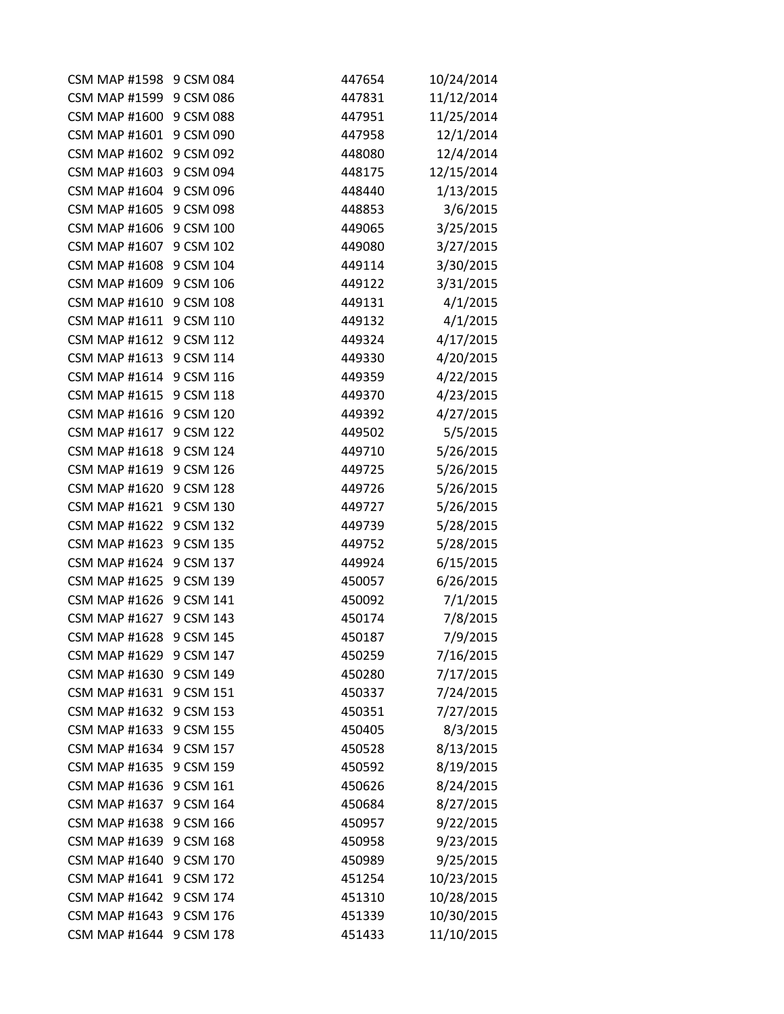| CSM MAP #1598 9 CSM 084 |           | 447654 | 10/24/2014 |
|-------------------------|-----------|--------|------------|
| <b>CSM MAP #1599</b>    | 9 CSM 086 | 447831 | 11/12/2014 |
| CSM MAP #1600 9 CSM 088 |           | 447951 | 11/25/2014 |
| <b>CSM MAP #1601</b>    | 9 CSM 090 | 447958 | 12/1/2014  |
| <b>CSM MAP #1602</b>    | 9 CSM 092 | 448080 | 12/4/2014  |
| <b>CSM MAP #1603</b>    | 9 CSM 094 | 448175 | 12/15/2014 |
| CSM MAP #1604 9 CSM 096 |           | 448440 | 1/13/2015  |
| <b>CSM MAP #1605</b>    | 9 CSM 098 | 448853 | 3/6/2015   |
| <b>CSM MAP #1606</b>    | 9 CSM 100 | 449065 | 3/25/2015  |
| <b>CSM MAP #1607</b>    | 9 CSM 102 | 449080 | 3/27/2015  |
| <b>CSM MAP #1608</b>    | 9 CSM 104 | 449114 | 3/30/2015  |
| <b>CSM MAP #1609</b>    | 9 CSM 106 | 449122 | 3/31/2015  |
| <b>CSM MAP #1610</b>    | 9 CSM 108 | 449131 | 4/1/2015   |
| <b>CSM MAP #1611</b>    | 9 CSM 110 | 449132 | 4/1/2015   |
| <b>CSM MAP #1612</b>    | 9 CSM 112 | 449324 | 4/17/2015  |
| <b>CSM MAP #1613</b>    | 9 CSM 114 | 449330 | 4/20/2015  |
| CSM MAP #1614 9 CSM 116 |           | 449359 | 4/22/2015  |
| <b>CSM MAP #1615</b>    | 9 CSM 118 | 449370 | 4/23/2015  |
| <b>CSM MAP #1616</b>    | 9 CSM 120 | 449392 | 4/27/2015  |
| <b>CSM MAP #1617</b>    | 9 CSM 122 | 449502 | 5/5/2015   |
| <b>CSM MAP #1618</b>    | 9 CSM 124 | 449710 | 5/26/2015  |
| CSM MAP #1619 9 CSM 126 |           | 449725 | 5/26/2015  |
| <b>CSM MAP #1620</b>    | 9 CSM 128 | 449726 | 5/26/2015  |
| <b>CSM MAP #1621</b>    | 9 CSM 130 | 449727 | 5/26/2015  |
| <b>CSM MAP #1622</b>    | 9 CSM 132 | 449739 | 5/28/2015  |
| <b>CSM MAP #1623</b>    | 9 CSM 135 | 449752 | 5/28/2015  |
| <b>CSM MAP #1624</b>    | 9 CSM 137 | 449924 | 6/15/2015  |
| <b>CSM MAP #1625</b>    | 9 CSM 139 | 450057 | 6/26/2015  |
| CSM MAP #1626 9 CSM 141 |           | 450092 | 7/1/2015   |
| <b>CSM MAP #1627</b>    | 9 CSM 143 | 450174 | 7/8/2015   |
| <b>CSM MAP #1628</b>    | 9 CSM 145 | 450187 | 7/9/2015   |
| CSM MAP #1629 9 CSM 147 |           | 450259 | 7/16/2015  |
| <b>CSM MAP #1630</b>    | 9 CSM 149 | 450280 | 7/17/2015  |
| <b>CSM MAP #1631</b>    | 9 CSM 151 | 450337 | 7/24/2015  |
| <b>CSM MAP #1632</b>    | 9 CSM 153 | 450351 | 7/27/2015  |
| <b>CSM MAP #1633</b>    | 9 CSM 155 | 450405 | 8/3/2015   |
| <b>CSM MAP #1634</b>    | 9 CSM 157 | 450528 | 8/13/2015  |
| <b>CSM MAP #1635</b>    | 9 CSM 159 | 450592 | 8/19/2015  |
| <b>CSM MAP #1636</b>    | 9 CSM 161 | 450626 | 8/24/2015  |
| <b>CSM MAP #1637</b>    | 9 CSM 164 | 450684 | 8/27/2015  |
| <b>CSM MAP #1638</b>    | 9 CSM 166 | 450957 | 9/22/2015  |
| <b>CSM MAP #1639</b>    | 9 CSM 168 | 450958 | 9/23/2015  |
| <b>CSM MAP #1640</b>    | 9 CSM 170 | 450989 | 9/25/2015  |
| <b>CSM MAP #1641</b>    | 9 CSM 172 | 451254 | 10/23/2015 |
| <b>CSM MAP #1642</b>    | 9 CSM 174 | 451310 | 10/28/2015 |
| <b>CSM MAP #1643</b>    | 9 CSM 176 | 451339 | 10/30/2015 |
| <b>CSM MAP #1644</b>    | 9 CSM 178 | 451433 | 11/10/2015 |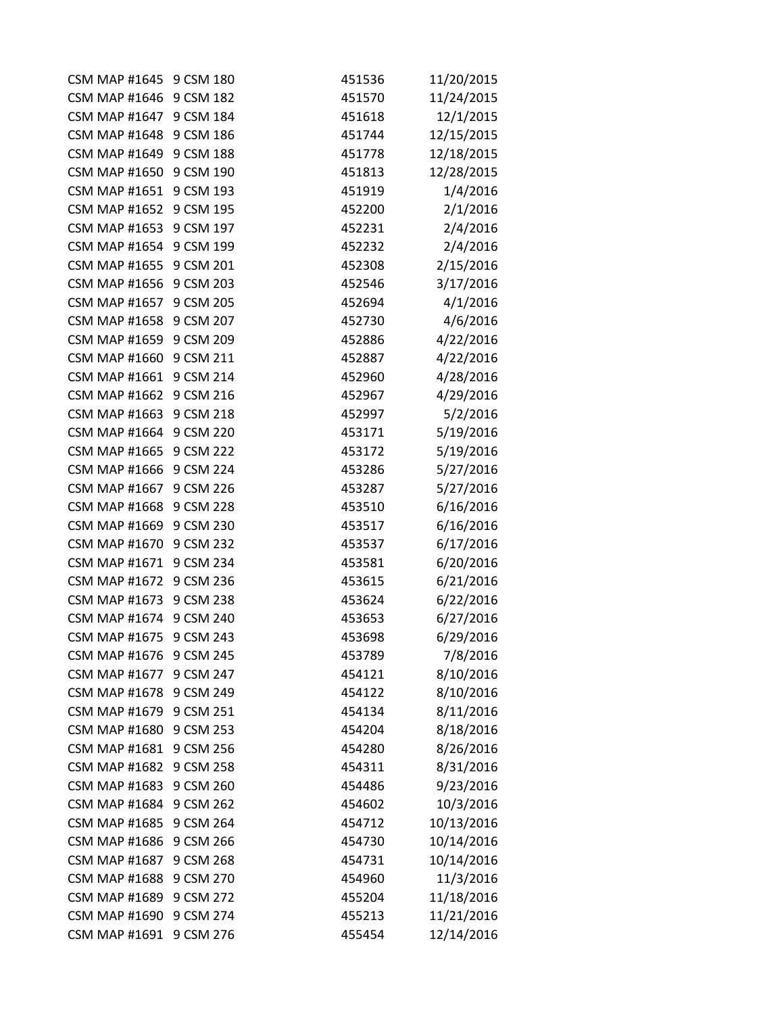| CSM MAP #1645 9 CSM 180 |           | 451536 | 11/20/2015 |
|-------------------------|-----------|--------|------------|
| CSM MAP #1646 9 CSM 182 |           | 451570 | 11/24/2015 |
| CSM MAP #1647 9 CSM 184 |           | 451618 | 12/1/2015  |
| <b>CSM MAP #1648</b>    | 9 CSM 186 | 451744 | 12/15/2015 |
| <b>CSM MAP #1649</b>    | 9 CSM 188 | 451778 | 12/18/2015 |
| <b>CSM MAP #1650</b>    | 9 CSM 190 | 451813 | 12/28/2015 |
| <b>CSM MAP #1651</b>    | 9 CSM 193 | 451919 | 1/4/2016   |
| <b>CSM MAP #1652</b>    | 9 CSM 195 | 452200 | 2/1/2016   |
| <b>CSM MAP #1653</b>    | 9 CSM 197 | 452231 | 2/4/2016   |
| <b>CSM MAP #1654</b>    | 9 CSM 199 | 452232 | 2/4/2016   |
| <b>CSM MAP #1655</b>    | 9 CSM 201 | 452308 | 2/15/2016  |
| <b>CSM MAP #1656</b>    | 9 CSM 203 | 452546 | 3/17/2016  |
| <b>CSM MAP #1657</b>    | 9 CSM 205 | 452694 | 4/1/2016   |
| <b>CSM MAP #1658</b>    | 9 CSM 207 | 452730 | 4/6/2016   |
| <b>CSM MAP #1659</b>    | 9 CSM 209 | 452886 | 4/22/2016  |
| <b>CSM MAP #1660</b>    | 9 CSM 211 | 452887 | 4/22/2016  |
| <b>CSM MAP #1661</b>    | 9 CSM 214 | 452960 | 4/28/2016  |
| <b>CSM MAP #1662</b>    | 9 CSM 216 | 452967 | 4/29/2016  |
| <b>CSM MAP #1663</b>    | 9 CSM 218 | 452997 | 5/2/2016   |
| <b>CSM MAP #1664</b>    | 9 CSM 220 | 453171 | 5/19/2016  |
| <b>CSM MAP #1665</b>    | 9 CSM 222 | 453172 | 5/19/2016  |
| <b>CSM MAP #1666</b>    | 9 CSM 224 | 453286 | 5/27/2016  |
| <b>CSM MAP #1667</b>    | 9 CSM 226 | 453287 | 5/27/2016  |
| <b>CSM MAP #1668</b>    | 9 CSM 228 | 453510 | 6/16/2016  |
| <b>CSM MAP #1669</b>    | 9 CSM 230 | 453517 | 6/16/2016  |
| <b>CSM MAP #1670</b>    | 9 CSM 232 | 453537 | 6/17/2016  |
| <b>CSM MAP #1671</b>    | 9 CSM 234 | 453581 | 6/20/2016  |
| <b>CSM MAP #1672</b>    | 9 CSM 236 | 453615 | 6/21/2016  |
| <b>CSM MAP #1673</b>    | 9 CSM 238 | 453624 | 6/22/2016  |
| <b>CSM MAP #1674</b>    | 9 CSM 240 | 453653 | 6/27/2016  |
| <b>CSM MAP #1675</b>    | 9 CSM 243 | 453698 | 6/29/2016  |
| <b>CSM MAP #1676</b>    | 9 CSM 245 | 453789 | 7/8/2016   |
| <b>CSM MAP #1677</b>    | 9 CSM 247 | 454121 | 8/10/2016  |
| <b>CSM MAP #1678</b>    | 9 CSM 249 | 454122 | 8/10/2016  |
| <b>CSM MAP #1679</b>    | 9 CSM 251 | 454134 | 8/11/2016  |
| <b>CSM MAP #1680</b>    | 9 CSM 253 | 454204 | 8/18/2016  |
| <b>CSM MAP #1681</b>    | 9 CSM 256 | 454280 | 8/26/2016  |
| <b>CSM MAP #1682</b>    | 9 CSM 258 | 454311 | 8/31/2016  |
| <b>CSM MAP #1683</b>    | 9 CSM 260 | 454486 | 9/23/2016  |
| <b>CSM MAP #1684</b>    | 9 CSM 262 | 454602 | 10/3/2016  |
| <b>CSM MAP #1685</b>    | 9 CSM 264 | 454712 | 10/13/2016 |
| <b>CSM MAP #1686</b>    | 9 CSM 266 | 454730 | 10/14/2016 |
| <b>CSM MAP #1687</b>    | 9 CSM 268 | 454731 | 10/14/2016 |
| <b>CSM MAP #1688</b>    | 9 CSM 270 | 454960 | 11/3/2016  |
| <b>CSM MAP #1689</b>    | 9 CSM 272 | 455204 | 11/18/2016 |
| <b>CSM MAP #1690</b>    | 9 CSM 274 | 455213 | 11/21/2016 |
| <b>CSM MAP #1691</b>    | 9 CSM 276 | 455454 | 12/14/2016 |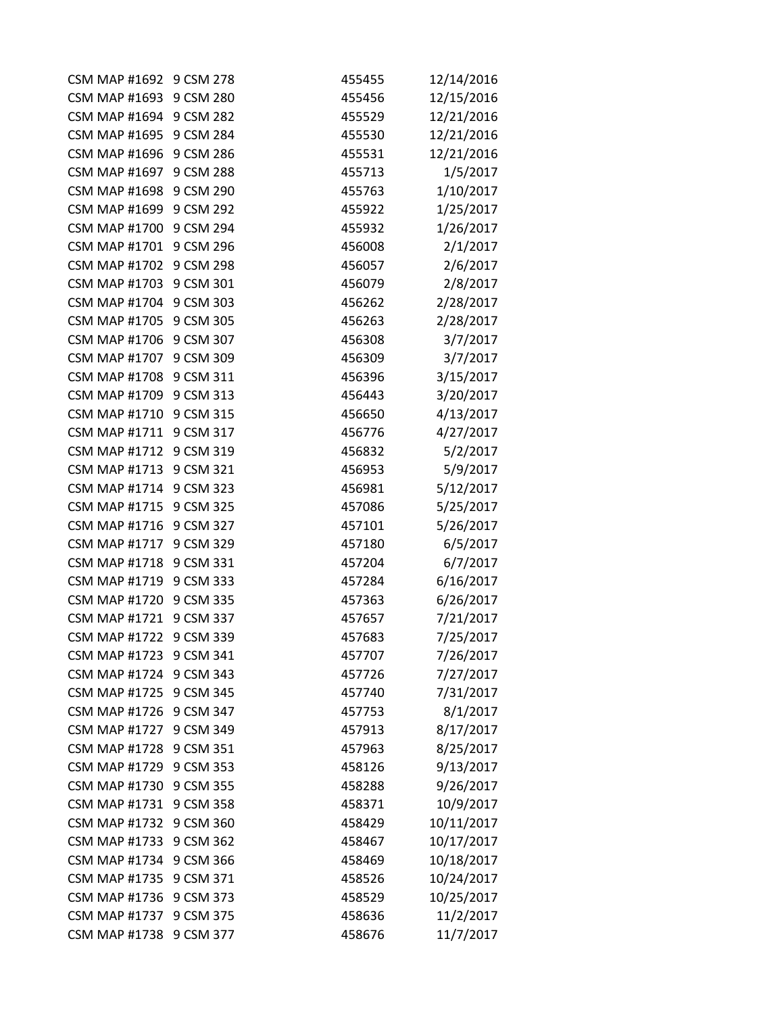| <b>CSM MAP #1692</b>    | 9 CSM 278 | 455455 | 12/14/2016 |
|-------------------------|-----------|--------|------------|
| <b>CSM MAP #1693</b>    | 9 CSM 280 | 455456 | 12/15/2016 |
| CSM MAP #1694 9 CSM 282 |           | 455529 | 12/21/2016 |
| <b>CSM MAP #1695</b>    | 9 CSM 284 | 455530 | 12/21/2016 |
| <b>CSM MAP #1696</b>    | 9 CSM 286 | 455531 | 12/21/2016 |
| <b>CSM MAP #1697</b>    | 9 CSM 288 | 455713 | 1/5/2017   |
| <b>CSM MAP #1698</b>    | 9 CSM 290 | 455763 | 1/10/2017  |
| <b>CSM MAP #1699</b>    | 9 CSM 292 | 455922 | 1/25/2017  |
| <b>CSM MAP #1700</b>    | 9 CSM 294 | 455932 | 1/26/2017  |
| <b>CSM MAP #1701</b>    | 9 CSM 296 | 456008 | 2/1/2017   |
| <b>CSM MAP #1702</b>    | 9 CSM 298 | 456057 | 2/6/2017   |
| <b>CSM MAP #1703</b>    | 9 CSM 301 | 456079 | 2/8/2017   |
| <b>CSM MAP #1704</b>    | 9 CSM 303 | 456262 | 2/28/2017  |
| <b>CSM MAP #1705</b>    | 9 CSM 305 | 456263 | 2/28/2017  |
| <b>CSM MAP #1706</b>    | 9 CSM 307 | 456308 | 3/7/2017   |
| <b>CSM MAP #1707</b>    | 9 CSM 309 | 456309 | 3/7/2017   |
| <b>CSM MAP #1708</b>    | 9 CSM 311 | 456396 | 3/15/2017  |
| <b>CSM MAP #1709</b>    | 9 CSM 313 | 456443 | 3/20/2017  |
| <b>CSM MAP #1710</b>    | 9 CSM 315 | 456650 | 4/13/2017  |
| <b>CSM MAP #1711</b>    | 9 CSM 317 | 456776 | 4/27/2017  |
| CSM MAP #1712 9 CSM 319 |           | 456832 | 5/2/2017   |
| CSM MAP #1713 9 CSM 321 |           | 456953 | 5/9/2017   |
| <b>CSM MAP #1714</b>    | 9 CSM 323 | 456981 | 5/12/2017  |
| <b>CSM MAP #1715</b>    | 9 CSM 325 | 457086 | 5/25/2017  |
| <b>CSM MAP #1716</b>    | 9 CSM 327 | 457101 | 5/26/2017  |
| <b>CSM MAP #1717</b>    | 9 CSM 329 | 457180 | 6/5/2017   |
| <b>CSM MAP #1718</b>    | 9 CSM 331 | 457204 | 6/7/2017   |
| <b>CSM MAP #1719</b>    | 9 CSM 333 | 457284 | 6/16/2017  |
| <b>CSM MAP #1720</b>    | 9 CSM 335 | 457363 | 6/26/2017  |
| <b>CSM MAP #1721</b>    | 9 CSM 337 | 457657 | 7/21/2017  |
| <b>CSM MAP #1722</b>    | 9 CSM 339 | 457683 | 7/25/2017  |
| CSM MAP #1723 9 CSM 341 |           | 457707 | 7/26/2017  |
| <b>CSM MAP #1724</b>    | 9 CSM 343 | 457726 | 7/27/2017  |
| CSM MAP #1725 9 CSM 345 |           | 457740 | 7/31/2017  |
| <b>CSM MAP #1726</b>    | 9 CSM 347 | 457753 | 8/1/2017   |
| <b>CSM MAP #1727</b>    | 9 CSM 349 | 457913 | 8/17/2017  |
| <b>CSM MAP #1728</b>    | 9 CSM 351 | 457963 | 8/25/2017  |
| <b>CSM MAP #1729</b>    | 9 CSM 353 | 458126 | 9/13/2017  |
| <b>CSM MAP #1730</b>    | 9 CSM 355 | 458288 | 9/26/2017  |
| <b>CSM MAP #1731</b>    | 9 CSM 358 | 458371 | 10/9/2017  |
| <b>CSM MAP #1732</b>    | 9 CSM 360 | 458429 | 10/11/2017 |
| <b>CSM MAP #1733</b>    | 9 CSM 362 | 458467 | 10/17/2017 |
| <b>CSM MAP #1734</b>    | 9 CSM 366 | 458469 | 10/18/2017 |
| <b>CSM MAP #1735</b>    | 9 CSM 371 | 458526 | 10/24/2017 |
| <b>CSM MAP #1736</b>    | 9 CSM 373 | 458529 | 10/25/2017 |
| <b>CSM MAP #1737</b>    | 9 CSM 375 | 458636 | 11/2/2017  |
| <b>CSM MAP #1738</b>    | 9 CSM 377 | 458676 | 11/7/2017  |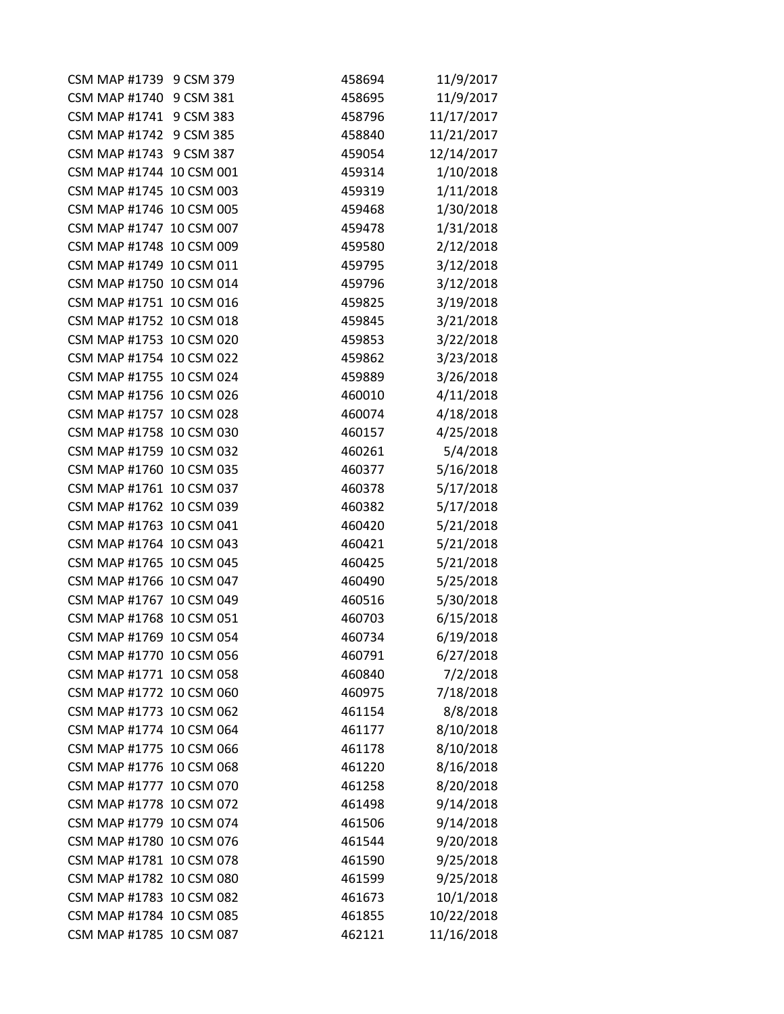| CSM MAP #1739 9 CSM 379  | 458694 | 11/9/2017  |
|--------------------------|--------|------------|
| CSM MAP #1740 9 CSM 381  | 458695 | 11/9/2017  |
| CSM MAP #1741 9 CSM 383  | 458796 | 11/17/2017 |
| CSM MAP #1742 9 CSM 385  | 458840 | 11/21/2017 |
| CSM MAP #1743 9 CSM 387  | 459054 | 12/14/2017 |
| CSM MAP #1744 10 CSM 001 | 459314 | 1/10/2018  |
| CSM MAP #1745 10 CSM 003 | 459319 | 1/11/2018  |
| CSM MAP #1746 10 CSM 005 | 459468 | 1/30/2018  |
| CSM MAP #1747 10 CSM 007 | 459478 | 1/31/2018  |
| CSM MAP #1748 10 CSM 009 | 459580 | 2/12/2018  |
| CSM MAP #1749 10 CSM 011 | 459795 | 3/12/2018  |
| CSM MAP #1750 10 CSM 014 | 459796 | 3/12/2018  |
| CSM MAP #1751 10 CSM 016 | 459825 | 3/19/2018  |
| CSM MAP #1752 10 CSM 018 | 459845 | 3/21/2018  |
| CSM MAP #1753 10 CSM 020 | 459853 | 3/22/2018  |
| CSM MAP #1754 10 CSM 022 | 459862 | 3/23/2018  |
| CSM MAP #1755 10 CSM 024 | 459889 | 3/26/2018  |
| CSM MAP #1756 10 CSM 026 | 460010 | 4/11/2018  |
| CSM MAP #1757 10 CSM 028 | 460074 | 4/18/2018  |
| CSM MAP #1758 10 CSM 030 | 460157 | 4/25/2018  |
| CSM MAP #1759 10 CSM 032 | 460261 | 5/4/2018   |
| CSM MAP #1760 10 CSM 035 | 460377 | 5/16/2018  |
| CSM MAP #1761 10 CSM 037 | 460378 | 5/17/2018  |
| CSM MAP #1762 10 CSM 039 | 460382 | 5/17/2018  |
| CSM MAP #1763 10 CSM 041 | 460420 | 5/21/2018  |
| CSM MAP #1764 10 CSM 043 | 460421 | 5/21/2018  |
| CSM MAP #1765 10 CSM 045 | 460425 | 5/21/2018  |
| CSM MAP #1766 10 CSM 047 | 460490 | 5/25/2018  |
| CSM MAP #1767 10 CSM 049 | 460516 | 5/30/2018  |
| CSM MAP #1768 10 CSM 051 | 460703 | 6/15/2018  |
| CSM MAP #1769 10 CSM 054 | 460734 | 6/19/2018  |
| CSM MAP #1770 10 CSM 056 | 460791 | 6/27/2018  |
| CSM MAP #1771 10 CSM 058 | 460840 | 7/2/2018   |
| CSM MAP #1772 10 CSM 060 | 460975 | 7/18/2018  |
| CSM MAP #1773 10 CSM 062 | 461154 | 8/8/2018   |
| CSM MAP #1774 10 CSM 064 | 461177 | 8/10/2018  |
| CSM MAP #1775 10 CSM 066 | 461178 | 8/10/2018  |
| CSM MAP #1776 10 CSM 068 | 461220 | 8/16/2018  |
| CSM MAP #1777 10 CSM 070 | 461258 | 8/20/2018  |
| CSM MAP #1778 10 CSM 072 | 461498 | 9/14/2018  |
| CSM MAP #1779 10 CSM 074 | 461506 | 9/14/2018  |
| CSM MAP #1780 10 CSM 076 | 461544 | 9/20/2018  |
| CSM MAP #1781 10 CSM 078 | 461590 | 9/25/2018  |
| CSM MAP #1782 10 CSM 080 | 461599 | 9/25/2018  |
| CSM MAP #1783 10 CSM 082 | 461673 | 10/1/2018  |
| CSM MAP #1784 10 CSM 085 | 461855 | 10/22/2018 |
| CSM MAP #1785 10 CSM 087 | 462121 | 11/16/2018 |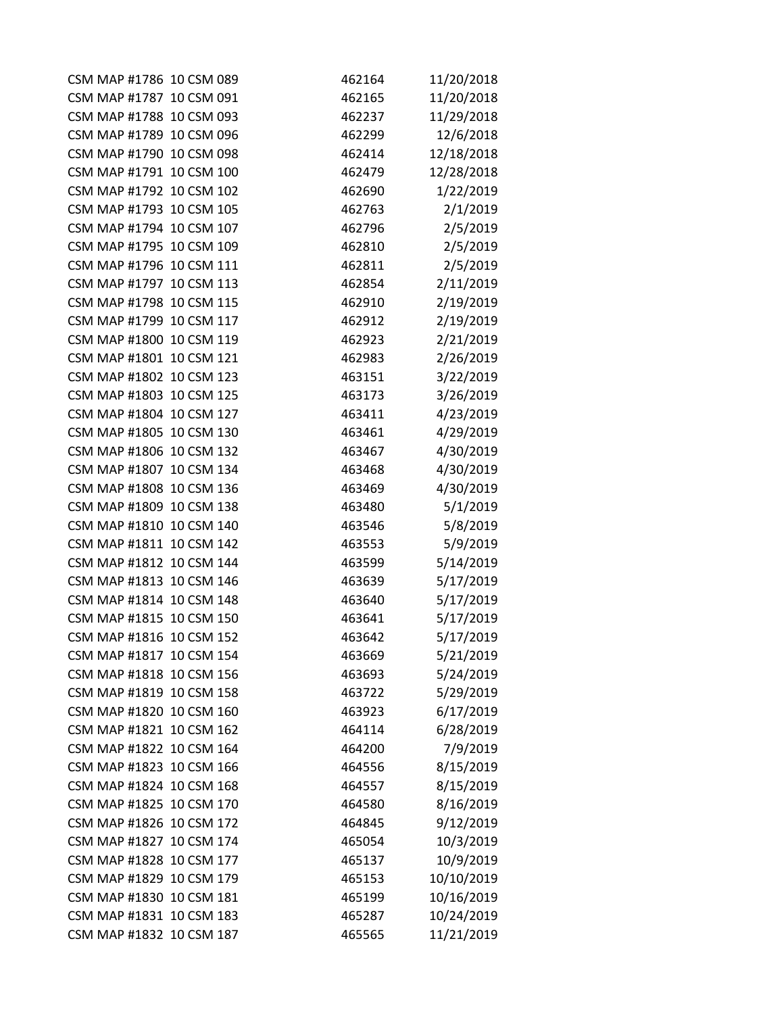| CSM MAP #1786 10 CSM 089 | 462164 | 11/20/2018 |
|--------------------------|--------|------------|
| CSM MAP #1787 10 CSM 091 | 462165 | 11/20/2018 |
| CSM MAP #1788 10 CSM 093 | 462237 | 11/29/2018 |
| CSM MAP #1789 10 CSM 096 | 462299 | 12/6/2018  |
| CSM MAP #1790 10 CSM 098 | 462414 | 12/18/2018 |
| CSM MAP #1791 10 CSM 100 | 462479 | 12/28/2018 |
| CSM MAP #1792 10 CSM 102 | 462690 | 1/22/2019  |
| CSM MAP #1793 10 CSM 105 | 462763 | 2/1/2019   |
| CSM MAP #1794 10 CSM 107 | 462796 | 2/5/2019   |
| CSM MAP #1795 10 CSM 109 | 462810 | 2/5/2019   |
| CSM MAP #1796 10 CSM 111 | 462811 | 2/5/2019   |
| CSM MAP #1797 10 CSM 113 | 462854 | 2/11/2019  |
| CSM MAP #1798 10 CSM 115 | 462910 | 2/19/2019  |
| CSM MAP #1799 10 CSM 117 | 462912 | 2/19/2019  |
| CSM MAP #1800 10 CSM 119 | 462923 | 2/21/2019  |
| CSM MAP #1801 10 CSM 121 | 462983 | 2/26/2019  |
| CSM MAP #1802 10 CSM 123 | 463151 | 3/22/2019  |
| CSM MAP #1803 10 CSM 125 | 463173 | 3/26/2019  |
| CSM MAP #1804 10 CSM 127 | 463411 | 4/23/2019  |
| CSM MAP #1805 10 CSM 130 | 463461 | 4/29/2019  |
| CSM MAP #1806 10 CSM 132 | 463467 | 4/30/2019  |
| CSM MAP #1807 10 CSM 134 | 463468 | 4/30/2019  |
| CSM MAP #1808 10 CSM 136 | 463469 | 4/30/2019  |
| CSM MAP #1809 10 CSM 138 | 463480 | 5/1/2019   |
| CSM MAP #1810 10 CSM 140 | 463546 | 5/8/2019   |
| CSM MAP #1811 10 CSM 142 | 463553 | 5/9/2019   |
| CSM MAP #1812 10 CSM 144 | 463599 | 5/14/2019  |
| CSM MAP #1813 10 CSM 146 | 463639 | 5/17/2019  |
| CSM MAP #1814 10 CSM 148 | 463640 | 5/17/2019  |
| CSM MAP #1815 10 CSM 150 | 463641 | 5/17/2019  |
| CSM MAP #1816 10 CSM 152 | 463642 | 5/17/2019  |
| CSM MAP #1817 10 CSM 154 | 463669 | 5/21/2019  |
| CSM MAP #1818 10 CSM 156 | 463693 | 5/24/2019  |
| CSM MAP #1819 10 CSM 158 | 463722 | 5/29/2019  |
| CSM MAP #1820 10 CSM 160 | 463923 | 6/17/2019  |
| CSM MAP #1821 10 CSM 162 | 464114 | 6/28/2019  |
| CSM MAP #1822 10 CSM 164 | 464200 | 7/9/2019   |
| CSM MAP #1823 10 CSM 166 | 464556 | 8/15/2019  |
| CSM MAP #1824 10 CSM 168 | 464557 | 8/15/2019  |
| CSM MAP #1825 10 CSM 170 | 464580 | 8/16/2019  |
| CSM MAP #1826 10 CSM 172 | 464845 | 9/12/2019  |
| CSM MAP #1827 10 CSM 174 | 465054 | 10/3/2019  |
| CSM MAP #1828 10 CSM 177 | 465137 | 10/9/2019  |
| CSM MAP #1829 10 CSM 179 | 465153 | 10/10/2019 |
| CSM MAP #1830 10 CSM 181 | 465199 | 10/16/2019 |
| CSM MAP #1831 10 CSM 183 | 465287 | 10/24/2019 |
| CSM MAP #1832 10 CSM 187 | 465565 | 11/21/2019 |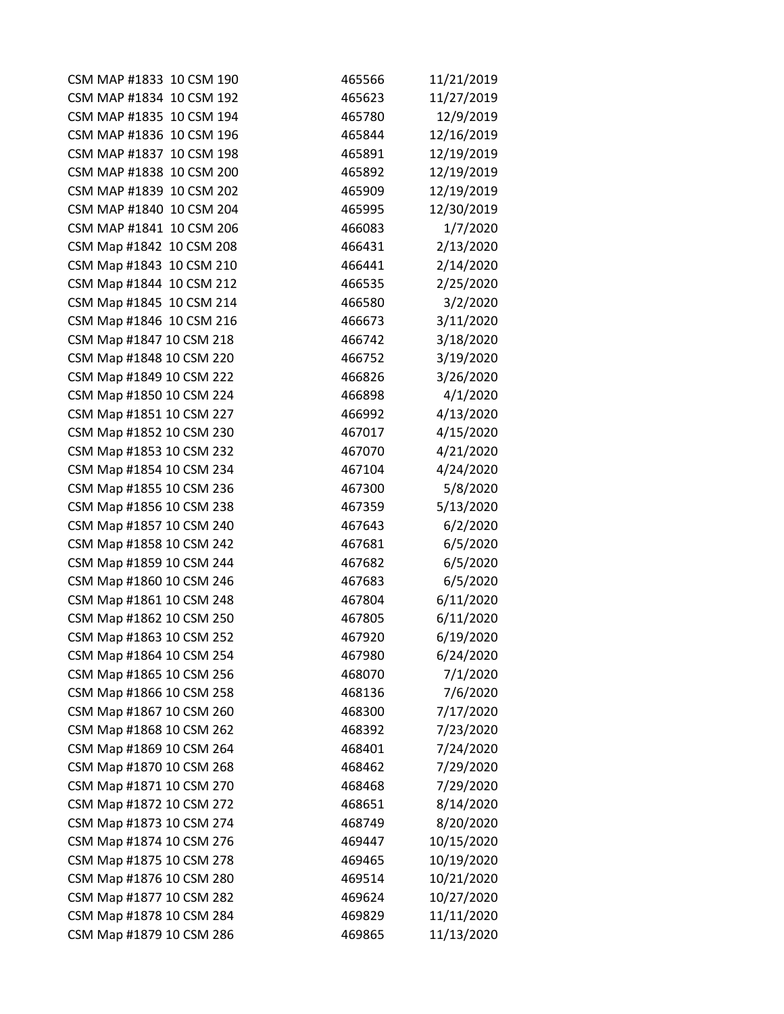| CSM MAP #1833 10 CSM 190 | 465566 | 11/21/2019 |
|--------------------------|--------|------------|
| CSM MAP #1834 10 CSM 192 | 465623 | 11/27/2019 |
| CSM MAP #1835 10 CSM 194 | 465780 | 12/9/2019  |
| CSM MAP #1836 10 CSM 196 | 465844 | 12/16/2019 |
| CSM MAP #1837 10 CSM 198 | 465891 | 12/19/2019 |
| CSM MAP #1838 10 CSM 200 | 465892 | 12/19/2019 |
| CSM MAP #1839 10 CSM 202 | 465909 | 12/19/2019 |
| CSM MAP #1840 10 CSM 204 | 465995 | 12/30/2019 |
| CSM MAP #1841 10 CSM 206 | 466083 | 1/7/2020   |
| CSM Map #1842 10 CSM 208 | 466431 | 2/13/2020  |
| CSM Map #1843 10 CSM 210 | 466441 | 2/14/2020  |
| CSM Map #1844 10 CSM 212 | 466535 | 2/25/2020  |
| CSM Map #1845 10 CSM 214 | 466580 | 3/2/2020   |
| CSM Map #1846 10 CSM 216 | 466673 | 3/11/2020  |
| CSM Map #1847 10 CSM 218 | 466742 | 3/18/2020  |
| CSM Map #1848 10 CSM 220 | 466752 | 3/19/2020  |
| CSM Map #1849 10 CSM 222 | 466826 | 3/26/2020  |
| CSM Map #1850 10 CSM 224 | 466898 | 4/1/2020   |
| CSM Map #1851 10 CSM 227 | 466992 | 4/13/2020  |
| CSM Map #1852 10 CSM 230 | 467017 | 4/15/2020  |
| CSM Map #1853 10 CSM 232 | 467070 | 4/21/2020  |
| CSM Map #1854 10 CSM 234 | 467104 | 4/24/2020  |
| CSM Map #1855 10 CSM 236 | 467300 | 5/8/2020   |
| CSM Map #1856 10 CSM 238 | 467359 | 5/13/2020  |
| CSM Map #1857 10 CSM 240 | 467643 | 6/2/2020   |
| CSM Map #1858 10 CSM 242 | 467681 | 6/5/2020   |
| CSM Map #1859 10 CSM 244 | 467682 | 6/5/2020   |
| CSM Map #1860 10 CSM 246 | 467683 | 6/5/2020   |
| CSM Map #1861 10 CSM 248 | 467804 | 6/11/2020  |
| CSM Map #1862 10 CSM 250 | 467805 | 6/11/2020  |
| CSM Map #1863 10 CSM 252 | 467920 | 6/19/2020  |
| CSM Map #1864 10 CSM 254 | 467980 | 6/24/2020  |
| CSM Map #1865 10 CSM 256 | 468070 | 7/1/2020   |
| CSM Map #1866 10 CSM 258 | 468136 | 7/6/2020   |
| CSM Map #1867 10 CSM 260 | 468300 | 7/17/2020  |
| CSM Map #1868 10 CSM 262 | 468392 | 7/23/2020  |
| CSM Map #1869 10 CSM 264 | 468401 | 7/24/2020  |
| CSM Map #1870 10 CSM 268 | 468462 | 7/29/2020  |
| CSM Map #1871 10 CSM 270 | 468468 | 7/29/2020  |
| CSM Map #1872 10 CSM 272 | 468651 | 8/14/2020  |
| CSM Map #1873 10 CSM 274 | 468749 | 8/20/2020  |
| CSM Map #1874 10 CSM 276 | 469447 | 10/15/2020 |
| CSM Map #1875 10 CSM 278 | 469465 | 10/19/2020 |
| CSM Map #1876 10 CSM 280 | 469514 | 10/21/2020 |
| CSM Map #1877 10 CSM 282 | 469624 | 10/27/2020 |
| CSM Map #1878 10 CSM 284 | 469829 | 11/11/2020 |
| CSM Map #1879 10 CSM 286 | 469865 | 11/13/2020 |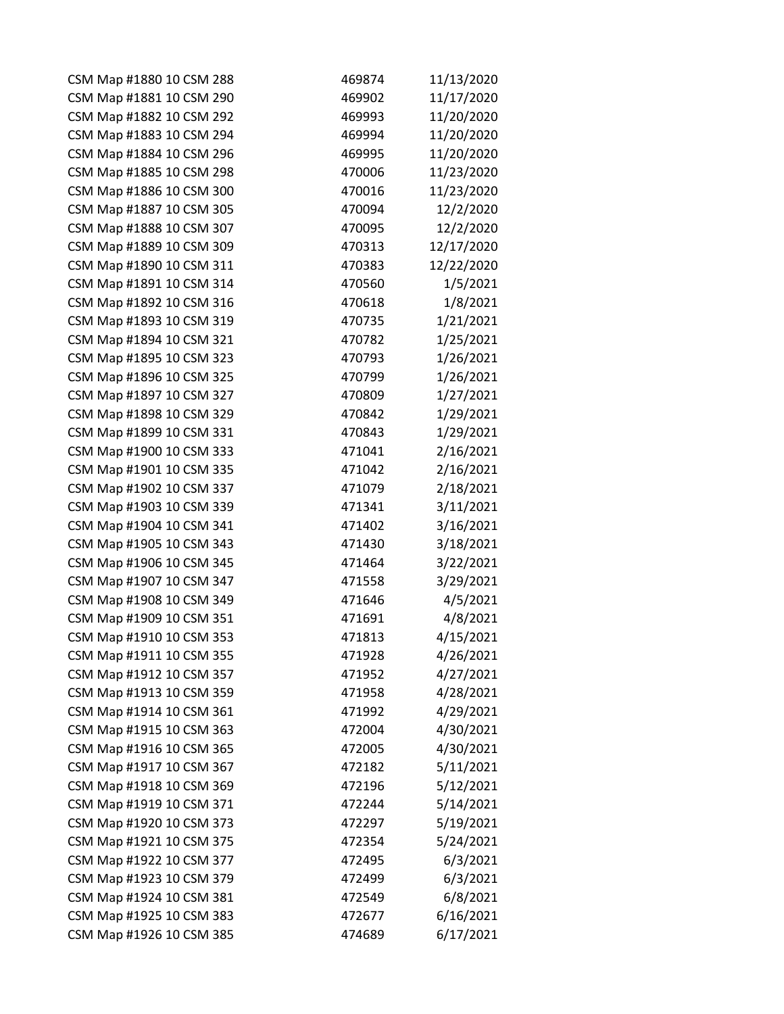| CSM Map #1880 10 CSM 288 | 469874 | 11/13/2020 |
|--------------------------|--------|------------|
| CSM Map #1881 10 CSM 290 | 469902 | 11/17/2020 |
| CSM Map #1882 10 CSM 292 | 469993 | 11/20/2020 |
| CSM Map #1883 10 CSM 294 | 469994 | 11/20/2020 |
| CSM Map #1884 10 CSM 296 | 469995 | 11/20/2020 |
| CSM Map #1885 10 CSM 298 | 470006 | 11/23/2020 |
| CSM Map #1886 10 CSM 300 | 470016 | 11/23/2020 |
| CSM Map #1887 10 CSM 305 | 470094 | 12/2/2020  |
| CSM Map #1888 10 CSM 307 | 470095 | 12/2/2020  |
| CSM Map #1889 10 CSM 309 | 470313 | 12/17/2020 |
| CSM Map #1890 10 CSM 311 | 470383 | 12/22/2020 |
| CSM Map #1891 10 CSM 314 | 470560 | 1/5/2021   |
| CSM Map #1892 10 CSM 316 | 470618 | 1/8/2021   |
| CSM Map #1893 10 CSM 319 | 470735 | 1/21/2021  |
| CSM Map #1894 10 CSM 321 | 470782 | 1/25/2021  |
| CSM Map #1895 10 CSM 323 | 470793 | 1/26/2021  |
| CSM Map #1896 10 CSM 325 | 470799 | 1/26/2021  |
| CSM Map #1897 10 CSM 327 | 470809 | 1/27/2021  |
| CSM Map #1898 10 CSM 329 | 470842 | 1/29/2021  |
| CSM Map #1899 10 CSM 331 | 470843 | 1/29/2021  |
| CSM Map #1900 10 CSM 333 | 471041 | 2/16/2021  |
| CSM Map #1901 10 CSM 335 | 471042 | 2/16/2021  |
| CSM Map #1902 10 CSM 337 | 471079 | 2/18/2021  |
| CSM Map #1903 10 CSM 339 | 471341 | 3/11/2021  |
| CSM Map #1904 10 CSM 341 | 471402 | 3/16/2021  |
| CSM Map #1905 10 CSM 343 | 471430 | 3/18/2021  |
| CSM Map #1906 10 CSM 345 | 471464 | 3/22/2021  |
| CSM Map #1907 10 CSM 347 | 471558 | 3/29/2021  |
| CSM Map #1908 10 CSM 349 | 471646 | 4/5/2021   |
| CSM Map #1909 10 CSM 351 | 471691 | 4/8/2021   |
| CSM Map #1910 10 CSM 353 | 471813 | 4/15/2021  |
| CSM Map #1911 10 CSM 355 | 471928 | 4/26/2021  |
| CSM Map #1912 10 CSM 357 | 471952 | 4/27/2021  |
| CSM Map #1913 10 CSM 359 | 471958 | 4/28/2021  |
| CSM Map #1914 10 CSM 361 | 471992 | 4/29/2021  |
| CSM Map #1915 10 CSM 363 | 472004 | 4/30/2021  |
| CSM Map #1916 10 CSM 365 | 472005 | 4/30/2021  |
| CSM Map #1917 10 CSM 367 | 472182 | 5/11/2021  |
| CSM Map #1918 10 CSM 369 | 472196 | 5/12/2021  |
| CSM Map #1919 10 CSM 371 | 472244 | 5/14/2021  |
| CSM Map #1920 10 CSM 373 | 472297 | 5/19/2021  |
| CSM Map #1921 10 CSM 375 | 472354 | 5/24/2021  |
| CSM Map #1922 10 CSM 377 | 472495 | 6/3/2021   |
| CSM Map #1923 10 CSM 379 | 472499 | 6/3/2021   |
| CSM Map #1924 10 CSM 381 | 472549 | 6/8/2021   |
| CSM Map #1925 10 CSM 383 | 472677 | 6/16/2021  |
| CSM Map #1926 10 CSM 385 | 474689 | 6/17/2021  |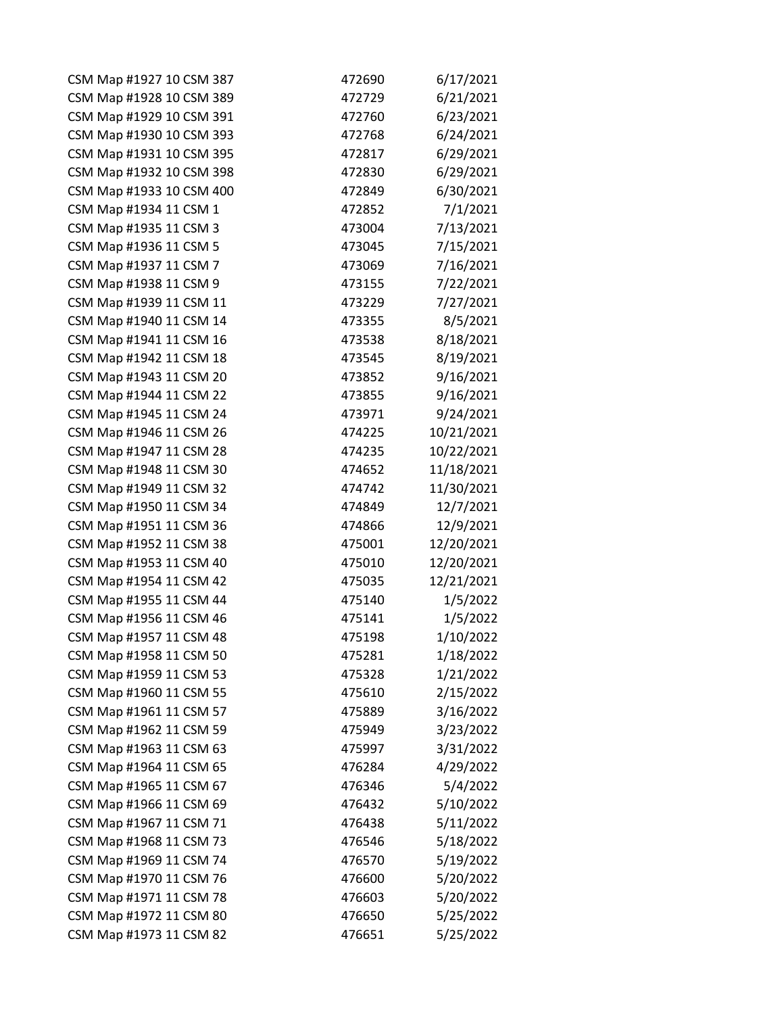| CSM Map #1927 10 CSM 387 | 472690 | 6/17/2021  |
|--------------------------|--------|------------|
| CSM Map #1928 10 CSM 389 | 472729 | 6/21/2021  |
| CSM Map #1929 10 CSM 391 | 472760 | 6/23/2021  |
| CSM Map #1930 10 CSM 393 | 472768 | 6/24/2021  |
| CSM Map #1931 10 CSM 395 | 472817 | 6/29/2021  |
| CSM Map #1932 10 CSM 398 | 472830 | 6/29/2021  |
| CSM Map #1933 10 CSM 400 | 472849 | 6/30/2021  |
| CSM Map #1934 11 CSM 1   | 472852 | 7/1/2021   |
| CSM Map #1935 11 CSM 3   | 473004 | 7/13/2021  |
| CSM Map #1936 11 CSM 5   | 473045 | 7/15/2021  |
| CSM Map #1937 11 CSM 7   | 473069 | 7/16/2021  |
| CSM Map #1938 11 CSM 9   | 473155 | 7/22/2021  |
| CSM Map #1939 11 CSM 11  | 473229 | 7/27/2021  |
| CSM Map #1940 11 CSM 14  | 473355 | 8/5/2021   |
| CSM Map #1941 11 CSM 16  | 473538 | 8/18/2021  |
| CSM Map #1942 11 CSM 18  | 473545 | 8/19/2021  |
| CSM Map #1943 11 CSM 20  | 473852 | 9/16/2021  |
| CSM Map #1944 11 CSM 22  | 473855 | 9/16/2021  |
| CSM Map #1945 11 CSM 24  | 473971 | 9/24/2021  |
| CSM Map #1946 11 CSM 26  | 474225 | 10/21/2021 |
| CSM Map #1947 11 CSM 28  | 474235 | 10/22/2021 |
| CSM Map #1948 11 CSM 30  | 474652 | 11/18/2021 |
| CSM Map #1949 11 CSM 32  | 474742 | 11/30/2021 |
| CSM Map #1950 11 CSM 34  | 474849 | 12/7/2021  |
| CSM Map #1951 11 CSM 36  | 474866 | 12/9/2021  |
| CSM Map #1952 11 CSM 38  | 475001 | 12/20/2021 |
| CSM Map #1953 11 CSM 40  | 475010 | 12/20/2021 |
| CSM Map #1954 11 CSM 42  | 475035 | 12/21/2021 |
| CSM Map #1955 11 CSM 44  | 475140 | 1/5/2022   |
| CSM Map #1956 11 CSM 46  | 475141 | 1/5/2022   |
| CSM Map #1957 11 CSM 48  | 475198 | 1/10/2022  |
| CSM Map #1958 11 CSM 50  | 475281 | 1/18/2022  |
| CSM Map #1959 11 CSM 53  | 475328 | 1/21/2022  |
| CSM Map #1960 11 CSM 55  | 475610 | 2/15/2022  |
| CSM Map #1961 11 CSM 57  | 475889 | 3/16/2022  |
| CSM Map #1962 11 CSM 59  | 475949 | 3/23/2022  |
| CSM Map #1963 11 CSM 63  | 475997 | 3/31/2022  |
| CSM Map #1964 11 CSM 65  | 476284 | 4/29/2022  |
| CSM Map #1965 11 CSM 67  | 476346 | 5/4/2022   |
| CSM Map #1966 11 CSM 69  | 476432 | 5/10/2022  |
| CSM Map #1967 11 CSM 71  | 476438 | 5/11/2022  |
| CSM Map #1968 11 CSM 73  | 476546 | 5/18/2022  |
| CSM Map #1969 11 CSM 74  | 476570 | 5/19/2022  |
| CSM Map #1970 11 CSM 76  | 476600 | 5/20/2022  |
| CSM Map #1971 11 CSM 78  | 476603 | 5/20/2022  |
| CSM Map #1972 11 CSM 80  | 476650 | 5/25/2022  |
| CSM Map #1973 11 CSM 82  | 476651 | 5/25/2022  |